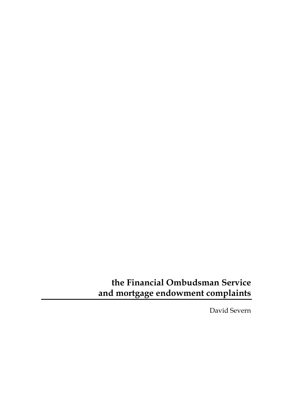# **the Financial Ombudsman Service and mortgage endowment complaints**

David Severn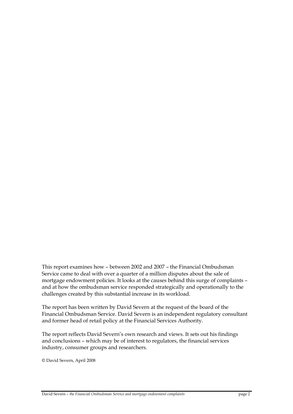This report examines how – between 2002 and 2007 – the Financial Ombudsman Service came to deal with over a quarter of a million disputes about the sale of mortgage endowment policies. It looks at the causes behind this surge of complaints – and at how the ombudsman service responded strategically and operationally to the challenges created by this substantial increase in its workload.

The report has been written by David Severn at the request of the board of the Financial Ombudsman Service. David Severn is an independent regulatory consultant and former head of retail policy at the Financial Services Authority.

The report reflects David Severn's own research and views. It sets out his findings and conclusions – which may be of interest to regulators, the financial services industry, consumer groups and researchers.

© David Severn, April 2008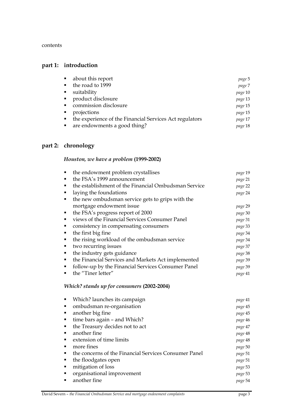contents

## **part 1: introduction**

|   | about this report                                       | page 5  |
|---|---------------------------------------------------------|---------|
|   | the road to 1999                                        | page 7  |
| ٠ | suitability                                             | page 10 |
|   | product disclosure                                      | page 13 |
|   | commission disclosure                                   | page 15 |
| ٠ | projections                                             | page 15 |
|   | the experience of the Financial Services Act regulators | page 17 |
|   | are endowments a good thing?                            | page 18 |
|   |                                                         |         |

### **part 2: chronology**

## *Houston, we have a problem* **(1999-2002)**

|   | the endowment problem crystallises                   | page 19 |
|---|------------------------------------------------------|---------|
|   | the FSA's 1999 announcement                          | page 21 |
| ٠ | the establishment of the Financial Ombudsman Service | page 22 |
|   | laying the foundations                               | page 24 |
| ٠ | the new ombudsman service gets to grips with the     |         |
|   | mortgage endowment issue                             | page 29 |
| ٠ | the FSA's progress report of 2000                    | page 30 |
|   | views of the Financial Services Consumer Panel       | page 31 |
|   | consistency in compensating consumers                | page 33 |
| п | the first big fine                                   | page 34 |
| ٠ | the rising workload of the ombudsman service         | page 34 |
| ٠ | two recurring issues                                 | page 37 |
|   | the industry gets guidance                           | page 38 |
| ٠ | the Financial Services and Markets Act implemented   | page 39 |
| ٠ | follow-up by the Financial Services Consumer Panel   | page 39 |
| ■ | the "Tiner letter"                                   | page 41 |
|   |                                                      |         |

### *Which? stands up for consumers* **(2002-2004)**

| Which? launches its campaign                          | page 41 |
|-------------------------------------------------------|---------|
| ombudsman re-organisation                             | page 45 |
| another big fine                                      | page 45 |
| time bars again – and Which?                          | page 46 |
| the Treasury decides not to act                       | page 47 |
| another fine                                          | page 48 |
| extension of time limits                              | page 48 |
| more fines                                            | page 50 |
| the concerns of the Financial Services Consumer Panel | page 51 |
| the floodgates open                                   | page 51 |
| mitigation of loss                                    | page 53 |
| organisational improvement                            | page 53 |
| another fine                                          | page 54 |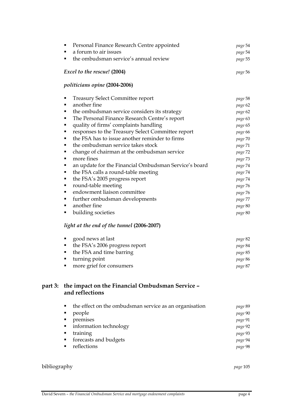|              | <b>Treasury Select Committee report</b><br>٠                       | page 58  |
|--------------|--------------------------------------------------------------------|----------|
|              | another fine<br>٠                                                  | page 62  |
|              | the ombudsman service considers its strategy<br>٠                  | page 62  |
|              | The Personal Finance Research Centre's report<br>٠                 | page 63  |
|              | quality of firms' complaints handling<br>٠                         | page 65  |
|              | responses to the Treasury Select Committee report<br>٠             | page 66  |
|              | the FSA has to issue another reminder to firms<br>٠                | page 70  |
|              | the ombudsman service takes stock<br>٠                             | page 71  |
|              | change of chairman at the ombudsman service<br>٠                   | page 72  |
|              | more fines<br>٠                                                    | page 73  |
|              | an update for the Financial Ombudsman Service's board<br>٠         | page 74  |
|              | the FSA calls a round-table meeting<br>٠                           | page 74  |
|              | the FSA's 2005 progress report<br>٠                                | page 74  |
|              | round-table meeting<br>٠                                           | page 76  |
|              | endowment liaison committee<br>٠                                   | page 76  |
|              | further ombudsman developments<br>٠                                | page 77  |
|              | another fine<br>٠                                                  | page 80  |
|              | building societies<br>٠                                            | page 80  |
|              | light at the end of the tunnel (2006-2007)                         |          |
|              | good news at last<br>٠                                             | page 82  |
|              | the FSA's 2006 progress report<br>٠                                | page 84  |
|              | the FSA and time barring<br>٠                                      | page 85  |
|              | turning point<br>٠                                                 | page 86  |
|              | more grief for consumers<br>٠                                      | page 87  |
| part 3:      | the impact on the Financial Ombudsman Service -<br>and reflections |          |
|              | the effect on the ombudsman service as an organisation<br>٠        | page 89  |
|              | people                                                             | page 90  |
|              | premises                                                           | page 91  |
|              | information technology<br>٠                                        | page 92  |
|              | training<br>٠                                                      | page 93  |
|              | forecasts and budgets<br>٠                                         | page 94  |
|              | reflections<br>٠                                                   | page 98  |
| bibliography |                                                                    | page 105 |
|              |                                                                    |          |

 Personal Finance Research Centre appointed *page* 54 a forum to air issues *page* 54 the ombudsman service's annual review *page* 55

 *Excel to the rescue!* **(2004)** *page* 56

 *politicians opine* **(2004-2006)** 

part 3: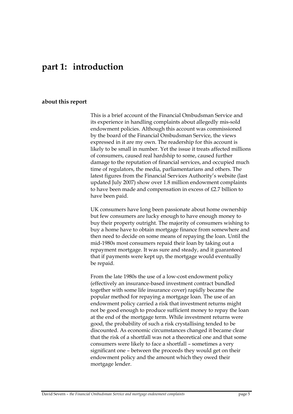## **part 1: introduction**

### **about this report**

This is a brief account of the Financial Ombudsman Service and its experience in handling complaints about allegedly mis-sold endowment policies. Although this account was commissioned by the board of the Financial Ombudsman Service, the views expressed in it are my own. The readership for this account is likely to be small in number. Yet the issue it treats affected millions of consumers, caused real hardship to some, caused further damage to the reputation of financial services, and occupied much time of regulators, the media, parliamentarians and others. The latest figures from the Financial Services Authority's website (last updated July 2007) show over 1.8 million endowment complaints to have been made and compensation in excess of £2.7 billion to have been paid.

UK consumers have long been passionate about home ownership but few consumers are lucky enough to have enough money to buy their property outright. The majority of consumers wishing to buy a home have to obtain mortgage finance from somewhere and then need to decide on some means of repaying the loan. Until the mid-1980s most consumers repaid their loan by taking out a repayment mortgage. It was sure and steady, and it guaranteed that if payments were kept up, the mortgage would eventually be repaid.

From the late 1980s the use of a low-cost endowment policy (effectively an insurance-based investment contract bundled together with some life insurance cover) rapidly became the popular method for repaying a mortgage loan. The use of an endowment policy carried a risk that investment returns might not be good enough to produce sufficient money to repay the loan at the end of the mortgage term. While investment returns were good, the probability of such a risk crystallising tended to be discounted. As economic circumstances changed it became clear that the risk of a shortfall was not a theoretical one and that some consumers were likely to face a shortfall – sometimes a very significant one – between the proceeds they would get on their endowment policy and the amount which they owed their mortgage lender.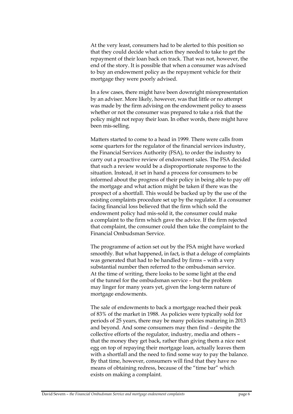At the very least, consumers had to be alerted to this position so that they could decide what action they needed to take to get the repayment of their loan back on track. That was not, however, the end of the story. It is possible that when a consumer was advised to buy an endowment policy as the repayment vehicle for their mortgage they were poorly advised.

In a few cases, there might have been downright misrepresentation by an adviser. More likely, however, was that little or no attempt was made by the firm advising on the endowment policy to assess whether or not the consumer was prepared to take a risk that the policy might not repay their loan. In other words, there might have been mis-selling.

Matters started to come to a head in 1999. There were calls from some quarters for the regulator of the financial services industry, the Financial Services Authority (FSA), to order the industry to carry out a proactive review of endowment sales. The FSA decided that such a review would be a disproportionate response to the situation. Instead, it set in hand a process for consumers to be informed about the progress of their policy in being able to pay off the mortgage and what action might be taken if there was the prospect of a shortfall. This would be backed up by the use of the existing complaints procedure set up by the regulator. If a consumer facing financial loss believed that the firm which sold the endowment policy had mis-sold it, the consumer could make a complaint to the firm which gave the advice. If the firm rejected that complaint, the consumer could then take the complaint to the Financial Ombudsman Service.

The programme of action set out by the FSA might have worked smoothly. But what happened, in fact, is that a deluge of complaints was generated that had to be handled by firms – with a very substantial number then referred to the ombudsman service. At the time of writing, there looks to be some light at the end of the tunnel for the ombudsman service – but the problem may linger for many years yet, given the long-term nature of mortgage endowments.

The sale of endowments to back a mortgage reached their peak of 83% of the market in 1988. As policies were typically sold for periods of 25 years, there may be many policies maturing in 2013 and beyond. And some consumers may then find – despite the collective efforts of the regulator, industry, media and others – that the money they get back, rather than giving them a nice nest egg on top of repaying their mortgage loan, actually leaves them with a shortfall and the need to find some way to pay the balance. By that time, however, consumers will find that they have no means of obtaining redress, because of the "time bar" which exists on making a complaint.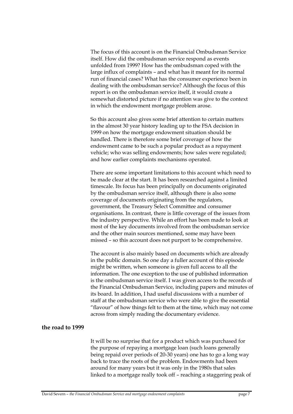The focus of this account is on the Financial Ombudsman Service itself. How did the ombudsman service respond as events unfolded from 1999? How has the ombudsman coped with the large influx of complaints – and what has it meant for its normal run of financial cases? What has the consumer experience been in dealing with the ombudsman service? Although the focus of this report is on the ombudsman service itself, it would create a somewhat distorted picture if no attention was give to the context in which the endowment mortgage problem arose.

So this account also gives some brief attention to certain matters in the almost 30 year history leading up to the FSA decision in 1999 on how the mortgage endowment situation should be handled. There is therefore some brief coverage of how the endowment came to be such a popular product as a repayment vehicle; who was selling endowments; how sales were regulated; and how earlier complaints mechanisms operated.

There are some important limitations to this account which need to be made clear at the start. It has been researched against a limited timescale. Its focus has been principally on documents originated by the ombudsman service itself, although there is also some coverage of documents originating from the regulators, government, the Treasury Select Committee and consumer organisations. In contrast, there is little coverage of the issues from the industry perspective. While an effort has been made to look at most of the key documents involved from the ombudsman service and the other main sources mentioned, some may have been missed – so this account does not purport to be comprehensive.

The account is also mainly based on documents which are already in the public domain. So one day a fuller account of this episode might be written, when someone is given full access to all the information. The one exception to the use of published information is the ombudsman service itself. I was given access to the records of the Financial Ombudsman Service, including papers and minutes of its board. In addition, I had useful discussions with a number of staff at the ombudsman service who were able to give the essential "flavour" of how things felt to them at the time, which may not come across from simply reading the documentary evidence.

#### **the road to 1999**

It will be no surprise that for a product which was purchased for the purpose of repaying a mortgage loan (such loans generally being repaid over periods of 20-30 years) one has to go a long way back to trace the roots of the problem. Endowments had been around for many years but it was only in the 1980s that sales linked to a mortgage really took off – reaching a staggering peak of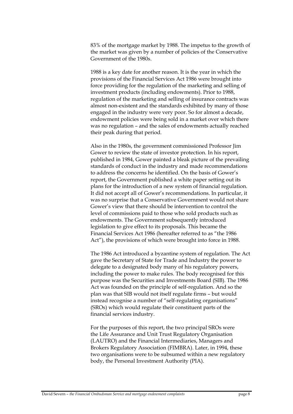83% of the mortgage market by 1988. The impetus to the growth of the market was given by a number of policies of the Conservative Government of the 1980s.

1988 is a key date for another reason. It is the year in which the provisions of the Financial Services Act 1986 were brought into force providing for the regulation of the marketing and selling of investment products (including endowments). Prior to 1988, regulation of the marketing and selling of insurance contracts was almost non-existent and the standards exhibited by many of those engaged in the industry were very poor. So for almost a decade, endowment policies were being sold in a market over which there was no regulation – and the sales of endowments actually reached their peak during that period.

Also in the 1980s, the government commissioned Professor Jim Gower to review the state of investor protection. In his report, published in 1984, Gower painted a bleak picture of the prevailing standards of conduct in the industry and made recommendations to address the concerns he identified. On the basis of Gower's report, the Government published a white paper setting out its plans for the introduction of a new system of financial regulation. It did not accept all of Gower's recommendations. In particular, it was no surprise that a Conservative Government would not share Gower's view that there should be intervention to control the level of commissions paid to those who sold products such as endowments. The Government subsequently introduced legislation to give effect to its proposals. This became the Financial Services Act 1986 (hereafter referred to as "the 1986 Act"), the provisions of which were brought into force in 1988.

The 1986 Act introduced a byzantine system of regulation. The Act gave the Secretary of State for Trade and Industry the power to delegate to a designated body many of his regulatory powers, including the power to make rules. The body recognised for this purpose was the Securities and Investments Board (SIB). The 1986 Act was founded on the principle of self-regulation. And so the plan was that SIB would not itself regulate firms – but would instead recognise a number of "self-regulating organisations" (SROs) which would regulate their constituent parts of the financial services industry.

For the purposes of this report, the two principal SROs were the Life Assurance and Unit Trust Regulatory Organisation (LAUTRO) and the Financial Intermediaries, Managers and Brokers Regulatory Association (FIMBRA). Later, in 1994, these two organisations were to be subsumed within a new regulatory body, the Personal Investment Authority (PIA).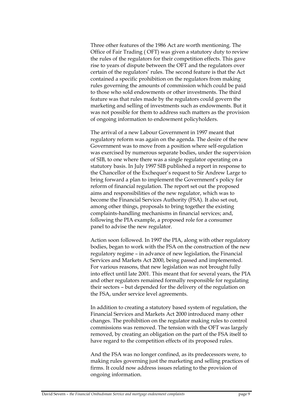Three other features of the 1986 Act are worth mentioning. The Office of Fair Trading ( OFT) was given a statutory duty to review the rules of the regulators for their competition effects. This gave rise to years of dispute between the OFT and the regulators over certain of the regulators' rules. The second feature is that the Act contained a specific prohibition on the regulators from making rules governing the amounts of commission which could be paid to those who sold endowments or other investments. The third feature was that rules made by the regulators could govern the marketing and selling of investments such as endowments. But it was not possible for them to address such matters as the provision of ongoing information to endowment policyholders.

The arrival of a new Labour Government in 1997 meant that regulatory reform was again on the agenda. The desire of the new Government was to move from a position where self-regulation was exercised by numerous separate bodies, under the supervision of SIB, to one where there was a single regulator operating on a statutory basis. In July 1997 SIB published a report in response to the Chancellor of the Exchequer's request to Sir Andrew Large to bring forward a plan to implement the Government's policy for reform of financial regulation. The report set out the proposed aims and responsibilities of the new regulator, which was to become the Financial Services Authority (FSA). It also set out, among other things, proposals to bring together the existing complaints-handling mechanisms in financial services; and, following the PIA example, a proposed role for a consumer panel to advise the new regulator.

Action soon followed. In 1997 the PIA, along with other regulatory bodies, began to work with the FSA on the construction of the new regulatory regime – in advance of new legislation, the Financial Services and Markets Act 2000, being passed and implemented. For various reasons, that new legislation was not brought fully into effect until late 2001. This meant that for several years, the PIA and other regulators remained formally responsible for regulating their sectors – but depended for the delivery of the regulation on the FSA, under service level agreements.

In addition to creating a statutory based system of regulation, the Financial Services and Markets Act 2000 introduced many other changes. The prohibition on the regulator making rules to control commissions was removed. The tension with the OFT was largely removed, by creating an obligation on the part of the FSA itself to have regard to the competition effects of its proposed rules.

And the FSA was no longer confined, as its predecessors were, to making rules governing just the marketing and selling practices of firms. It could now address issues relating to the provision of ongoing information.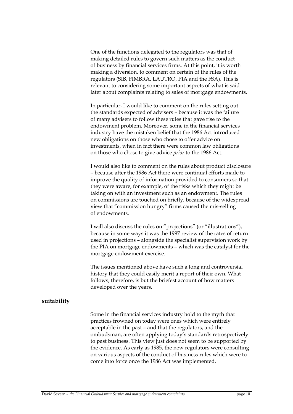One of the functions delegated to the regulators was that of making detailed rules to govern such matters as the conduct of business by financial services firms. At this point, it is worth making a diversion, to comment on certain of the rules of the regulators (SIB, FIMBRA, LAUTRO, PIA and the FSA). This is relevant to considering some important aspects of what is said later about complaints relating to sales of mortgage endowments.

In particular, I would like to comment on the rules setting out the standards expected of advisers – because it was the failure of many advisers to follow these rules that gave rise to the endowment problem. Moreover, some in the financial services industry have the mistaken belief that the 1986 Act introduced new obligations on those who chose to offer advice on investments, when in fact there were common law obligations on those who chose to give advice *prior* to the 1986 Act.

I would also like to comment on the rules about product disclosure – because after the 1986 Act there were continual efforts made to improve the quality of information provided to consumers so that they were aware, for example, of the risks which they might be taking on with an investment such as an endowment. The rules on commissions are touched on briefly, because of the widespread view that "commission hungry" firms caused the mis-selling of endowments.

I will also discuss the rules on "projections" (or "illustrations"), because in some ways it was the 1997 review of the rates of return used in projections – alongside the specialist supervision work by the PIA on mortgage endowments – which was the catalyst for the mortgage endowment exercise.

The issues mentioned above have such a long and controversial history that they could easily merit a report of their own. What follows, therefore, is but the briefest account of how matters developed over the years.

### **suitability**

Some in the financial services industry hold to the myth that practices frowned on today were ones which were entirely acceptable in the past – and that the regulators, and the ombudsman, are often applying today's standards retrospectively to past business. This view just does not seem to be supported by the evidence. As early as 1985, the new regulators were consulting on various aspects of the conduct of business rules which were to come into force once the 1986 Act was implemented.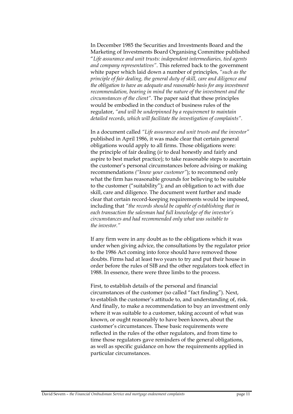In December 1985 the Securities and Investments Board and the Marketing of Investments Board Organising Committee published "*Life assurance and unit trusts: independent intermediaries, tied agents and company representatives"*. This referred back to the government white paper which laid down a number of principles, *"such as the principle of fair dealing, the general duty of skill, care and diligence and the obligation to have an adequate and reasonable basis for any investment recommendation, bearing in mind the nature of the investment and the circumstances of the client".* The paper said that these principles would be embodied in the conduct of business rules of the regulator, *"and will be underpinned by a requirement to maintain detailed records, which will facilitate the investigation of complaints"*.

In a document called *"Life assurance and unit trusts and the investor"* published in April 1986, it was made clear that certain general obligations would apply to all firms. Those obligations were: the principle of fair dealing (*ie* to deal honestly and fairly and aspire to best market practice); to take reasonable steps to ascertain the customer's personal circumstances before advising or making recommendations *("know your customer"*); to recommend only what the firm has reasonable grounds for believing to be suitable to the customer ("suitability"); and an obligation to act with due skill, care and diligence. The document went further and made clear that certain record-keeping requirements would be imposed, including that *"the records should be capable of establishing that in each transaction the salesman had full knowledge of the investor's circumstances and had recommended only what was suitable to the investor."*

If any firm were in any doubt as to the obligations which it was under when giving advice, the consultations by the regulator prior to the 1986 Act coming into force should have removed those doubts. Firms had at least two years to try and put their house in order before the rules of SIB and the other regulators took effect in 1988. In essence, there were three limbs to the process.

First, to establish details of the personal and financial circumstances of the customer (so called "fact finding"). Next, to establish the customer's attitude to, and understanding of, risk. And finally, to make a recommendation to buy an investment only where it was suitable to a customer, taking account of what was known, or ought reasonably to have been known, about the customer's circumstances. These basic requirements were reflected in the rules of the other regulators, and from time to time those regulators gave reminders of the general obligations, as well as specific guidance on how the requirements applied in particular circumstances.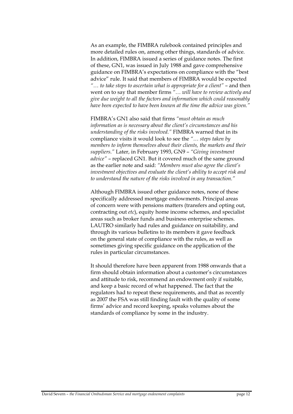As an example, the FIMBRA rulebook contained principles and more detailed rules on, among other things, standards of advice. In addition, FIMBRA issued a series of guidance notes. The first of these, GN1, was issued in July 1988 and gave comprehensive guidance on FIMBRA's expectations on compliance with the "best advice" rule. It said that members of FIMBRA would be expected *"… to take steps to ascertain what is appropriate for a client"* – and then went on to say that member firms *"… will have to review actively and give due weight to all the factors and information which could reasonably have been expected to have been known at the time the advice was given."*

FIMBRA's GN1 also said that firms *"must obtain as much information as is necessary about the client's circumstances and his understanding of the risks involved."* FIMBRA warned that in its compliance visits it would look to see the *"… steps taken by members to inform themselves about their clients, the markets and their suppliers."* Later, in February 1993, GN9 – *"Giving investment advice"* – replaced GN1. But it covered much of the same ground as the earlier note and said: *"Members must also agree the client's investment objectives and evaluate the client's ability to accept risk and to understand the nature of the risks involved in any transaction."*

Although FIMBRA issued other guidance notes, none of these specifically addressed mortgage endowments. Principal areas of concern were with pensions matters (transfers and opting out, contracting out *etc*), equity home income schemes, and specialist areas such as broker funds and business enterprise schemes. LAUTRO similarly had rules and guidance on suitability, and through its various bulletins to its members it gave feedback on the general state of compliance with the rules, as well as sometimes giving specific guidance on the application of the rules in particular circumstances.

It should therefore have been apparent from 1988 onwards that a firm should obtain information about a customer's circumstances and attitude to risk, recommend an endowment only if suitable, and keep a basic record of what happened. The fact that the regulators had to repeat these requirements, and that as recently as 2007 the FSA was still finding fault with the quality of some firms' advice and record keeping, speaks volumes about the standards of compliance by some in the industry.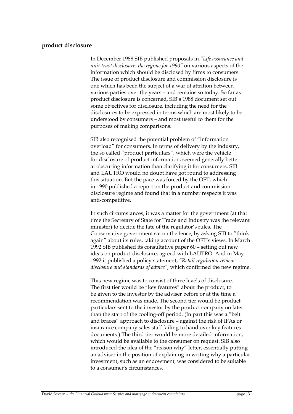### **product disclosure**

In December 1988 SIB published proposals in *"Life assurance and unit trust disclosure: the regime for 1990"* on various aspects of the information which should be disclosed by firms to consumers. The issue of product disclosure and commission disclosure is one which has been the subject of a war of attrition between various parties over the years – and remains so today. So far as product disclosure is concerned, SIB's 1988 document set out some objectives for disclosure, including the need for the disclosures to be expressed in terms which are most likely to be understood by consumers – and most useful to them for the purposes of making comparisons.

SIB also recognised the potential problem of "information overload" for consumers. In terms of delivery by the industry, the so called "product particulars", which were the vehicle for disclosure of product information, seemed generally better at obscuring information than clarifying it for consumers. SIB and LAUTRO would no doubt have got round to addressing this situation. But the pace was forced by the OFT, which in 1990 published a report on the product and commission disclosure regime and found that in a number respects it was anti-competitive.

In such circumstances, it was a matter for the government (at that time the Secretary of State for Trade and Industry was the relevant minister) to decide the fate of the regulator's rules. The Conservative government sat on the fence, by asking SIB to "think again" about its rules, taking account of the OFT's views. In March 1992 SIB published its consultative paper 60 – setting out new ideas on product disclosure, agreed with LAUTRO. And in May 1992 it published a policy statement, *"Retail regulation review: disclosure and standards of advice",* which confirmed the new regime.

This new regime was to consist of three levels of disclosure. The first tier would be "key features" about the product, to be given to the investor by the adviser before or at the time a recommendation was made. The second tier would be product particulars sent to the investor by the product company no later than the start of the cooling-off period. (In part this was a "belt and braces" approach to disclosure – against the risk of IFAs or insurance company sales staff failing to hand over key features documents.) The third tier would be more detailed information, which would be available to the consumer on request. SIB also introduced the idea of the "reason why" letter, essentially putting an adviser in the position of explaining in writing why a particular investment, such as an endowment, was considered to be suitable to a consumer's circumstances.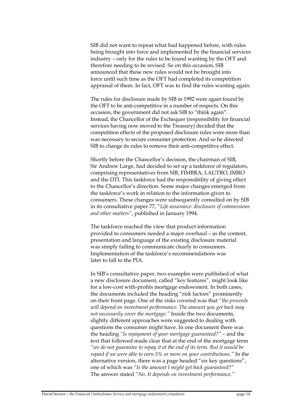SIB did not want to repeat what had happened before, with rules being brought into force and implemented by the financial services industry – only for the rules to be found wanting by the OFT and therefore needing to be revised. So on this occasion, SIB announced that these new rules would not be brought into force until such time as the OFT had completed its competition appraisal of them. In fact, OFT was to find the rules wanting again.

The rules for disclosure made by SIB in 1992 were again found by the OFT to be anti-competitive in a number of respects. On this occasion, the government did not ask SIB to "think again". Instead, the Chancellor of the Exchequer (responsibility for financial services having now moved to the Treasury) decided that the competition effects of the proposed disclosure rules were more than was necessary to secure consumer protection. And so he directed SIB to change its rules to remove their anti-competitive effect.

Shortly before the Chancellor's decision, the chairman of SIB, Sir Andrew Large, had decided to set up a taskforce of regulators, comprising representatives from SIB, FIMBRA, LAUTRO, IMRO and the DTI. This taskforce had the responsibility of giving effect to the Chancellor's direction. Some major changes emerged from the taskforce's work in relation to the information given to consumers. These changes were subsequently consulted on by SIB in its consultative paper 77, "*Life assurance: disclosure of commissions and other matters"*, published in January 1994.

The taskforce reached the view that product information provided to consumers needed a major overhaul – as the content, presentation and language of the existing disclosure material was simply failing to communicate clearly to consumers. Implementation of the taskforce's recommendations was later to fall to the PIA.

In SIB's consultative paper, two examples were published of what a new disclosure document, called "key features", might look like for a low-cost with-profits mortgage endowment. In both cases, the documents included the heading "risk factors" prominently on their front page. One of the risks covered was that *"the proceeds will depend on investment performance. The amount you get back may not necessarily cover the mortgage."* Inside the two documents, slightly different approaches were suggested to dealing with questions the consumer might have. In one document there was the heading *"Is repayment of your mortgage guaranteed?"* – and the text that followed made clear that at the end of the mortgage term *"we do not guarantee to repay it at the end of its term. But it would be repaid if we were able to earn 5% or more on your contributions."* In the alternative version, there was a page headed "six key questions", one of which was *"Is the amount I might get back guaranteed?"* The answer stated *"No. It depends on investment performance."*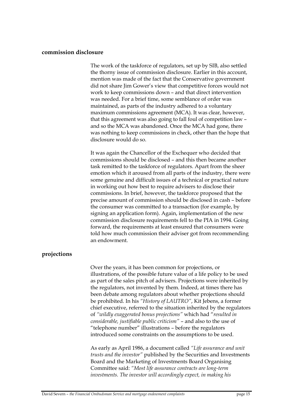### **commission disclosure**

The work of the taskforce of regulators, set up by SIB, also settled the thorny issue of commission disclosure. Earlier in this account, mention was made of the fact that the Conservative government did not share Jim Gower's view that competitive forces would not work to keep commissions down – and that direct intervention was needed. For a brief time, some semblance of order was maintained, as parts of the industry adhered to a voluntary maximum commissions agreement (MCA). It was clear, however, that this agreement was also going to fall foul of competition law – and so the MCA was abandoned. Once the MCA had gone, there was nothing to keep commissions in check, other than the hope that disclosure would do so.

It was again the Chancellor of the Exchequer who decided that commissions should be disclosed – and this then became another task remitted to the taskforce of regulators. Apart from the sheer emotion which it aroused from all parts of the industry, there were some genuine and difficult issues of a technical or practical nature in working out how best to require advisers to disclose their commissions. In brief, however, the taskforce proposed that the precise amount of commission should be disclosed in cash – before the consumer was committed to a transaction (for example, by signing an application form). Again, implementation of the new commission disclosure requirements fell to the PIA in 1994. Going forward, the requirements at least ensured that consumers were told how much commission their adviser got from recommending an endowment.

### **projections**

Over the years, it has been common for projections, or illustrations, of the possible future value of a life policy to be used as part of the sales pitch of advisers. Projections were inherited by the regulators, not invented by them. Indeed, at times there has been debate among regulators about whether projections should be prohibited. In his *"History of LAUTRO"*, Kit Jebens, a former chief executive, referred to the situation inherited by the regulators of *"wildly exaggerated bonus projections"* which had "*resulted in considerable, justifiable public criticism"* – and also to the use of "telephone number" illustrations – before the regulators introduced some constraints on the assumptions to be used.

As early as April 1986, a document called *"Life assurance and unit trusts and the investor"* published by the Securities and Investments Board and the Marketing of Investments Board Organising Committee said: *"Most life assurance contracts are long-term investments. The investor will accordingly expect, in making his*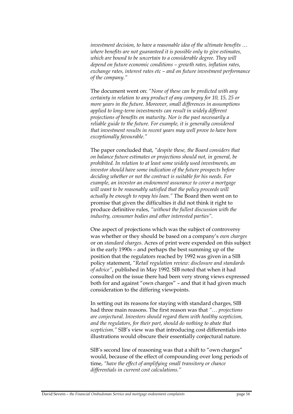*investment decision, to have a reasonable idea of the ultimate benefits … where benefits are not guaranteed it is possible only to give estimates, which are bound to be uncertain to a considerable degree. They will depend on future economic conditions – growth rates, inflation rates, exchange rates, interest rates etc – and on future investment performance of the company."*

The document went on: *"None of these can be predicted with any certainty in relation to any product of any company for 10, 15, 25 or more years in the future. Moreover, small differences in assumptions applied to long-term investments can result in widely different projections of benefits on maturity. Nor is the past necessarily a reliable guide to the future. For example, it is generally considered that investment results in recent years may well prove to have been exceptionally favourable."*

The paper concluded that, *"despite these, the Board considers that on balance future estimates or projections should not, in general, be prohibited. In relation to at least some widely used investments, an investor should have some indication of the future prospects before deciding whether or not the contract is suitable for his needs. For example, an investor an endowment assurance to cover a mortgage*  will want to be reasonably satisfied that the policy proceeds will *actually be enough to repay his loan."* The Board then went on to promise that given the difficulties it did not think it right to produce definitive rules, *"without the fullest discussion with the industry, consumer bodies and other interested parties".* 

One aspect of projections which was the subject of controversy was whether or they should be based on a company's *own charges* or on *standard charges*. Acres of print were expended on this subject in the early 1990s – and perhaps the best summing up of the position that the regulators reached by 1992 was given in a SIB policy statement, *"Retail regulation review: disclosure and standards of advice"*, published in May 1992. SIB noted that when it had consulted on the issue there had been very strong views expressed both for and against "own charges" – and that it had given much consideration to the differing viewpoints.

In setting out its reasons for staying with standard charges, SIB had three main reasons. The first reason was that *"… projections are conjectural. Investors should regard them with healthy scepticism, and the regulators, for their part, should do nothing to abate that scepticism."* SIB's view was that introducing cost differentials into illustrations would obscure their essentially conjectural nature.

SIB's second line of reasoning was that a shift to "own charges" would, because of the effect of compounding over long periods of time, *"have the effect of amplifying small transitory or chance differentials in current cost calculations."*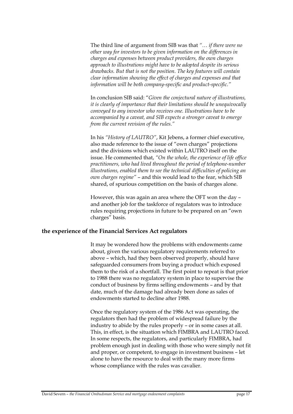The third line of argument from SIB was that *"… if there were no other way for investors to be given information on the differences in charges and expenses between product providers, the own charges approach to illustrations might have to be adopted despite its serious drawbacks. But that is not the position. The key features will contain clear information showing the effect of charges and expenses and that information will be both company-specific and product-specific."* 

In conclusion SIB said: "*Given the conjectural nature of illustrations, it is clearly of importance that their limitations should be unequivocally conveyed to any investor who receives one. Illustrations have to be accompanied by a caveat, and SIB expects a stronger caveat to emerge from the current revision of the rules."*

In his *"History of LAUTRO"*, Kit Jebens, a former chief executive, also made reference to the issue of "own charges" projections and the divisions which existed within LAUTRO itself on the issue. He commented that, *"On the whole, the experience of life office practitioners, who had lived throughout the period of telephone-number illustrations, enabled them to see the technical difficulties of policing an own charges regime"* – and this would lead to the fear, which SIB shared, of spurious competition on the basis of charges alone.

However, this was again an area where the OFT won the day – and another job for the taskforce of regulators was to introduce rules requiring projections in future to be prepared on an "own charges" basis.

### **the experience of the Financial Services Act regulators**

It may be wondered how the problems with endowments came about, given the various regulatory requirements referred to above – which, had they been observed properly, should have safeguarded consumers from buying a product which exposed them to the risk of a shortfall. The first point to repeat is that prior to 1988 there was no regulatory system in place to supervise the conduct of business by firms selling endowments – and by that date, much of the damage had already been done as sales of endowments started to decline after 1988.

Once the regulatory system of the 1986 Act was operating, the regulators then had the problem of widespread failure by the industry to abide by the rules properly – or in some cases at all. This, in effect, is the situation which FIMBRA and LAUTRO faced. In some respects, the regulators, and particularly FIMBRA, had problem enough just in dealing with those who were simply not fit and proper, or competent, to engage in investment business – let alone to have the resource to deal with the many more firms whose compliance with the rules was cavalier.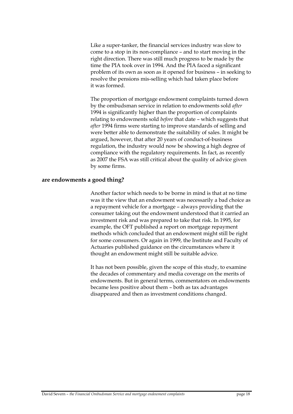Like a super-tanker, the financial services industry was slow to come to a stop in its non-compliance – and to start moving in the right direction. There was still much progress to be made by the time the PIA took over in 1994. And the PIA faced a significant problem of its own as soon as it opened for business – in seeking to resolve the pensions mis-selling which had taken place before it was formed.

The proportion of mortgage endowment complaints turned down by the ombudsman service in relation to endowments sold *after* 1994 is significantly higher than the proportion of complaints relating to endowments sold *before* that date – which suggests that *after* 1994 firms were starting to improve standards of selling and were better able to demonstrate the suitability of sales. It might be argued, however, that after 20 years of conduct-of-business regulation, the industry would now be showing a high degree of compliance with the regulatory requirements. In fact, as recently as 2007 the FSA was still critical about the quality of advice given by some firms.

### **are endowments a good thing?**

Another factor which needs to be borne in mind is that at no time was it the view that an endowment was necessarily a bad choice as a repayment vehicle for a mortgage – always providing that the consumer taking out the endowment understood that it carried an investment risk and was prepared to take that risk. In 1995, for example, the OFT published a report on mortgage repayment methods which concluded that an endowment might still be right for some consumers. Or again in 1999, the Institute and Faculty of Actuaries published guidance on the circumstances where it thought an endowment might still be suitable advice.

It has not been possible, given the scope of this study, to examine the decades of commentary and media coverage on the merits of endowments. But in general terms, commentators on endowments became less positive about them – both as tax advantages disappeared and then as investment conditions changed.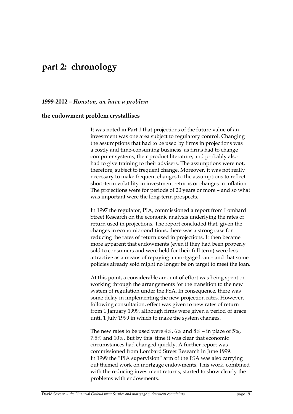## **part 2: chronology**

**1999-2002 –** *Houston, we have a problem*

### **the endowment problem crystallises**

It was noted in Part 1 that projections of the future value of an investment was one area subject to regulatory control. Changing the assumptions that had to be used by firms in projections was a costly and time-consuming business, as firms had to change computer systems, their product literature, and probably also had to give training to their advisers. The assumptions were not, therefore, subject to frequent change. Moreover, it was not really necessary to make frequent changes to the assumptions to reflect short-term volatility in investment returns or changes in inflation. The projections were for periods of 20 years or more – and so what was important were the long-term prospects.

In 1997 the regulator, PIA, commissioned a report from Lombard Street Research on the economic analysis underlying the rates of return used in projections. The report concluded that, given the changes in economic conditions, there was a strong case for reducing the rates of return used in projections. It then became more apparent that endowments (even if they had been properly sold to consumers and were held for their full term) were less attractive as a means of repaying a mortgage loan – and that some policies already sold might no longer be on target to meet the loan.

At this point, a considerable amount of effort was being spent on working through the arrangements for the transition to the new system of regulation under the FSA. In consequence, there was some delay in implementing the new projection rates. However, following consultation, effect was given to new rates of return from 1 January 1999, although firms were given a period of grace until 1 July 1999 in which to make the system changes.

The new rates to be used were 4%, 6% and 8% – in place of 5%, 7.5% and 10%. But by this time it was clear that economic circumstances had changed quickly. A further report was commissioned from Lombard Street Research in June 1999. In 1999 the "PIA supervision" arm of the FSA was also carrying out themed work on mortgage endowments. This work, combined with the reducing investment returns, started to show clearly the problems with endowments.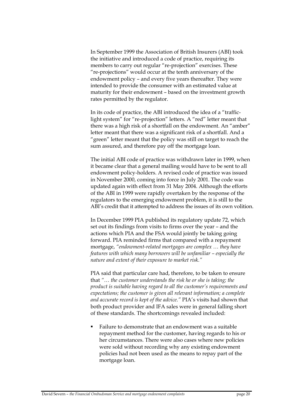In September 1999 the Association of British Insurers (ABI) took the initiative and introduced a code of practice, requiring its members to carry out regular "re-projection" exercises. These "re-projections" would occur at the tenth anniversary of the endowment policy – and every five years thereafter. They were intended to provide the consumer with an estimated value at maturity for their endowment – based on the investment growth rates permitted by the regulator.

In its code of practice, the ABI introduced the idea of a "trafficlight system" for "re-projection" letters. A "red" letter meant that there was a high risk of a shortfall on the endowment. An "amber" letter meant that there was a significant risk of a shortfall. And a "green" letter meant that the policy was still on target to reach the sum assured, and therefore pay off the mortgage loan.

The initial ABI code of practice was withdrawn later in 1999, when it became clear that a general mailing would have to be sent to all endowment policy-holders. A revised code of practice was issued in November 2000, coming into force in July 2001. The code was updated again with effect from 31 May 2004. Although the efforts of the ABI in 1999 were rapidly overtaken by the response of the regulators to the emerging endowment problem, it is still to the ABI's credit that it attempted to address the issues of its own volition.

In December 1999 PIA published its regulatory update 72, which set out its findings from visits to firms over the year – and the actions which PIA and the FSA would jointly be taking going forward. PIA reminded firms that compared with a repayment mortgage, *"endowment-related mortgages are complex … they have features with which many borrowers will be unfamiliar – especially the nature and extent of their exposure to market risk."*

PIA said that particular care had, therefore, to be taken to ensure that *"… the customer understands the risk he or she is taking; the product is suitable having regard to all the customer's requirements and expectations; the customer is given all relevant information; a complete and accurate record is kept of the advice."* PIA's visits had shown that both product provider and IFA sales were in general falling short of these standards. The shortcomings revealed included:

 Failure to demonstrate that an endowment was a suitable repayment method for the customer, having regards to his or her circumstances. There were also cases where new policies were sold without recording why any existing endowment policies had not been used as the means to repay part of the mortgage loan.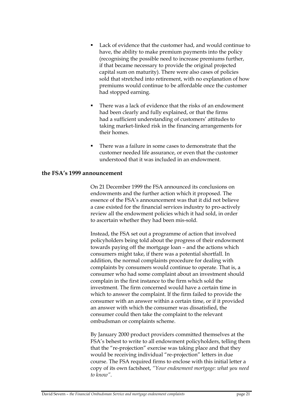- Lack of evidence that the customer had, and would continue to have, the ability to make premium payments into the policy (recognising the possible need to increase premiums further, if that became necessary to provide the original projected capital sum on maturity). There were also cases of policies sold that stretched into retirement, with no explanation of how premiums would continue to be affordable once the customer had stopped earning.
- There was a lack of evidence that the risks of an endowment had been clearly and fully explained, or that the firms had a sufficient understanding of customers' attitudes to taking market-linked risk in the financing arrangements for their homes.
- There was a failure in some cases to demonstrate that the customer needed life assurance, or even that the customer understood that it was included in an endowment.

### **the FSA's 1999 announcement**

On 21 December 1999 the FSA announced its conclusions on endowments and the further action which it proposed. The essence of the FSA's announcement was that it did not believe a case existed for the financial services industry to pro-actively review all the endowment policies which it had sold, in order to ascertain whether they had been mis-sold.

Instead, the FSA set out a programme of action that involved policyholders being told about the progress of their endowment towards paying off the mortgage loan – and the actions which consumers might take, if there was a potential shortfall. In addition, the normal complaints procedure for dealing with complaints by consumers would continue to operate. That is, a consumer who had some complaint about an investment should complain in the first instance to the firm which sold the investment. The firm concerned would have a certain time in which to answer the complaint. If the firm failed to provide the consumer with an answer within a certain time, or if it provided an answer with which the consumer was dissatisfied, the consumer could then take the complaint to the relevant ombudsman or complaints scheme.

By January 2000 product providers committed themselves at the FSA's behest to write to all endowment policyholders, telling them that the "re-projection" exercise was taking place and that they would be receiving individual "re-projection" letters in due course. The FSA required firms to enclose with this initial letter a copy of its own factsheet, *"Your endowment mortgage: what you need to know"*.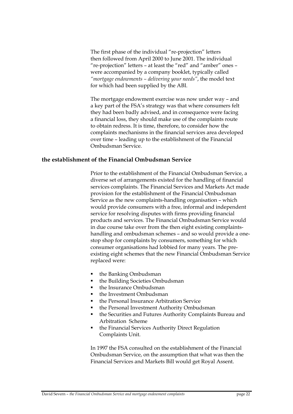The first phase of the individual "re-projection" letters then followed from April 2000 to June 2001. The individual "re-projection" letters – at least the "red" and "amber" ones – were accompanied by a company booklet, typically called *"mortgage endowments – delivering your needs"*, the model text for which had been supplied by the ABI.

The mortgage endowment exercise was now under way – and a key part of the FSA's strategy was that where consumers felt they had been badly advised, and in consequence were facing a financial loss, they should make use of the complaints route to obtain redress. It is time, therefore, to consider how the complaints mechanisms in the financial services area developed over time – leading up to the establishment of the Financial Ombudsman Service.

### **the establishment of the Financial Ombudsman Service**

Prior to the establishment of the Financial Ombudsman Service, a diverse set of arrangements existed for the handling of financial services complaints. The Financial Services and Markets Act made provision for the establishment of the Financial Ombudsman Service as the new complaints-handling organisation – which would provide consumers with a free, informal and independent service for resolving disputes with firms providing financial products and services. The Financial Ombudsman Service would in due course take over from the then eight existing complaintshandling and ombudsman schemes – and so would provide a onestop shop for complaints by consumers, something for which consumer organisations had lobbied for many years. The preexisting eight schemes that the new Financial Ombudsman Service replaced were:

- the Banking Ombudsman
- the Building Societies Ombudsman
- the Insurance Ombudsman
- **the Investment Ombudsman**
- the Personal Insurance Arbitration Service
- the Personal Investment Authority Ombudsman
- the Securities and Futures Authority Complaints Bureau and Arbitration Scheme
- the Financial Services Authority Direct Regulation Complaints Unit.

In 1997 the FSA consulted on the establishment of the Financial Ombudsman Service, on the assumption that what was then the Financial Services and Markets Bill would get Royal Assent.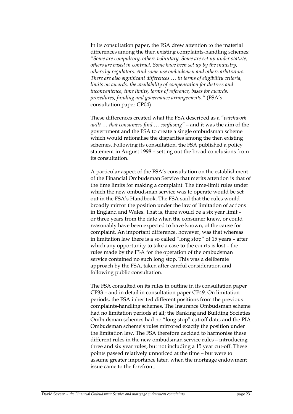In its consultation paper, the FSA drew attention to the material differences among the then existing complaints-handling schemes: *"Some are compulsory, others voluntary. Some are set up under statute, others are based in contract. Some have been set up by the industry, others by regulators. And some use ombudsmen and others arbitrators. There are also significant differences … in terms of eligibility criteria, limits on awards, the availability of compensation for distress and inconvenience, time limits, terms of reference, bases for awards, procedures, funding and governance arrangements."* (FSA's consultation paper CP04)

These differences created what the FSA described as a *"patchwork quilt … that consumers find … confusing"* – and it was the aim of the government and the FSA to create a single ombudsman scheme which would rationalise the disparities among the then existing schemes. Following its consultation, the FSA published a policy statement in August 1998 – setting out the broad conclusions from its consultation.

A particular aspect of the FSA's consultation on the establishment of the Financial Ombudsman Service that merits attention is that of the time limits for making a complaint. The time-limit rules under which the new ombudsman service was to operate would be set out in the FSA's Handbook. The FSA said that the rules would broadly mirror the position under the law of limitation of actions in England and Wales. That is, there would be a six year limit – or three years from the date when the consumer knew, or could reasonably have been expected to have known, of the cause for complaint. An important difference, however, was that whereas in limitation law there is a so called "long stop" of 15 years – after which any opportunity to take a case to the courts is lost – the rules made by the FSA for the operation of the ombudsman service contained no such long stop. This was a deliberate approach by the FSA, taken after careful consideration and following public consultation.

The FSA consulted on its rules in outline in its consultation paper CP33 – and in detail in consultation paper CP49. On limitation periods, the FSA inherited different positions from the previous complaints-handling schemes. The Insurance Ombudsman scheme had no limitation periods at all; the Banking and Building Societies Ombudsman schemes had no "long stop" cut-off date; and the PIA Ombudsman scheme's rules mirrored exactly the position under the limitation law. The FSA therefore decided to harmonise these different rules in the new ombudsman service rules – introducing three and six year rules, but not including a 15 year cut-off. These points passed relatively unnoticed at the time – but were to assume greater importance later, when the mortgage endowment issue came to the forefront.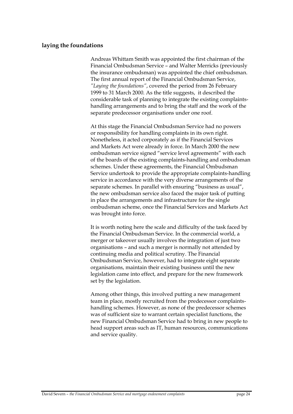### **laying the foundations**

Andreas Whittam Smith was appointed the first chairman of the Financial Ombudsman Service – and Walter Merricks (previously the insurance ombudsman) was appointed the chief ombudsman. The first annual report of the Financial Ombudsman Service, *"Laying the foundations"*, covered the period from 26 February 1999 to 31 March 2000. As the title suggests, it described the considerable task of planning to integrate the existing complaintshandling arrangements and to bring the staff and the work of the separate predecessor organisations under one roof.

At this stage the Financial Ombudsman Service had no powers or responsibility for handling complaints in its own right. Nonetheless, it acted corporately as if the Financial Services and Markets Act were already in force. In March 2000 the new ombudsman service signed "service level agreements" with each of the boards of the existing complaints-handling and ombudsman schemes. Under these agreements, the Financial Ombudsman Service undertook to provide the appropriate complaints-handling service in accordance with the very diverse arrangements of the separate schemes. In parallel with ensuring "business as usual", the new ombudsman service also faced the major task of putting in place the arrangements and infrastructure for the single ombudsman scheme, once the Financial Services and Markets Act was brought into force.

It is worth noting here the scale and difficulty of the task faced by the Financial Ombudsman Service. In the commercial world, a merger or takeover usually involves the integration of just two organisations – and such a merger is normally not attended by continuing media and political scrutiny. The Financial Ombudsman Service, however, had to integrate eight separate organisations, maintain their existing business until the new legislation came into effect, and prepare for the new framework set by the legislation.

Among other things, this involved putting a new management team in place, mostly recruited from the predecessor complaintshandling schemes. However, as none of the predecessor schemes was of sufficient size to warrant certain specialist functions, the new Financial Ombudsman Service had to bring in new people to head support areas such as IT, human resources, communications and service quality.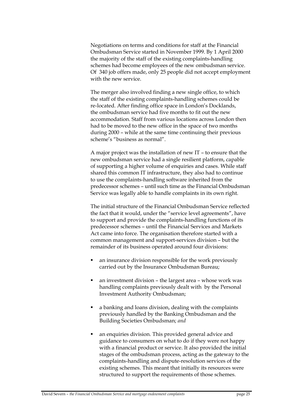Negotiations on terms and conditions for staff at the Financial Ombudsman Service started in November 1999. By 1 April 2000 the majority of the staff of the existing complaints-handling schemes had become employees of the new ombudsman service. Of 340 job offers made, only 25 people did not accept employment with the new service.

The merger also involved finding a new single office, to which the staff of the existing complaints-handling schemes could be re-located. After finding office space in London's Docklands, the ombudsman service had five months to fit out the new accommodation. Staff from various locations across London then had to be moved to the new office in the space of two months during 2000 – while at the same time continuing their previous scheme's "business as normal".

A major project was the installation of new IT – to ensure that the new ombudsman service had a single resilient platform, capable of supporting a higher volume of enquiries and cases. While staff shared this common IT infrastructure, they also had to continue to use the complaints-handling software inherited from the predecessor schemes – until such time as the Financial Ombudsman Service was legally able to handle complaints in its own right.

The initial structure of the Financial Ombudsman Service reflected the fact that it would, under the "service level agreements", have to support and provide the complaints-handling functions of its predecessor schemes – until the Financial Services and Markets Act came into force. The organisation therefore started with a common management and support-services division – but the remainder of its business operated around four divisions:

- an insurance division responsible for the work previously carried out by the Insurance Ombudsman Bureau;
- an investment division the largest area whose work was handling complaints previously dealt with by the Personal Investment Authority Ombudsman;
- a banking and loans division, dealing with the complaints previously handled by the Banking Ombudsman and the Building Societies Ombudsman; *and*
- an enquiries division. This provided general advice and guidance to consumers on what to do if they were not happy with a financial product or service. It also provided the initial stages of the ombudsman process, acting as the gateway to the complaints-handling and dispute-resolution services of the existing schemes. This meant that initially its resources were structured to support the requirements of those schemes.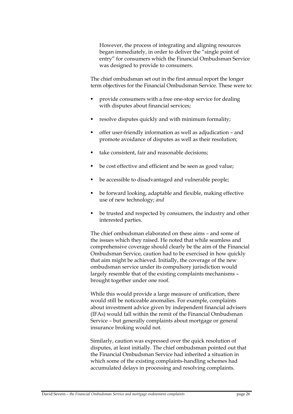However, the process of integrating and aligning resources began immediately, in order to deliver the "single point of entry" for consumers which the Financial Ombudsman Service was designed to provide to consumers.

The chief ombudsman set out in the first annual report the longer term objectives for the Financial Ombudsman Service. These were to:

- provide consumers with a free one-stop service for dealing with disputes about financial services;
- resolve disputes quickly and with minimum formality;
- offer user-friendly information as well as adjudication and promote avoidance of disputes as well as their resolution;
- take consistent, fair and reasonable decisions;
- be cost effective and efficient and be seen as good value;
- be accessible to disadvantaged and vulnerable people;
- be forward looking, adaptable and flexible, making effective use of new technology; *and*
- be trusted and respected by consumers, the industry and other interested parties.

The chief ombudsman elaborated on these aims – and some of the issues which they raised. He noted that while seamless and comprehensive coverage should clearly be the aim of the Financial Ombudsman Service, caution had to be exercised in how quickly that aim might be achieved. Initially, the coverage of the new ombudsman service under its compulsory jurisdiction would largely resemble that of the existing complaints mechanisms – brought together under one roof.

While this would provide a large measure of unification, there would still be noticeable anomalies. For example, complaints about investment advice given by independent financial advisers (IFAs) would fall within the remit of the Financial Ombudsman Service – but generally complaints about mortgage or general insurance broking would not.

Similarly, caution was expressed over the quick resolution of disputes, at least initially. The chief ombudsman pointed out that the Financial Ombudsman Service had inherited a situation in which some of the existing complaints-handling schemes had accumulated delays in processing and resolving complaints.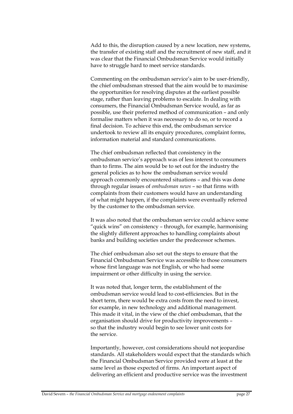Add to this, the disruption caused by a new location, new systems, the transfer of existing staff and the recruitment of new staff, and it was clear that the Financial Ombudsman Service would initially have to struggle hard to meet service standards.

Commenting on the ombudsman service's aim to be user-friendly, the chief ombudsman stressed that the aim would be to maximise the opportunities for resolving disputes at the earliest possible stage, rather than leaving problems to escalate. In dealing with consumers, the Financial Ombudsman Service would, as far as possible, use their preferred method of communication – and only formalise matters when it was necessary to do so, or to record a final decision. To achieve this end, the ombudsman service undertook to review all its enquiry procedures, complaint forms, information material and standard communications.

The chief ombudsman reflected that consistency in the ombudsman service's approach was of less interest to consumers than to firms. The aim would be to set out for the industry the general policies as to how the ombudsman service would approach commonly encountered situations – and this was done through regular issues of *ombudsman news* – so that firms with complaints from their customers would have an understanding of what might happen, if the complaints were eventually referred by the customer to the ombudsman service.

It was also noted that the ombudsman service could achieve some "quick wins" on consistency – through, for example, harmonising the slightly different approaches to handling complaints about banks and building societies under the predecessor schemes.

The chief ombudsman also set out the steps to ensure that the Financial Ombudsman Service was accessible to those consumers whose first language was not English, or who had some impairment or other difficulty in using the service.

It was noted that, longer term, the establishment of the ombudsman service would lead to cost-efficiencies. But in the short term, there would be extra costs from the need to invest, for example, in new technology and additional management. This made it vital, in the view of the chief ombudsman, that the organisation should drive for productivity improvements – so that the industry would begin to see lower unit costs for the service.

Importantly, however, cost considerations should not jeopardise standards. All stakeholders would expect that the standards which the Financial Ombudsman Service provided were at least at the same level as those expected of firms. An important aspect of delivering an efficient and productive service was the investment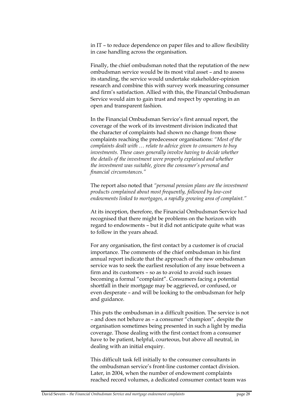in IT – to reduce dependence on paper files and to allow flexibility in case handling across the organisation.

Finally, the chief ombudsman noted that the reputation of the new ombudsman service would be its most vital asset – and to assess its standing, the service would undertake stakeholder-opinion research and combine this with survey work measuring consumer and firm's satisfaction. Allied with this, the Financial Ombudsman Service would aim to gain trust and respect by operating in an open and transparent fashion.

In the Financial Ombudsman Service's first annual report, the coverage of the work of its investment division indicated that the character of complaints had shown no change from those complaints reaching the predecessor organisations: *"Most of the complaints dealt with … relate to advice given to consumers to buy investments. These cases generally involve having to decide whether the details of the investment were properly explained and whether the investment was suitable, given the consumer's personal and financial circumstances."*

The report also noted that *"personal pension plans are the investment products complained about most frequently, followed by low-cost endowments linked to mortgages, a rapidly growing area of complaint."*

At its inception, therefore, the Financial Ombudsman Service had recognised that there might be problems on the horizon with regard to endowments – but it did not anticipate quite what was to follow in the years ahead.

For any organisation, the first contact by a customer is of crucial importance. The comments of the chief ombudsman in his first annual report indicate that the approach of the new ombudsman service was to seek the earliest resolution of any issue between a firm and its customers – so as to avoid to avoid such issues becoming a formal "complaint". Consumers facing a potential shortfall in their mortgage may be aggrieved, or confused, or even desperate – and will be looking to the ombudsman for help and guidance.

This puts the ombudsman in a difficult position. The service is not – and does not behave as – a consumer "champion", despite the organisation sometimes being presented in such a light by media coverage. Those dealing with the first contact from a consumer have to be patient, helpful, courteous, but above all neutral, in dealing with an initial enquiry.

This difficult task fell initially to the consumer consultants in the ombudsman service's front-line customer contact division. Later, in 2004, when the number of endowment complaints reached record volumes, a dedicated consumer contact team was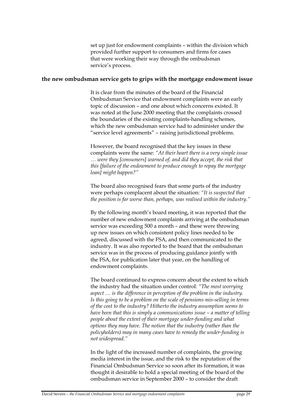set up just for endowment complaints – within the division which provided further support to consumers and firms for cases that were working their way through the ombudsman service's process.

### **the new ombudsman service gets to grips with the mortgage endowment issue**

It is clear from the minutes of the board of the Financial Ombudsman Service that endowment complaints were an early topic of discussion – and one about which concerns existed. It was noted at the June 2000 meeting that the complaints crossed the boundaries of the existing complaints-handling schemes, which the new ombudsman service had to administer under the "service level agreements" – raising jurisdictional problems.

However, the board recognised that the key issues in these complaints were the same: *"At their heart there is a very simple issue … were they [consumers] warned of, and did they accept, the risk that this [failure of the endowment to produce enough to repay the mortgage loan] might happen?"*

The board also recognised fears that some parts of the industry were perhaps complacent about the situation: *"It is suspected that the position is far worse than, perhaps, was realised within the industry."*

By the following month's board meeting, it was reported that the number of new endowment complaints arriving at the ombudsman service was exceeding 500 a month – and these were throwing up new issues on which consistent policy lines needed to be agreed, discussed with the FSA, and then communicated to the industry. It was also reported to the board that the ombudsman service was in the process of producing guidance jointly with the FSA, for publication later that year, on the handling of endowment complaints.

The board continued to express concern about the extent to which the industry had the situation under control: *"The most worrying aspect … is the difference in perception of the problem in the industry. Is this going to be a problem on the scale of pensions mis-selling in terms of the cost to the industry? Hitherto the industry assumption seems to have been that this is simply a communications issue – a matter of telling people about the extent of their mortgage under-funding and what options they may have. The notion that the industry (rather than the policyholders) may in many cases have to remedy the under-funding is not widespread."*

In the light of the increased number of complaints, the growing media interest in the issue, and the risk to the reputation of the Financial Ombudsman Service so soon after its formation, it was thought it desirable to hold a special meeting of the board of the ombudsman service in September 2000 – to consider the draft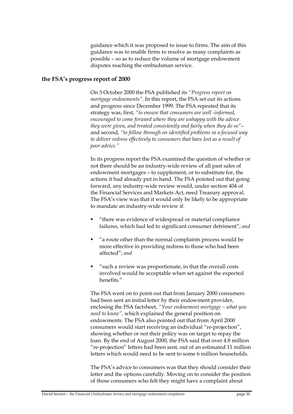guidance which it was proposed to issue to firms. The aim of this guidance was to enable firms to resolve as many complaints as possible – so as to reduce the volume of mortgage endowment disputes reaching the ombudsman service.

### **the FSA's progress report of 2000**

On 3 October 2000 the FSA published its *"Progress report on mortgage endowments"*. In this report, the FSA set out its actions and progress since December 1999. The FSA repeated that its strategy was, first, *"to ensure that consumers are well -informed, encouraged to come forward where they are unhappy with the advice they were given, and treated consistently and fairly when they do so"*– and second, *"to follow through on identified problems in a focused way to deliver redress effectively to consumers that have lost as a result of poor advice."* 

In its progress report the FSA examined the question of whether or not there should be an industry-wide review of all past sales of endowment mortgages – to supplement, or to substitute for, the actions it had already put in hand. The FSA pointed out that going forward, any industry-wide review would, under section 404 of the Financial Services and Markets Act, need Treasury approval. The FSA's view was that it would only be likely to be appropriate to mandate an industry-wide review if:

- "there was evidence of widespread or material compliance failures, which had led to significant consumer detriment"; *and*
- "a route other than the normal complaints process would be more effective in providing redress to those who had been affected"; *and*
- "such a review was proportionate, in that the overall costs involved would be acceptable when set against the expected benefits."

The FSA went on to point out that from January 2000 consumers had been sent an initial letter by their endowment provider, enclosing the FSA factsheet, *"Your endowment mortgage – what you need to know",* which explained the general position on endowments. The FSA also pointed out that from April 2000 consumers would start receiving an individual "re-projection", showing whether or not their policy was on target to repay the loan. By the end of August 2000, the FSA said that over 4.8 million "re-projection" letters had been sent, out of an estimated 11 million letters which would need to be sent to some 6 million households.

The FSA's advice to consumers was that they should consider their letter and the options carefully. Moving on to consider the position of those consumers who felt they might have a complaint about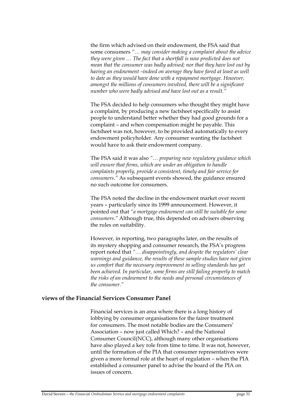the firm which advised on their endowment, the FSA said that some consumers *"… may consider making a complaint about the advice they were given … The fact that a shortfall is now predicted does not mean that the consumer was badly advised; nor that they have lost out by having an endowment –indeed on average they have fared at least as well to date as they would have done with a repayment mortgage. However, amongst the millions of consumers involved, there will be a significant number who were badly advised and have lost out as a result."*

The FSA decided to help consumers who thought they might have a complaint, by producing a new factsheet specifically to assist people to understand better whether they had good grounds for a complaint – and when compensation might be payable. This factsheet was not, however, to be provided automatically to every endowment policyholder. Any consumer wanting the factsheet would have to ask their endowment company.

The FSA said it was also *"… preparing new regulatory guidance which will ensure that firms, which are under an obligation to handle complaints properly, provide a consistent, timely and fair service for consumers."* As subsequent events showed, the guidance ensured no such outcome for consumers.

The FSA noted the decline in the endowment market over recent years – particularly since its 1999 announcement. However, it pointed out that *"a mortgage endowment can still be suitable for some consumers."* Although true, this depended on advisers observing the rules on suitability.

However, in reporting, two paragraphs later, on the results of its mystery shopping and consumer research, the FSA's progress report noted that *"… disappointingly, and despite the regulators' clear warnings and guidance, the results of these sample studies have not given us comfort that the necessary improvement in selling standards has yet been achieved. In particular, some firms are still failing properly to match the risks of an endowment to the needs and personal circumstances of the consumer."*

### **views of the Financial Services Consumer Panel**

Financial services is an area where there is a long history of lobbying by consumer organisations for the fairer treatment for consumers. The most notable bodies are the Consumers' Association – now just called Which? – and the National Consumer Council(NCC), although many other organisations have also played a key role from time to time. It was not, however, until the formation of the PIA that consumer representatives were given a more formal role at the heart of regulation – when the PIA established a consumer panel to advise the board of the PIA on issues of concern.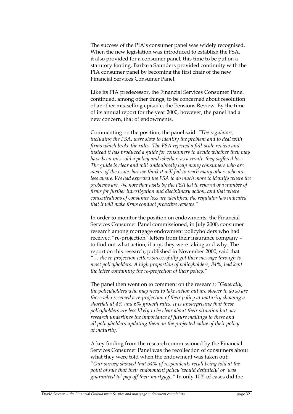The success of the PIA's consumer panel was widely recognised. When the new legislation was introduced to establish the FSA, it also provided for a consumer panel, this time to be put on a statutory footing. Barbara Saunders provided continuity with the PIA consumer panel by becoming the first chair of the new Financial Services Consumer Panel.

Like its PIA predecessor, the Financial Services Consumer Panel continued, among other things, to be concerned about resolution of another mis-selling episode, the Pensions Review. By the time of its annual report for the year 2000, however, the panel had a new concern, that of endowments.

Commenting on the position, the panel said: *"The regulators, including the FSA, were slow to identify the problem and to deal with firms which broke the rules. The FSA rejected a full-scale review and instead it has produced a guide for consumers to decide whether they may have been mis-sold a policy and whether, as a result, they suffered loss. The guide is clear and will undoubtedly help many consumers who are aware of the issue, but we think it will fail to reach many others who are*  less aware. We had expected the FSA to do much more to identify where the *problems are. We note that visits by the FSA led to referral of a number of firms for further investigation and disciplinary action, and that where concentrations of consumer loss are identified, the regulator has indicated that it will make firms conduct proactive reviews."*

In order to monitor the position on endowments, the Financial Services Consumer Panel commissioned, in July 2000, consumer research among mortgage endowment policyholders who had received "re-projection" letters from their insurance company – to find out what action, if any, they were taking and why. The report on this research, published in November 2000, said that *"… the re-projection letters successfully got their message through to most policyholders. A high proportion of policyholders, 84%, had kept the letter containing the re-projection of their policy."*

The panel then went on to comment on the research: *"Generally, the policyholders who may need to take action but are slower to do so are those who received a re-projection of their policy at maturity showing a shortfall at 4% and 6% growth rates. It is unsurprising that these policyholders are less likely to be clear about their situation but our research underlines the importance of future mailings to these and all policyholders updating them on the projected value of their policy at maturity."*

A key finding from the research commissioned by the Financial Services Consumer Panel was the recollection of consumers about what they were told when the endowment was taken out: "*Our survey showed that 54% of respondents recall being told at the point of sale that their endowment policy 'would definitely' or 'was guaranteed to' pay off their mortgage."* In only 10% of cases did the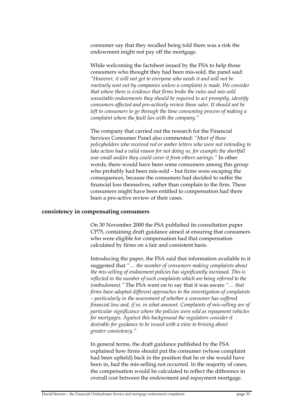consumer say that they recalled being told there was a risk the endowment might not pay off the mortgage.

While welcoming the factsheet issued by the FSA to help those consumers who thought they had been mis-sold, the panel said: *"However, it will not get to everyone who needs it and will not be routinely sent out by companies unless a complaint is made. We consider that where there is evidence that firms broke the rules and mis-sold unsuitable endowments they should be required to act promptly, identify consumers affected and pro-actively review those sales. It should not be left to consumers to go through the time consuming process of making a complaint where the fault lies with the company."*

The company that carried out the research for the Financial Services Consumer Panel also commented: *"Most of those policyholders who received red or amber letters who were not intending to take action had a valid reason for not doing so, for example the shortfall was small and/or they could cover it from others savings."* In other words, there would have been some consumers among this group who probably had been mis-sold – but firms were escaping the consequences, because the consumers had decided to suffer the financial loss themselves, rather than complain to the firm. These consumers might have been entitled to compensation had there been a pro-active review of their cases.

#### **consistency in compensating consumers**

On 30 November 2000 the FSA published its consultation paper CP75, containing draft guidance aimed at ensuring that consumers who were eligible for compensation had that compensation calculated by firms on a fair and consistent basis.

Introducing the paper, the FSA said that information available to it suggested that *"… the number of consumers making complaints about the mis-selling of endowment policies has significantly increased. This is reflected in the number of such complaints which are being referred to the (ombudsman)."* The FSA went on to say that it was aware *"… that firms have adopted different approaches to the investigation of complaints – particularly in the assessment of whether a consumer has suffered financial loss and, if so, in what amount. Complaints of mis-selling are of particular significance where the policies were sold as repayment vehicles for mortgages. Against this background the regulators consider it desirable for guidance to be issued with a view to brining about greater consistency."*

In general terms, the draft guidance published by the FSA explained how firms should put the consumer (whose complaint had been upheld) back in the position that he or she would have been in, had the mis-selling not occurred. In the majority of cases, the compensation would be calculated to reflect the difference in overall cost between the endowment and repayment mortgage.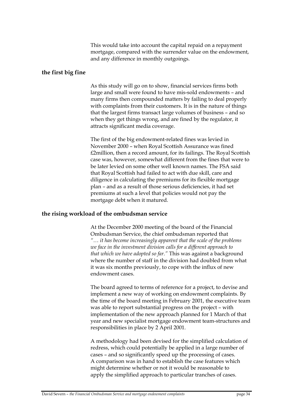This would take into account the capital repaid on a repayment mortgage, compared with the surrender value on the endowment, and any difference in monthly outgoings.

### **the first big fine**

As this study will go on to show, financial services firms both large and small were found to have mis-sold endowments – and many firms then compounded matters by failing to deal properly with complaints from their customers. It is in the nature of things that the largest firms transact large volumes of business – and so when they get things wrong, and are fined by the regulator, it attracts significant media coverage.

The first of the big endowment-related fines was levied in November 2000 – when Royal Scottish Assurance was fined £2million, then a record amount, for its failings. The Royal Scottish case was, however, somewhat different from the fines that were to be later levied on some other well known names. The FSA said that Royal Scottish had failed to act with due skill, care and diligence in calculating the premiums for its flexible mortgage plan – and as a result of those serious deficiencies, it had set premiums at such a level that policies would not pay the mortgage debt when it matured.

### **the rising workload of the ombudsman service**

At the December 2000 meeting of the board of the Financial Ombudsman Service, the chief ombudsman reported that *"… it has become increasingly apparent that the scale of the problems we face in the investment division calls for a different approach to that which we have adopted so far."* This was against a background where the number of staff in the division had doubled from what it was six months previously, to cope with the influx of new endowment cases.

The board agreed to terms of reference for a project, to devise and implement a new way of working on endowment complaints. By the time of the board meeting in February 2001, the executive team was able to report substantial progress on the project – with implementation of the new approach planned for 1 March of that year and new specialist mortgage endowment team-structures and responsibilities in place by 2 April 2001.

A methodology had been devised for the simplified calculation of redress, which could potentially be applied in a large number of cases – and so significantly speed up the processing of cases. A comparison was in hand to establish the case features which might determine whether or not it would be reasonable to apply the simplified approach to particular tranches of cases.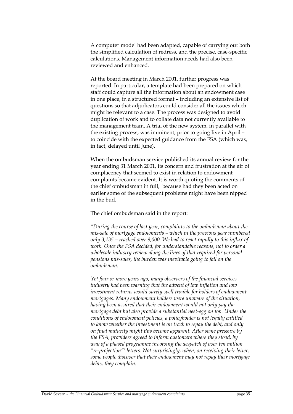A computer model had been adapted, capable of carrying out both the simplified calculation of redress, and the precise, case-specific calculations. Management information needs had also been reviewed and enhanced.

At the board meeting in March 2001, further progress was reported. In particular, a template had been prepared on which staff could capture all the information about an endowment case in one place, in a structured format – including an extensive list of questions so that adjudicators could consider all the issues which might be relevant to a case. The process was designed to avoid duplication of work and to collate data not currently available to the management team. A trial of the new system, in parallel with the existing process, was imminent, prior to going live in April – to coincide with the expected guidance from the FSA (which was, in fact, delayed until June).

When the ombudsman service published its annual review for the year ending 31 March 2001, its concern and frustration at the air of complacency that seemed to exist in relation to endowment complaints became evident. It is worth quoting the comments of the chief ombudsman in full, because had they been acted on earlier some of the subsequent problems might have been nipped in the bud.

### The chief ombudsman said in the report:

*"During the course of last year, complaints to the ombudsman about the mis-sale of mortgage endowments – which in the previous year numbered only 3,135 – reached over 9,000. We had to react rapidly to this influx of work. Once the FSA decided, for understandable reasons, not to order a wholesale industry review along the lines of that required for personal pensions mis-sales, the burden was inevitable going to fall on the ombudsman.* 

*Yet four or more years ago, many observers of the financial services industry had been warning that the advent of low inflation and low investment returns would surely spell trouble for holders of endowment mortgages. Many endowment holders were unaware of the situation, having been assured that their endowment would not only pay the mortgage debt but also provide a substantial nest-egg on top. Under the conditions of endowment policies, a policyholder is not legally entitled to know whether the investment is on track to repay the debt, and only on final maturity might this become apparent. After some pressure by the FSA, providers agreed to inform customers where they stood, by way of a phased programme involving the despatch of over ten million "re-projection"' letters. Not surprisingly, when, on receiving their letter, some people discover that their endowment may not repay their mortgage debts, they complain.*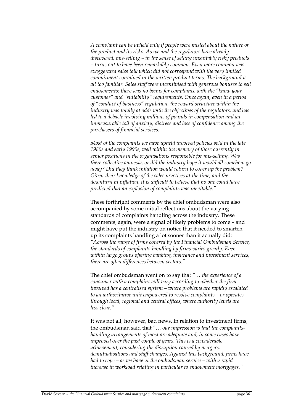*A complaint can be upheld only if people were misled about the nature of the product and its risks. As we and the regulators have already discovered, mis-selling – in the sense of selling unsuitably risky products – turns out to have been remarkably common. Even more common was exaggerated sales talk which did not correspond with the very limited commitment contained in the written product terms. The background is all too familiar. Sales staff were incentivised with generous bonuses to sell endowments: there was no bonus for compliance with the "know your customer" and "suitability" requirements. Once again, even in a period of "conduct of business" regulation, the reward structure within the industry was totally at odds with the objectives of the regulators, and has led to a debacle involving millions of pounds in compensation and an immeasurable toll of anxiety, distress and loss of confidence among the purchasers of financial services.* 

*Most of the complaints we have upheld involved policies sold in the late 1980s and early 1990s, well within the memory of those currently in senior positions in the organisations responsible for mis-selling. Was there collective amnesia, or did the industry hope it would all somehow go away? Did they think inflation would return to cover up the problem? Given their knowledge of the sales practices at the time, and the downturn in inflation, it is difficult to believe that no one could have predicted that an explosion of complaints was inevitable."*

These forthright comments by the chief ombudsman were also accompanied by some initial reflections about the varying standards of complaints handling across the industry. These comments, again, were a signal of likely problems to come – and might have put the industry on notice that it needed to smarten up its complaints handling a lot sooner than it actually did: *"Across the range of firms covered by the Financial Ombudsman Service, the standards of complaints-handling by firms varies greatly. Even within large groups offering banking, insurance and investment services, there are often differences between sectors."* 

The chief ombudsman went on to say that *"… the experience of a consumer with a complaint will vary according to whether the firm involved has a centralised system – where problems are rapidly escalated to an authoritative unit empowered to resolve complaints – or operates through local, regional and central offices, where authority levels are less clear."*

It was not all, however, bad news. In relation to investment firms, the ombudsman said that *"… our impression is that the complaintshandling arrangements of most are adequate and, in some cases have improved over the past couple of years. This is a considerable achievement, considering the disruption caused by mergers, demutualisations and staff changes. Against this background, firms have had to cope – as we have at the ombudsman service – with a rapid increase in workload relating in particular to endowment mortgages."*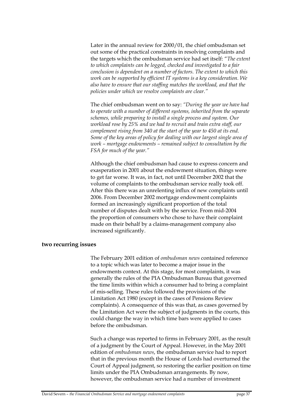Later in the annual review for 2000/01, the chief ombudsman set out some of the practical constraints in resolving complaints and the targets which the ombudsman service had set itself: "*The extent to which complaints can be logged, checked and investigated to a fair conclusion is dependent on a number of factors. The extent to which this work can be supported by efficient IT systems is a key consideration. We also have to ensure that our staffing matches the workload, and that the policies under which we resolve complaints are clear."*

The chief ombudsman went on to say: *"During the year we have had to operate with a number of different systems, inherited from the separate schemes, while preparing to install a single process and system. Our workload rose by 25% and we had to recruit and train extra staff, our complement rising from 340 at the start of the year to 450 at its end. Some of the key areas of policy for dealing with our largest single area of work – mortgage endowments – remained subject to consultation by the FSA for much of the year."* 

Although the chief ombudsman had cause to express concern and exasperation in 2001 about the endowment situation, things were to get far worse. It was, in fact, not until December 2002 that the volume of complaints to the ombudsman service really took off. After this there was an unrelenting influx of new complaints until 2006. From December 2002 mortgage endowment complaints formed an increasingly significant proportion of the total number of disputes dealt with by the service. From mid-2004 the proportion of consumers who chose to have their complaint made on their behalf by a claims-management company also increased significantly.

### **two recurring issues**

The February 2001 edition of *ombudsman news* contained reference to a topic which was later to become a major issue in the endowments context. At this stage, for most complaints, it was generally the rules of the PIA Ombudsman Bureau that governed the time limits within which a consumer had to bring a complaint of mis-selling. These rules followed the provisions of the Limitation Act 1980 (except in the cases of Pensions Review complaints). A consequence of this was that, as cases governed by the Limitation Act were the subject of judgments in the courts, this could change the way in which time bars were applied to cases before the ombudsman.

Such a change was reported to firms in February 2001, as the result of a judgment by the Court of Appeal. However, in the May 2001 edition of *ombudsman news*, the ombudsman service had to report that in the previous month the House of Lords had overturned the Court of Appeal judgment, so restoring the earlier position on time limits under the PIA Ombudsman arrangements. By now, however, the ombudsman service had a number of investment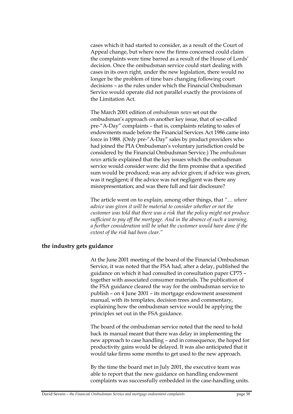cases which it had started to consider, as a result of the Court of Appeal change, but where now the firms concerned could claim the complaints were time barred as a result of the House of Lords' decision. Once the ombudsman service could start dealing with cases in its own right, under the new legislation, there would no longer be the problem of time bars changing following court decisions – as the rules under which the Financial Ombudsman Service would operate did not parallel exactly the provisions of the Limitation Act.

The March 2001 edition of *ombudsman news* set out the ombudsman's approach on another key issue, that of so-called pre-"A-Day" complaints – that is, complaints relating to sales of endowments made before the Financial Services Act 1986 came into force in 1988. (Only pre-"A-Day" sales by product providers who had joined the PIA Ombudsman's voluntary jurisdiction could be considered by the Financial Ombudsman Service.) The *ombudsman news* article explained that the key issues which the ombudsman service would consider were: did the firm promise that a specified sum would be produced; was any advice given; if advice was given, was it negligent; if the advice was not negligent was there any misrepresentation; and was there full and fair disclosure?

The article went on to explain, among other things, that *"… where advice was given it will be material to consider whether or not the customer was told that there was a risk that the policy might not produce sufficient to pay off the mortgage. And in the absence of such a warning, a further consideration will be what the customer would have done if the extent of the risk had been clear."*

### **the industry gets guidance**

At the June 2001 meeting of the board of the Financial Ombudsman Service, it was noted that the FSA had, after a delay, published the guidance on which it had consulted in consultation paper CP75 – together with associated consumer materials. The publication of the FSA guidance cleared the way for the ombudsman service to publish – on 4 June 2001 – its mortgage endowment assessment manual, with its templates, decision trees and commentary, explaining how the ombudsman service would be applying the principles set out in the FSA guidance.

The board of the ombudsman service noted that the need to hold back its manual meant that there was delay in implementing the new approach to case handling – and in consequence, the hoped for productivity gains would be delayed. It was also anticipated that it would take firms some months to get used to the new approach.

By the time the board met in July 2001, the executive team was able to report that the new guidance on handling endowment complaints was successfully embedded in the case-handling units.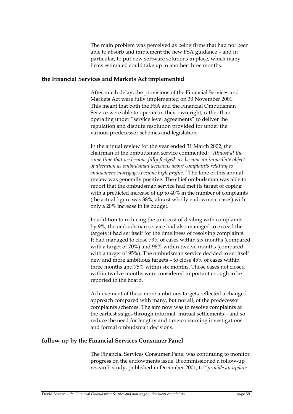The main problem was perceived as being firms that had not been able to absorb and implement the new FSA guidance – and in particular, to put new software solutions in place, which many firms estimated could take up to another three months.

### **the Financial Services and Markets Act implemented**

After much delay, the provisions of the Financial Services and Markets Act were fully implemented on 30 November 2001. This meant that both the FSA and the Financial Ombudsman Service were able to operate in their own right, rather than operating under "service level agreements" to deliver the regulation and dispute resolution provided for under the various predecessor schemes and legislation.

In the annual review for the year ended 31 March 2002, the chairman of the ombudsman service commented: *"Almost at the same time that we became fully fledged, we became an immediate object of attention as ombudsman decisions about complaints relating to endowment mortgages became high profile."* The tone of this annual review was generally positive. The chief ombudsman was able to report that the ombudsman service had met its target of coping with a predicted increase of up to 40% in the number of complaints (the actual figure was 38%, almost wholly endowment cases) with only a 20% increase in its budget.

In addition to reducing the unit cost of dealing with complaints by 9%, the ombudsman service had also managed to exceed the targets it had set itself for the timeliness of resolving complaints. It had managed to close 73% of cases within six months (compared with a target of 70%) and 96% within twelve months (compared with a target of 95%). The ombudsman service decided to set itself new and more ambitious targets – to close 45% of cases within three months and 75% within six months. Those cases not closed within twelve months were considered important enough to be reported to the board.

Achievement of these more ambitious targets reflected a changed approach compared with many, but not all, of the predecessor complaints schemes. The aim now was to resolve complaints at the earliest stages through informal, mutual settlements – and so reduce the need for lengthy and time-consuming investigations and formal ombudsman decisions.

### **follow-up by the Financial Services Consumer Panel**

The Financial Services Consumer Panel was continuing to monitor progress on the endowments issue. It commissioned a follow-up research study, published in December 2001, to *"provide an update*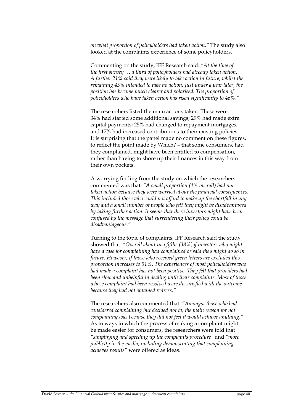*on what proportion of policyholders had taken action."* The study also looked at the complaints experience of some policyholders.

Commenting on the study, IFF Research said: *"At the time of the first survey … a third of policyholders had already taken action. A further 21% said they were likely to take action in future, whilst the remaining 45% intended to take no action. Just under a year later, the position has become much clearer and polarised. The proportion of policyholders who have taken action has risen significantly to 46%."*

The researchers listed the main actions taken. These were: 34% had started some additional savings; 29% had made extra capital payments; 25% had changed to repayment mortgages; and 17% had increased contributions to their existing policies. It is surprising that the panel made no comment on these figures, to reflect the point made by Which? – that some consumers, had they complained, might have been entitled to compensation, rather than having to shore up their finances in this way from their own pockets.

A worrying finding from the study on which the researchers commented was that: *"A small proportion (4% overall) had not taken action because they were worried about the financial consequences. This included those who could not afford to make up the shortfall in any way and a small number of people who felt they might be disadvantaged by taking further action. It seems that these investors might have been confused by the message that surrendering their policy could be disadvantageous."*

Turning to the topic of complaints, IFF Research said the study showed that: *"Overall about two fifths (38%)of investors who might have a case for complaining had complained or said they might do so in future. However, if those who received green letters are excluded this proportion increases to 51%. The experiences of most policyholders who had made a complaint has not been positive. They felt that providers had been slow and unhelpful in dealing with their complaints. Most of those whose complaint had been resolved were dissatisfied with the outcome because they had not obtained redress."*

The researchers also commented that: *"Amongst those who had considered complaining but decided not to, the main reason for not complaining was because they did not feel it would achieve anything."* As to ways in which the process of making a complaint might be made easier for consumers, the researchers were told that *"simplifying and speeding up the complaints procedure"* and *"more publicity in the media, including demonstrating that complaining achieves results"* were offered as ideas.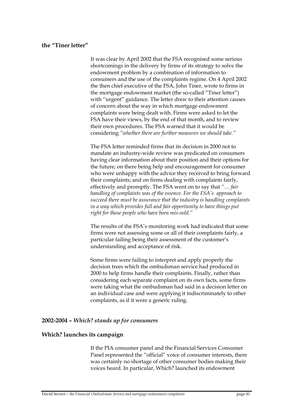### **the "Tiner letter"**

It was clear by April 2002 that the FSA recognised some serious shortcomings in the delivery by firms of its strategy to solve the endowment problem by a combination of information to consumers and the use of the complaints regime. On 4 April 2002 the then chief executive of the FSA, John Tiner, wrote to firms in the mortgage endowment market (the so-called "Tiner letter") with "urgent" guidance. The letter drew to their attention causes of concern about the way in which mortgage endowment complaints were being dealt with. Firms were asked to let the FSA have their views, by the end of that month, and to review their own procedures. The FSA warned that it would be considering *"whether there are further measures we should take."*

The FSA letter reminded firms that its decision in 2000 not to mandate an industry-wide review was predicated on consumers having clear information about their position and their options for the future; on there being help and encouragement for consumer who were unhappy with the advice they received to bring forward their complaints; and on firms dealing with complaints fairly, effectively and promptly. The FSA went on to say that *"… fair handling of complaints was of the essence. For the FSA's approach to succeed there must be assurance that the industry is handling complaints in a way which provides full and fair opportunity to have things put right for those people who have been mis-sold."*

The results of the FSA's monitoring work had indicated that some firms were not assessing some or all of their complaints fairly, a particular failing being their assessment of the customer's understanding and acceptance of risk.

Some firms were failing to interpret and apply properly the decision trees which the ombudsman service had produced in 2000 to help firms handle their complaints. Finally, rather than considering each separate complaint on its own facts, some firms were taking what the ombudsman had said in a decision letter on an individual case and were applying it indiscriminately to other complaints, as if it were a generic ruling.

### **2002-2004 –** *Which? stands up for consumers*

### **Which? launches its campaign**

If the PIA consumer panel and the Financial Services Consumer Panel represented the "official" voice of consumer interests, there was certainly no shortage of other consumer bodies making their voices heard. In particular, Which? launched its endowment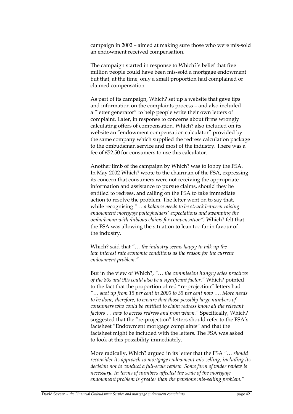campaign in 2002 – aimed at making sure those who were mis-sold an endowment received compensation.

The campaign started in response to Which?'s belief that five million people could have been mis-sold a mortgage endowment but that, at the time, only a small proportion had complained or claimed compensation.

As part of its campaign, Which? set up a website that gave tips and information on the complaints process – and also included a "letter generator" to help people write their own letters of complaint. Later, in response to concerns about firms wrongly calculating offers of compensation, Which? also included on its website an "endowment compensation calculator" provided by the same company which supplied the redress calculation package to the ombudsman service and most of the industry. There was a fee of £52.50 for consumers to use this calculator.

Another limb of the campaign by Which? was to lobby the FSA. In May 2002 Which? wrote to the chairman of the FSA, expressing its concern that consumers were not receiving the appropriate information and assistance to pursue claims, should they be entitled to redress, and calling on the FSA to take immediate action to resolve the problem. The letter went on to say that, while recognising *"… a balance needs to be struck between raising endowment mortgage policyholders' expectations and swamping the ombudsman with dubious claims for compensation",* Which? felt that the FSA was allowing the situation to lean too far in favour of the industry.

Which? said that *"… the industry seems happy to talk up the low interest rate economic conditions as the reason for the current endowment problem."*

But in the view of Which?, *"… the commission hungry sales practices of the 80s and 90s could also be a significant factor."* Which? pointed to the fact that the proportion of red "re-projection" letters had *"… shot up from 15 per cent in 2000 to 35 per cent now …. More needs to be done, therefore, to ensure that those possibly large numbers of consumers who could be entitled to claim redress know all the relevant factors … how to access redress and from whom."* Specifically, Which? suggested that the "re-projection" letters should refer to the FSA's factsheet "Endowment mortgage complaints" and that the factsheet might be included with the letters. The FSA was asked to look at this possibility immediately.

More radically, Which? argued in its letter that the FSA *"… should reconsider its approach to mortgage endowment mis-selling, including its decision not to conduct a full-scale review. Some form of wider review is necessary. In terms of numbers affected the scale of the mortgage endowment problem is greater than the pensions mis-selling problem."*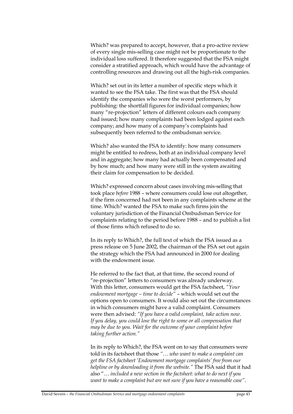Which? was prepared to accept, however, that a pro-active review of every single mis-selling case might not be proportionate to the individual loss suffered. It therefore suggested that the FSA might consider a stratified approach, which would have the advantage of controlling resources and drawing out all the high-risk companies.

Which? set out in its letter a number of specific steps which it wanted to see the FSA take. The first was that the FSA should identify the companies who were the worst performers, by publishing: the shortfall figures for individual companies; how many "re-projection" letters of different colours each company had issued; how many complaints had been lodged against each company; and how many of a company's complaints had subsequently been referred to the ombudsman service.

Which? also wanted the FSA to identify: how many consumers might be entitled to redress, both at an individual company level and in aggregate; how many had actually been compensated and by how much; and how many were still in the system awaiting their claim for compensation to be decided.

Which? expressed concern about cases involving mis-selling that took place *before* 1988 – where consumers could lose out altogether, if the firm concerned had not been in any complaints scheme at the time. Which? wanted the FSA to make such firms join the voluntary jurisdiction of the Financial Ombudsman Service for complaints relating to the period before 1988 – and to publish a list of those firms which refused to do so.

In its reply to Which?, the full text of which the FSA issued as a press release on 5 June 2002, the chairman of the FSA set out again the strategy which the FSA had announced in 2000 for dealing with the endowment issue.

He referred to the fact that, at that time, the second round of "re-projection" letters to consumers was already underway. With this letter, consumers would get the FSA factsheet, *"Your endowment mortgage – time to decide"* – which would set out the options open to consumers. It would also set out the circumstances in which consumers might have a valid complaint. Consumers were then advised: *"If you have a valid complaint, take action now. If you delay, you could lose the right to some or all compensation that may be due to you. Wait for the outcome of your complaint before taking further action."*

In its reply to Which?, the FSA went on to say that consumers were told in its factsheet that those *"… who want to make a complaint can get the FSA factsheet 'Endowment mortgage complaints' free from our helpline or by downloading it from the website."* The FSA said that it had also "… *included a new section in the factsheet: what to do next if you want to make a complaint but are not sure if you have a reasonable case"*.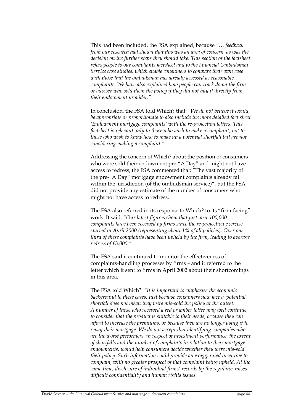This had been included, the FSA explained, because *"… feedback from our research had shown that this was an area of concern, as was the decision on the further steps they should take. This section of the factsheet refers people to our complaints factsheet and to the Financial Ombudsman Service case studies, which enable consumers to compare their own case with those that the ombudsman has already assessed as reasonable complaints. We have also explained how people can track down the firm or adviser who sold them the policy if they did not buy it directly from their endowment provider."*

In conclusion, the FSA told Which? that: *"We do not believe it would be appropriate or proportionate to also include the more detailed fact sheet 'Endowment mortgage complaints' with the re-projection letters. This factsheet is relevant only to those who wish to make a complaint, not to those who wish to know how to make up a potential shortfall but are not considering making a complaint."* 

Addressing the concern of Which? about the position of consumers who were sold their endowment pre-"A Day" and might not have access to redress, the FSA commented that: "The vast majority of the pre-"A Day" mortgage endowment complaints already fall within the jurisdiction (of the ombudsman service)", but the FSA did not provide any estimate of the number of consumers who might not have access to redress.

The FSA also referred in its response to Which? to its "firm-facing" work. It said: *"Our latest figures show that just over 100,000 … complaints have been received by firms since the re-projection exercise started in April 2000 (representing about 1% of all policies). Over one third of these complaints have been upheld by the firm, leading to average redress of £3,000."* 

The FSA said it continued to monitor the effectiveness of complaints-handling processes by firms – and it referred to the letter which it sent to firms in April 2002 about their shortcomings in this area.

The FSA told Which?: *"It is important to emphasise the economic background to these cases. Just because consumers now face a potential shortfall does not mean they were mis-sold the policy at the outset. A number of those who received a red or amber letter may well continue to consider that the product is suitable to their needs, because they can afford to increase the premiums, or because they are no longer using it to repay their mortgage. We do not accept that identifying companies who are the worst performers, in respect of investment performance, the extent of shortfalls and the number of complaints in relation to their mortgage endowments, would help consumers decide whether they were mis-sold their policy. Such information could provide an exaggerated incentive to complain, with no greater prospect of that complaint being upheld. At the same time, disclosure of individual firms' records by the regulator raises difficult confidentiality and human rights issues."*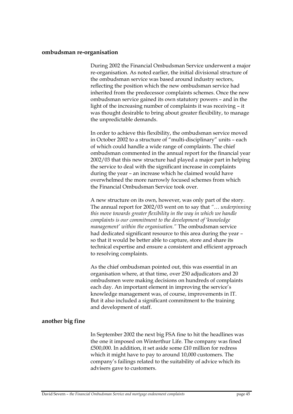#### **ombudsman re-organisation**

During 2002 the Financial Ombudsman Service underwent a major re-organisation. As noted earlier, the initial divisional structure of the ombudsman service was based around industry sectors, reflecting the position which the new ombudsman service had inherited from the predecessor complaints schemes. Once the new ombudsman service gained its own statutory powers – and in the light of the increasing number of complaints it was receiving – it was thought desirable to bring about greater flexibility, to manage the unpredictable demands.

In order to achieve this flexibility, the ombudsman service moved in October 2002 to a structure of "multi-disciplinary" units – each of which could handle a wide range of complaints. The chief ombudsman commented in the annual report for the financial year 2002/03 that this new structure had played a major part in helping the service to deal with the significant increase in complaints during the year – an increase which he claimed would have overwhelmed the more narrowly focused schemes from which the Financial Ombudsman Service took over.

A new structure on its own, however, was only part of the story. The annual report for 2002/03 went on to say that *"… underpinning this move towards greater flexibility in the way in which we handle complaints is our commitment to the development of 'knowledge management' within the organisation."* The ombudsman service had dedicated significant resource to this area during the year – so that it would be better able to capture, store and share its technical expertise and ensure a consistent and efficient approach to resolving complaints.

As the chief ombudsman pointed out, this was essential in an organisation where, at that time, over 250 adjudicators and 20 ombudsmen were making decisions on hundreds of complaints each day. An important element in improving the service's knowledge management was, of course, improvements in IT. But it also included a significant commitment to the training and development of staff.

### **another big fine**

In September 2002 the next big FSA fine to hit the headlines was the one it imposed on Winterthur Life. The company was fined £500,000. In addition, it set aside some £10 million for redress which it might have to pay to around 10,000 customers. The company's failings related to the suitability of advice which its advisers gave to customers.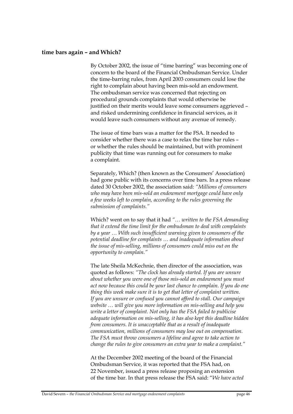#### **time bars again – and Which?**

By October 2002, the issue of "time barring" was becoming one of concern to the board of the Financial Ombudsman Service. Under the time-barring rules, from April 2003 consumers could lose the right to complain about having been mis-sold an endowment. The ombudsman service was concerned that rejecting on procedural grounds complaints that would otherwise be justified on their merits would leave some consumers aggrieved – and risked undermining confidence in financial services, as it would leave such consumers without any avenue of remedy.

The issue of time bars was a matter for the FSA. It needed to consider whether there was a case to relax the time bar rules – or whether the rules should be maintained, but with prominent publicity that time was running out for consumers to make a complaint.

Separately, Which? (then known as the Consumers' Association) had gone public with its concerns over time bars. In a press release dated 30 October 2002, the association said: *"Millions of consumers who may have been mis-sold an endowment mortgage could have only a few weeks left to complain, according to the rules governing the submission of complaints."*

Which? went on to say that it had *"… written to the FSA demanding that it extend the time limit for the ombudsman to deal with complaints by a year … With such insufficient warning given to consumers of the potential deadline for complaints … and inadequate information about the issue of mis-selling, millions of consumers could miss out on the opportunity to complain."* 

The late Sheila McKechnie, then director of the association, was quoted as follows: *"The clock has already started. If you are unsure about whether you were one of those mis-sold an endowment you must act now because this could be your last chance to complain. If you do one thing this week make sure it is to get that letter of complaint written. If you are unsure or confused you cannot afford to stall. Our campaign website … will give you more information on mis-selling and help you write a letter of complaint. Not only has the FSA failed to publicise adequate information on mis-selling, it has also kept this deadline hidden from consumers. It is unacceptable that as a result of inadequate communication, millions of consumers may lose out on compensation. The FSA must throw consumers a lifeline and agree to take action to change the rules to give consumers an extra year to make a complaint."*

At the December 2002 meeting of the board of the Financial Ombudsman Service, it was reported that the FSA had, on 22 November, issued a press release proposing an extension of the time bar. In that press release the FSA said: "*We have acted*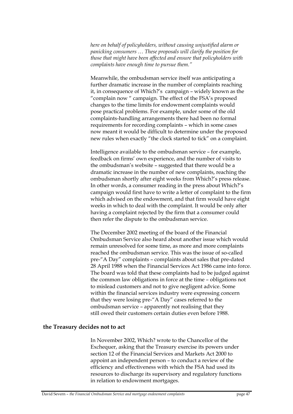*here on behalf of policyholders, without causing unjustified alarm or panicking consumers … These proposals will clarify the position for those that might have been affected and ensure that policyholders with complaints have enough time to pursue them."*

Meanwhile, the ombudsman service itself was anticipating a further dramatic increase in the number of complaints reaching it, in consequence of Which?'s campaign – widely known as the "complain now " campaign. The effect of the FSA's proposed changes to the time limits for endowment complaints would pose practical problems. For example, under some of the old complaints-handling arrangements there had been no formal requirements for recording complaints – which in some cases now meant it would be difficult to determine under the proposed new rules when exactly "the clock started to tick" on a complaint.

Intelligence available to the ombudsman service – for example, feedback on firms' own experience, and the number of visits to the ombudsman's website – suggested that there would be a dramatic increase in the number of new complaints, reaching the ombudsman shortly after eight weeks from Which?'s press release. In other words, a consumer reading in the press about Which?'s campaign would first have to write a letter of complaint to the firm which advised on the endowment, and that firm would have eight weeks in which to deal with the complaint. It would be only after having a complaint rejected by the firm that a consumer could then refer the dispute to the ombudsman service.

The December 2002 meeting of the board of the Financial Ombudsman Service also heard about another issue which would remain unresolved for some time, as more and more complaints reached the ombudsman service. This was the issue of so-called pre-"A Day" complaints – complaints about sales that pre-dated 28 April 1988 when the Financial Services Act 1986 came into force. The board was told that these complaints had to be judged against the common law obligations in force at the time – obligations not to mislead customers and not to give negligent advice. Some within the financial services industry were expressing concern that they were losing pre-"A Day" cases referred to the ombudsman service – apparently not realising that they still owed their customers certain duties even before 1988.

### **the Treasury decides not to act**

In November 2002, Which? wrote to the Chancellor of the Exchequer, asking that the Treasury exercise its powers under section 12 of the Financial Services and Markets Act 2000 to appoint an independent person – to conduct a review of the efficiency and effectiveness with which the FSA had used its resources to discharge its supervisory and regulatory functions in relation to endowment mortgages.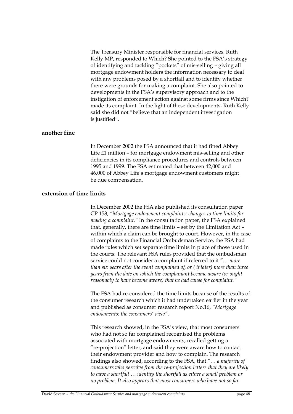The Treasury Minister responsible for financial services, Ruth Kelly MP, responded to Which? She pointed to the FSA's strategy of identifying and tackling "pockets" of mis-selling – giving all mortgage endowment holders the information necessary to deal with any problems posed by a shortfall and to identify whether there were grounds for making a complaint. She also pointed to developments in the FSA's supervisory approach and to the instigation of enforcement action against some firms since Which? made its complaint. In the light of these developments, Ruth Kelly said she did not "believe that an independent investigation is justified".

### **another fine**

In December 2002 the FSA announced that it had fined Abbey Life £1 million – for mortgage endowment mis-selling and other deficiencies in its compliance procedures and controls between 1995 and 1999. The FSA estimated that between 42,000 and 46,000 of Abbey Life's mortgage endowment customers might be due compensation.

#### **extension of time limits**

In December 2002 the FSA also published its consultation paper CP 158, *"Mortgage endowment complaints: changes to time limits for making a complaint."* In the consultation paper, the FSA explained that, generally, there are time limits – set by the Limitation Act – within which a claim can be brought to court. However, in the case of complaints to the Financial Ombudsman Service, the FSA had made rules which set separate time limits in place of those used in the courts. The relevant FSA rules provided that the ombudsman service could not consider a complaint if referred to it *"… more than six years after the event complained of, or ( if later) more than three years from the date on which the complainant became aware (or ought reasonably to have become aware) that he had cause for complaint."* 

The FSA had re-considered the time limits because of the results of the consumer research which it had undertaken earlier in the year and published as consumer research report No.16, *"Mortgage endowments: the consumers' view"*.

This research showed, in the FSA's view, that most consumers who had not so far complained recognised the problems associated with mortgage endowments, recalled getting a "re-projection" letter, and said they were aware how to contact their endowment provider and how to complain. The research findings also showed, according to the FSA, that *"… a majority of consumers who perceive from the re-projection letters that they are likely*  to have a shortfall ... *identify the shortfall as either a small problem or no problem. It also appears that most consumers who have not so far*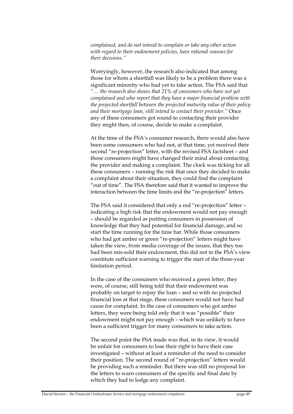*complained, and do not intend to complain or take any other action with regard to their endowment policies, have rational reasons for their decisions."* 

Worryingly, however, the research also indicated that among those for whom a shortfall was likely to be a problem there was a significant minority who had yet to take action. The FSA said that *"… the research also shows that 21% of consumers who have not yet complained and who report that they have a major financial problem with the projected shortfall between the projected maturity value of their policy and their mortgage loan, still intend to contact their provider."* Once any of these consumers got round to contacting their provider they might then, of course, decide to make a complaint.

At the time of the FSA's consumer research, there would also have been some consumers who had not, at that time, yet received their second "re-projection" letter, with the revised FSA factsheet – and those consumers might have changed their mind about contacting the provider and making a complaint. The clock was ticking for all these consumers – running the risk that once they decided to make a complaint about their situation, they could find the complaint "out of time". The FSA therefore said that it wanted to improve the interaction between the time limits and the "re-projection" letters.

The FSA said it considered that only a red "re-projection" letter – indicating a high risk that the endowment would not pay enough – should be regarded as putting consumers in possession of knowledge that they had potential for financial damage, and so start the time running for the time bar. While those consumers who had got amber or green "re-projection" letters might have taken the view, from media coverage of the issues, that they too had been mis-sold their endowment, this did not in the FSA's view constitute sufficient warning to trigger the start of the three-year limitation period.

In the case of the consumers who received a green letter, they were, of course, still being told that their endowment was probably on target to repay the loan – and so with no projected financial loss at that stage, these consumers would not have had cause for complaint. In the case of consumers who got amber letters, they were being told only that it was "possible" their endowment might not pay enough – which was unlikely to have been a sufficient trigger for many consumers to take action.

The second point the FSA made was that, in its view, it would be unfair for consumers to lose their right to have their case investigated – without at least a reminder of the need to consider their position. The second round of "re-projection" letters would be providing such a reminder. But there was still no proposal for the letters to warn consumers of the specific and final date by which they had to lodge any complaint.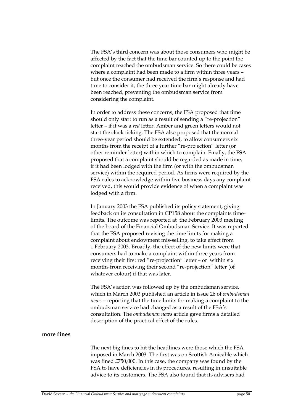The FSA's third concern was about those consumers who might be affected by the fact that the time bar counted up to the point the complaint reached the ombudsman service. So there could be cases where a complaint had been made to a firm within three years – but once the consumer had received the firm's response and had time to consider it, the three year time bar might already have been reached, preventing the ombudsman service from considering the complaint.

In order to address these concerns, the FSA proposed that time should only start to run as a result of sending a "re-projection" letter – if it was a *red* letter. Amber and green letters would not start the clock ticking. The FSA also proposed that the normal three-year period should be extended, to allow consumers six months from the receipt of a further "re-projection" letter (or other reminder letter) within which to complain. Finally, the FSA proposed that a complaint should be regarded as made in time, if it had been lodged with the firm (or with the ombudsman service) within the required period. As firms were required by the FSA rules to acknowledge within five business days any complaint received, this would provide evidence of when a complaint was lodged with a firm.

In January 2003 the FSA published its policy statement, giving feedback on its consultation in CP158 about the complaints timelimits. The outcome was reported at the February 2003 meeting of the board of the Financial Ombudsman Service. It was reported that the FSA proposed revising the time limits for making a complaint about endowment mis-selling, to take effect from 1 February 2003. Broadly, the effect of the new limits were that consumers had to make a complaint within three years from receiving their first red "re-projection" letter – or within six months from receiving their second "re-projection" letter (of whatever colour) if that was later.

The FSA's action was followed up by the ombudsman service, which in March 2003 published an article in issue 26 of *ombudsman news* – reporting that the time limits for making a complaint to the ombudsman service had changed as a result of the FSA's consultation. The *ombudsman news* article gave firms a detailed description of the practical effect of the rules.

## **more fines**

The next big fines to hit the headlines were those which the FSA imposed in March 2003. The first was on Scottish Amicable which was fined £750,000. In this case, the company was found by the FSA to have deficiencies in its procedures, resulting in unsuitable advice to its customers. The FSA also found that its advisers had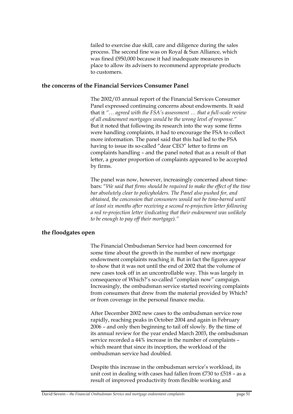failed to exercise due skill, care and diligence during the sales process. The second fine was on Royal & Sun Alliance, which was fined £950,000 because it had inadequate measures in place to allow its advisers to recommend appropriate products to customers.

### **the concerns of the Financial Services Consumer Panel**

The 2002/03 annual report of the Financial Services Consumer Panel expressed continuing concerns about endowments. It said that it *"… agreed with the FSA's assessment … that a full-scale review of all endowment mortgages would be the wrong level of response."* But it noted that following its research into the way some firms were handling complaints, it had to encourage the FSA to collect more information. The panel said that this had led to the FSA having to issue its so-called "dear CEO" letter to firms on complaints handling – and the panel noted that as a result of that letter, a greater proportion of complaints appeared to be accepted by firms.

The panel was now, however, increasingly concerned about timebars: "*We said that firms should be required to make the effect of the time bar absolutely clear to policyholders. The Panel also pushed for, and obtained, the concession that consumers would not be time-barred until at least six months after receiving a second re-projection letter following a red re-projection letter (indicating that their endowment was unlikely to be enough to pay off their mortgage)."* 

### **the floodgates open**

The Financial Ombudsman Service had been concerned for some time about the growth in the number of new mortgage endowment complaints reaching it. But in fact the figures appear to show that it was not until the end of 2002 that the volume of new cases took off in an uncontrollable way. This was largely in consequence of Which?'s so-called "complain now" campaign. Increasingly, the ombudsman service started receiving complaints from consumers that drew from the material provided by Which? or from coverage in the personal finance media.

After December 2002 new cases to the ombudsman service rose rapidly, reaching peaks in October 2004 and again in February 2006 – and only then beginning to tail off slowly. By the time of its annual review for the year ended March 2003, the ombudsman service recorded a 44% increase in the number of complaints – which meant that since its inception, the workload of the ombudsman service had doubled.

Despite this increase in the ombudsman service's workload, its unit cost in dealing with cases had fallen from £730 to £518 – as a result of improved productivity from flexible working and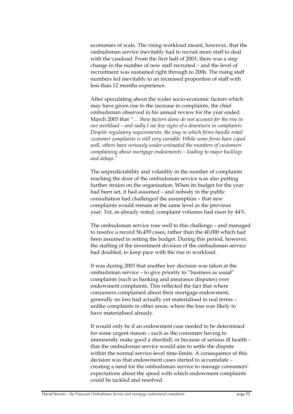economies of scale. The rising workload meant, however, that the ombudsman service inevitably had to recruit more staff to deal with the caseload. From the first half of 2003, there was a step change in the number of new staff recruited – and the level of recruitment was sustained right through to 2006. The rising staff numbers led inevitably to an increased proportion of staff with less than 12 months experience.

After speculating about the wider socio-economic factors which may have given rise to the increase in complaints, the chief ombudsman observed in his annual review for the year ended March 2003 that *"… these factors alone do not account for the rise in our workload – and sadly I see few signs of a downturn in complaints. Despite regulatory requirements, the way in which firms handle retail customer complaints is still very variable. While some firms have coped well, others have seriously under-estimated the numbers of customers complaining about mortgage endowments – leading to major backlogs and delays."*

The unpredictability and volatility in the number of complaints reaching the door of the ombudsman service was also putting further strains on the organisation. When its budget for the year had been set, it had assumed – and nobody in the public consultation had challenged the assumption – that new complaints would remain at the same level as the previous year. Yet, as already noted, complaint volumes had risen by 44%.

The ombudsman service rose well to this challenge – and managed to resolve a record 56,459 cases, rather than the 40,000 which had been assumed in setting the budget. During this period, however, the staffing of the investment division of the ombudsman service had doubled, to keep pace with the rise in workload.

It was during 2003 that another key decision was taken at the ombudsman service – to give priority to "business as usual" complaints (such as banking and insurance disputes) over endowment complaints. This reflected the fact that where consumers complained about their mortgage endowment, generally no loss had actually yet materialised in real terms – unlike complaints in other areas, where the loss was likely to have materialised already.

It would only be if an endowment case needed to be determined for some urgent reason – such as the consumer having to imminently make good a shortfall, or because of serious ill health – that the ombudsman service would aim to settle the dispute within the normal service-level time-limits. A consequence of this decision was that endowment cases started to accumulate – creating a need for the ombudsman service to manage consumers' expectations about the speed with which endowment complaints could be tackled and resolved.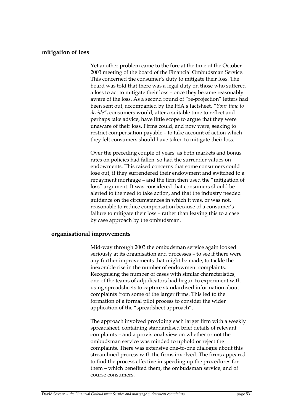### **mitigation of loss**

Yet another problem came to the fore at the time of the October 2003 meeting of the board of the Financial Ombudsman Service. This concerned the consumer's duty to mitigate their loss. The board was told that there was a legal duty on those who suffered a loss to act to mitigate their loss – once they became reasonably aware of the loss. As a second round of "re-projection" letters had been sent out, accompanied by the FSA's factsheet, *"Your time to decide"*, consumers would, after a suitable time to reflect and perhaps take advice, have little scope to argue that they were unaware of their loss. Firms could, and now were, seeking to restrict compensation payable – to take account of action which they felt consumers should have taken to mitigate their loss.

Over the preceding couple of years, as both markets and bonus rates on policies had fallen, so had the surrender values on endowments. This raised concerns that some consumers could lose out, if they surrendered their endowment and switched to a repayment mortgage – and the firm then used the "mitigation of loss" argument. It was considered that consumers should be alerted to the need to take action, and that the industry needed guidance on the circumstances in which it was, or was not, reasonable to reduce compensation because of a consumer's failure to mitigate their loss – rather than leaving this to a case by case approach by the ombudsman.

### **organisational improvements**

Mid-way through 2003 the ombudsman service again looked seriously at its organisation and processes – to see if there were any further improvements that might be made, to tackle the inexorable rise in the number of endowment complaints. Recognising the number of cases with similar characteristics, one of the teams of adjudicators had begun to experiment with using spreadsheets to capture standardised information about complaints from some of the larger firms. This led to the formation of a formal pilot process to consider the wider application of the "spreadsheet approach".

The approach involved providing each larger firm with a weekly spreadsheet, containing standardised brief details of relevant complaints – and a provisional view on whether or not the ombudsman service was minded to uphold or reject the complaints. There was extensive one-to-one dialogue about this streamlined process with the firms involved. The firms appeared to find the process effective in speeding up the procedures for them – which benefited them, the ombudsman service, and of course consumers.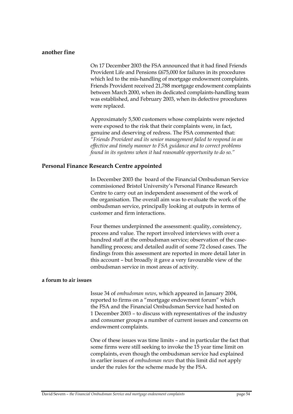### **another fine**

On 17 December 2003 the FSA announced that it had fined Friends Provident Life and Pensions £675,000 for failures in its procedures which led to the mis-handling of mortgage endowment complaints. Friends Provident received 21,788 mortgage endowment complaints between March 2000, when its dedicated complaints-handling team was established, and February 2003, when its defective procedures were replaced.

Approximately 5,500 customers whose complaints were rejected were exposed to the risk that their complaints were, in fact, genuine and deserving of redress. The FSA commented that: *"Friends Provident and its senior management failed to respond in an effective and timely manner to FSA guidance and to correct problems found in its systems when it had reasonable opportunity to do so."* 

# **Personal Finance Research Centre appointed**

In December 2003 the board of the Financial Ombudsman Service commissioned Bristol University's Personal Finance Research Centre to carry out an independent assessment of the work of the organisation. The overall aim was to evaluate the work of the ombudsman service, principally looking at outputs in terms of customer and firm interactions.

Four themes underpinned the assessment: quality, consistency, process and value. The report involved interviews with over a hundred staff at the ombudsman service; observation of the casehandling process; and detailed audit of some 72 closed cases. The findings from this assessment are reported in more detail later in this account – but broadly it gave a very favourable view of the ombudsman service in most areas of activity.

#### **a forum to air issues**

Issue 34 of *ombudsman news*, which appeared in January 2004, reported to firms on a "mortgage endowment forum" which the FSA and the Financial Ombudsman Service had hosted on 1 December 2003 – to discuss with representatives of the industry and consumer groups a number of current issues and concerns on endowment complaints.

One of these issues was time limits – and in particular the fact that some firms were still seeking to invoke the 15 year time limit on complaints, even though the ombudsman service had explained in earlier issues of *ombudsman news* that this limit did not apply under the rules for the scheme made by the FSA.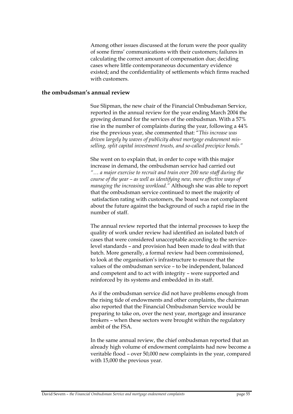Among other issues discussed at the forum were the poor quality of some firms' communications with their customers; failures in calculating the correct amount of compensation due; deciding cases where little contemporaneous documentary evidence existed; and the confidentiality of settlements which firms reached with customers.

### **the ombudsman's annual review**

Sue Slipman, the new chair of the Financial Ombudsman Service, reported in the annual review for the year ending March 2004 the growing demand for the services of the ombudsman. With a 57% rise in the number of complaints during the year, following a 44% rise the previous year, she commented that: "*This increase was driven largely by waves of publicity about mortgage endowment misselling, split capital investment trusts, and so-called precipice bonds."*

She went on to explain that, in order to cope with this major increase in demand, the ombudsman service had carried out *"… a major exercise to recruit and train over 200 new staff during the course of the year – as well as identifying new, more effective ways of managing the increasing workload."* Although she was able to report that the ombudsman service continued to meet the majority of satisfaction rating with customers, the board was not complacent about the future against the background of such a rapid rise in the number of staff.

The annual review reported that the internal processes to keep the quality of work under review had identified an isolated batch of cases that were considered unacceptable according to the servicelevel standards – and provision had been made to deal with that batch. More generally, a formal review had been commissioned, to look at the organisation's infrastructure to ensure that the values of the ombudsman service – to be independent, balanced and competent and to act with integrity – were supported and reinforced by its systems and embedded in its staff.

As if the ombudsman service did not have problems enough from the rising tide of endowments and other complaints, the chairman also reported that the Financial Ombudsman Service would be preparing to take on, over the next year, mortgage and insurance brokers – when these sectors were brought within the regulatory ambit of the FSA.

In the same annual review, the chief ombudsman reported that an already high volume of endowment complaints had now become a veritable flood – over 50,000 new complaints in the year, compared with 15,000 the previous year.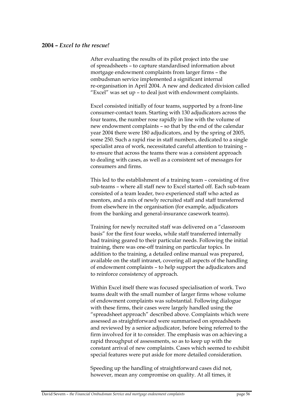#### **2004 –** *Excel to the rescue!*

After evaluating the results of its pilot project into the use of spreadsheets – to capture standardised information about mortgage endowment complaints from larger firms – the ombudsman service implemented a significant internal re-organisation in April 2004. A new and dedicated division called "Excel" was set up – to deal just with endowment complaints.

Excel consisted initially of four teams, supported by a front-line consumer-contact team. Starting with 130 adjudicators across the four teams, the number rose rapidly in line with the volume of new endowment complaints – so that by the end of the calendar year 2004 there were 180 adjudicators, and by the spring of 2005, some 250. Such a rapid rise in staff numbers, dedicated to a single specialist area of work, necessitated careful attention to training – to ensure that across the teams there was a consistent approach to dealing with cases, as well as a consistent set of messages for consumers and firms.

This led to the establishment of a training team – consisting of five sub-teams – where all staff new to Excel started off. Each sub-team consisted of a team leader, two experienced staff who acted as mentors, and a mix of newly recruited staff and staff transferred from elsewhere in the organisation (for example, adjudicators from the banking and general-insurance casework teams).

Training for newly recruited staff was delivered on a "classroom basis" for the first four weeks, while staff transferred internally had training geared to their particular needs. Following the initial training, there was one-off training on particular topics. In addition to the training, a detailed online manual was prepared, available on the staff intranet, covering all aspects of the handling of endowment complaints – to help support the adjudicators and to reinforce consistency of approach.

Within Excel itself there was focused specialisation of work. Two teams dealt with the small number of larger firms whose volume of endowment complaints was substantial. Following dialogue with these firms, their cases were largely handled using the "spreadsheet approach" described above. Complaints which were assessed as straightforward were summarised on spreadsheets and reviewed by a senior adjudicator, before being referred to the firm involved for it to consider. The emphasis was on achieving a rapid throughput of assessments, so as to keep up with the constant arrival of new complaints. Cases which seemed to exhibit special features were put aside for more detailed consideration.

Speeding up the handling of straightforward cases did not, however, mean any compromise on quality. At all times, it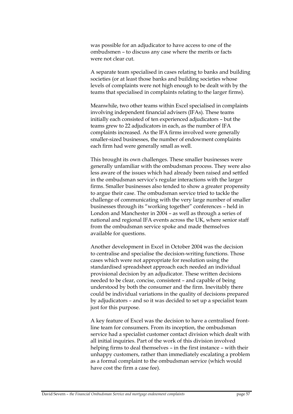was possible for an adjudicator to have access to one of the ombudsmen – to discuss any case where the merits or facts were not clear cut.

A separate team specialised in cases relating to banks and building societies (or at least those banks and building societies whose levels of complaints were not high enough to be dealt with by the teams that specialised in complaints relating to the larger firms).

Meanwhile, two other teams within Excel specialised in complaints involving independent financial advisers (IFAs). These teams initially each consisted of ten experienced adjudicators – but the teams grew to 22 adjudicators in each, as the number of IFA complaints increased. As the IFA firms involved were generally smaller-sized businesses, the number of endowment complaints each firm had were generally small as well.

This brought its own challenges. These smaller businesses were generally unfamiliar with the ombudsman process. They were also less aware of the issues which had already been raised and settled in the ombudsman service's regular interactions with the larger firms. Smaller businesses also tended to show a greater propensity to argue their case. The ombudsman service tried to tackle the challenge of communicating with the very large number of smaller businesses through its "working together" conferences – held in London and Manchester in 2004 – as well as through a series of national and regional IFA events across the UK, where senior staff from the ombudsman service spoke and made themselves available for questions.

Another development in Excel in October 2004 was the decision to centralise and specialise the decision-writing functions. Those cases which were not appropriate for resolution using the standardised spreadsheet approach each needed an individual provisional decision by an adjudicator. These written decisions needed to be clear, concise, consistent – and capable of being understood by both the consumer and the firm. Inevitably there could be individual variations in the quality of decisions prepared by adjudicators – and so it was decided to set up a specialist team just for this purpose.

A key feature of Excel was the decision to have a centralised frontline team for consumers. From its inception, the ombudsman service had a specialist customer contact division which dealt with all initial inquiries. Part of the work of this division involved helping firms to deal themselves – in the first instance – with their unhappy customers, rather than immediately escalating a problem as a formal complaint to the ombudsman service (which would have cost the firm a case fee).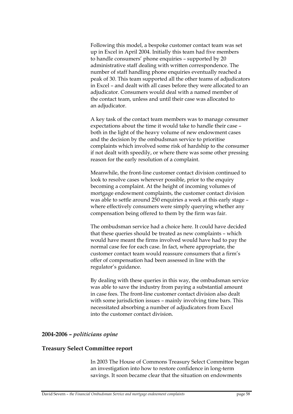Following this model, a bespoke customer contact team was set up in Excel in April 2004. Initially this team had five members to handle consumers' phone enquiries – supported by 20 administrative staff dealing with written correspondence. The number of staff handling phone enquiries eventually reached a peak of 30. This team supported all the other teams of adjudicators in Excel – and dealt with all cases before they were allocated to an adjudicator. Consumers would deal with a named member of the contact team, unless and until their case was allocated to an adjudicator.

A key task of the contact team members was to manage consumer expectations about the time it would take to handle their case – both in the light of the heavy volume of new endowment cases and the decision by the ombudsman service to prioritise complaints which involved some risk of hardship to the consumer if not dealt with speedily, or where there was some other pressing reason for the early resolution of a complaint.

Meanwhile, the front-line customer contact division continued to look to resolve cases wherever possible, prior to the enquiry becoming a complaint. At the height of incoming volumes of mortgage endowment complaints, the customer contact division was able to settle around 250 enquiries a week at this early stage – where effectively consumers were simply querying whether any compensation being offered to them by the firm was fair.

The ombudsman service had a choice here. It could have decided that these queries should be treated as new complaints – which would have meant the firms involved would have had to pay the normal case fee for each case. In fact, where appropriate, the customer contact team would reassure consumers that a firm's offer of compensation had been assessed in line with the regulator's guidance.

By dealing with these queries in this way, the ombudsman service was able to save the industry from paying a substantial amount in case fees. The front-line customer contact division also dealt with some jurisdiction issues – mainly involving time bars. This necessitated absorbing a number of adjudicators from Excel into the customer contact division.

### **2004-2006 –** *politicians opine*

### **Treasury Select Committee report**

In 2003 The House of Commons Treasury Select Committee began an investigation into how to restore confidence in long-term savings. It soon became clear that the situation on endowments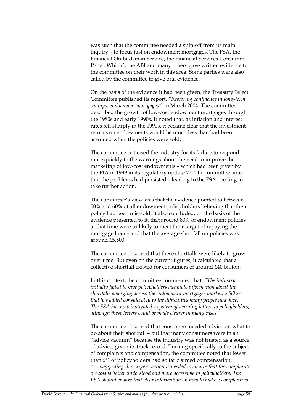was such that the committee needed a spin-off from its main inquiry – to focus just on endowment mortgages. The FSA, the Financial Ombudsman Service, the Financial Services Consumer Panel, Which?, the ABI and many others gave written evidence to the committee on their work in this area. Some parties were also called by the committee to give oral evidence.

On the basis of the evidence it had been given, the Treasury Select Committee published its report, *"Restoring confidence in long-term savings: endowment mortgages"*, in March 2004. The committee described the growth of low-cost endowment mortgages through the 1980s and early 1990s. It noted that, as inflation and interest rates fell sharply in the 1990s, it became clear that the investment returns on endowments would be much less than had been assumed when the policies were sold.

The committee criticised the industry for its failure to respond more quickly to the warnings about the need to improve the marketing of low-cost endowments – which had been given by the PIA in 1999 in its regulatory update 72. The committee noted that the problems had persisted – leading to the FSA needing to take further action.

The committee's view was that the evidence pointed to between 50% and 60% of all endowment policyholders believing that their policy had been mis-sold. It also concluded, on the basis of the evidence presented to it, that around 80% of endowment policies at that time were unlikely to meet their target of repaying the mortgage loan – and that the average shortfall on policies was around £5,500.

The committee observed that these shortfalls were likely to grow over time. But even on the current figures, it calculated that a collective shortfall existed for consumers of around £40 billion.

In this context, the committee commented that: *"The industry initially failed to give policyholders adequate information about the shortfalls emerging across the endowment mortgages market, a failure that has added considerably to the difficulties many people now face. The FSA has now instigated a system of warning letters to policyholders, although these letters could be made clearer in many cases."*

The committee observed that consumers needed advice on what to do about their shortfall – but that many consumers were in an "advice vacuum" because the industry was not trusted as a source of advice, given its track record. Turning specifically to the subject of complaints and compensation, the committee noted that fewer than 6% of policyholders had so far claimed compensation, *"… suggesting that urgent action is needed to ensure that the complaints process is better understood and more accessible to policyholders. The FSA should ensure that clear information on how to make a complaint is*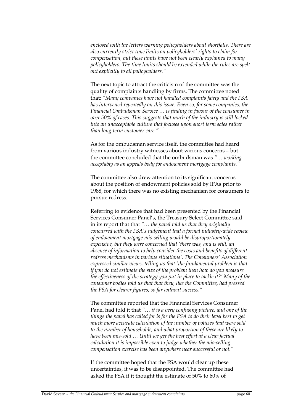*enclosed with the letters warning policyholders about shortfalls. There are also currently strict time limits on policyholders' rights to claim for compensation, but these limits have not been clearly explained to many policyholders. The time limits should be extended while the rules are spelt out explicitly to all policyholders."*

The next topic to attract the criticism of the committee was the quality of complaints handling by firms. The committee noted that: "*Many companies have not handled complaints fairly and the FSA has intervened repeatedly on this issue. Even so, for some companies, the Financial Ombudsman Service … is finding in favour of the consumer in over 50% of cases. This suggests that much of the industry is still locked into an unacceptable culture that focuses upon short term sales rather than long term customer care."*

As for the ombudsman service itself, the committee had heard from various industry witnesses about various concerns – but the committee concluded that the ombudsman was *"… working acceptably as an appeals body for endowment mortgage complaints."*

The committee also drew attention to its significant concerns about the position of endowment policies sold by IFAs prior to 1988, for which there was no existing mechanism for consumers to pursue redress.

Referring to evidence that had been presented by the Financial Services Consumer Panel's, the Treasury Select Committee said in its report that that *"… the panel told us that they originally concurred with the FSA's judgement that a formal industry-wide review of endowment mortgage mis-selling would be disproportionately expensive, but they were concerned that 'there was, and is still, an absence of information to help consider the costs and benefits of different redress mechanisms in various situations'. The Consumers' Association expressed similar views, telling us that 'the fundamental problem is that if you do not estimate the size of the problem then how do you measure the effectiveness of the strategy you put in place to tackle it?' Many of the consumer bodies told us that that they, like the Committee, had pressed the FSA for clearer figures, so far without success."*

The committee reported that the Financial Services Consumer Panel had told it that *"… it is a very confusing picture, and one of the things the panel has called for is for the FSA to do their level best to get much more accurate calculation of the number of policies that were sold to the number of households, and what proportion of these are likely to have been mis-sold … Until we get the best effort at a clear factual calculation it is impossible even to judge whether the mis-selling compensation exercise has been anywhere near successful or not."*

If the committee hoped that the FSA would clear up these uncertainties, it was to be disappointed. The committee had asked the FSA if it thought the estimate of 50% to 60% of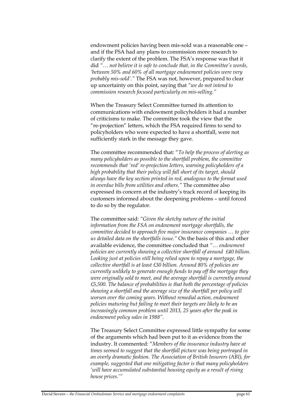endowment policies having been mis-sold was a reasonable one – and if the FSA had any plans to commission more research to clarify the extent of the problem. The FSA's response was that it did *"… not believe it is safe to conclude that, in the Committee's words, 'between 50% and 60% of all mortgage endowment policies were very probably mis-sold'."* The FSA was not, however, prepared to clear up uncertainty on this point, saying that *"we do not intend to commission research focused particularly on mis-selling."* 

When the Treasury Select Committee turned its attention to communications with endowment policyholders it had a number of criticisms to make. The committee took the view that the "re-projection" letters, which the FSA required firms to send to policyholders who were expected to have a shortfall, were not sufficiently stark in the message they gave.

The committee recommended that: "*To help the process of alerting as many policyholders as possible to the shortfall problem, the committee recommends that 'red' re-projection letters, warning policyholders of a high probability that their policy will fall short of its target, should always have the key section printed in red, analogous to the format used in overdue bills from utilities and others."* The committee also expressed its concern at the industry's track record of keeping its customers informed about the deepening problems – until forced to do so by the regulator.

The committee said: *"Given the sketchy nature of the initial information from the FSA on endowment mortgage shortfalls, the committee decided to approach five major insurance companies … to give us detailed data on the shortfalls issue."* On the basis of this and other available evidence, the committee concluded that *"… endowment policies are currently showing a collective shortfall of around £40 billion. Looking just at policies still being relied upon to repay a mortgage, the collective shortfall is at least £30 billion. Around 80% of policies are currently unlikely to generate enough funds to pay off the mortgage they were originally sold to meet, and the average shortfall is currently around £5,500. The balance of probabilities is that both the percentage of policies showing a shortfall and the average size of the shortfall per policy will worsen over the coming years. Without remedial action, endowment policies maturing but failing to meet their targets are likely to be an increasingly common problem until 2013, 25 years after the peak in endowment policy sales in 1988".*

The Treasury Select Committee expressed little sympathy for some of the arguments which had been put to it as evidence from the industry. It commented: "*Members of the insurance industry have at times seemed to suggest that the shortfall picture was being portrayed in an overly dramatic fashion. The Association of British Insurers (ABI), for example, suggested that one mitigating factor is that many policyholders 'will have accumulated substantial housing equity as a result of rising house prices.'"*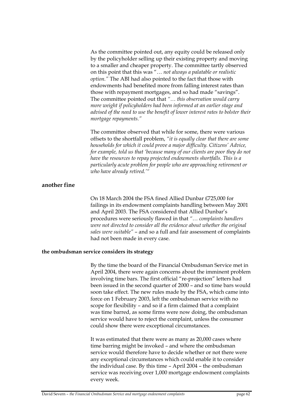As the committee pointed out, any equity could be released only by the policyholder selling up their existing property and moving to a smaller and cheaper property. The committee tartly observed on this point that this was "… *not always a palatable or realistic option."* The ABI had also pointed to the fact that those with endowments had benefited more from falling interest rates than those with repayment mortgages, and so had made "savings". The committee pointed out that *"… this observation would carry more weight if policyholders had been informed at an earlier stage and advised of the need to use the benefit of lower interest rates to bolster their mortgage repayments."* 

The committee observed that while for some, there were various offsets to the shortfall problem, *"it is equally clear that there are some households for which it could prove a major difficulty. Citizens' Advice, for example, told us that 'because many of our clients are poor they do not have the resources to repay projected endowments shortfalls. This is a particularly acute problem for people who are approaching retirement or who have already retired.'"* 

### **another fine**

On 18 March 2004 the FSA fined Allied Dunbar £725,000 for failings in its endowment complaints handling between May 2001 and April 2003. The FSA considered that Allied Dunbar's procedures were seriously flawed in that *"… complaints handlers were not directed to consider all the evidence about whether the original sales were suitable"* – and so a full and fair assessment of complaints had not been made in every case.

### **the ombudsman service considers its strategy**

By the time the board of the Financial Ombudsman Service met in April 2004, there were again concerns about the imminent problem involving time bars. The first official "re-projection" letters had been issued in the second quarter of 2000 – and so time bars would soon take effect. The new rules made by the FSA, which came into force on 1 February 2003, left the ombudsman service with no scope for flexibility – and so if a firm claimed that a complaint was time barred, as some firms were now doing, the ombudsman service would have to reject the complaint, unless the consumer could show there were exceptional circumstances.

It was estimated that there were as many as 20,000 cases where time barring might be invoked – and where the ombudsman service would therefore have to decide whether or not there were any exceptional circumstances which could enable it to consider the individual case. By this time – April 2004 – the ombudsman service was receiving over 1,000 mortgage endowment complaints every week.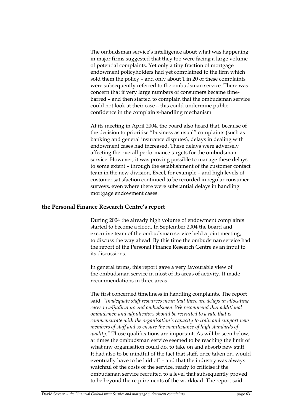The ombudsman service's intelligence about what was happening in major firms suggested that they too were facing a large volume of potential complaints. Yet only a tiny fraction of mortgage endowment policyholders had yet complained to the firm which sold them the policy – and only about 1 in 20 of these complaints were subsequently referred to the ombudsman service. There was concern that if very large numbers of consumers became timebarred – and then started to complain that the ombudsman service could not look at their case – this could undermine public confidence in the complaints-handling mechanism.

At its meeting in April 2004, the board also heard that, because of the decision to prioritise "business as usual" complaints (such as banking and general insurance disputes), delays in dealing with endowment cases had increased. These delays were adversely affecting the overall performance targets for the ombudsman service. However, it was proving possible to manage these delays to some extent – through the establishment of the customer contact team in the new division, Excel, for example – and high levels of customer satisfaction continued to be recorded in regular consumer surveys, even where there were substantial delays in handling mortgage endowment cases.

## **the Personal Finance Research Centre's report**

During 2004 the already high volume of endowment complaints started to become a flood. In September 2004 the board and executive team of the ombudsman service held a joint meeting, to discuss the way ahead. By this time the ombudsman service had the report of the Personal Finance Research Centre as an input to its discussions.

In general terms, this report gave a very favourable view of the ombudsman service in most of its areas of activity. It made recommendations in three areas.

The first concerned timeliness in handling complaints. The report said: *"Inadequate staff resources mean that there are delays in allocating cases to adjudicators and ombudsmen. We recommend that additional ombudsmen and adjudicators should be recruited to a rate that is commensurate with the organisation's capacity to train and support new members of staff and so ensure the maintenance of high standards of quality."* Those qualifications are important. As will be seen below, at times the ombudsman service seemed to be reaching the limit of what any organisation could do, to take on and absorb new staff. It had also to be mindful of the fact that staff, once taken on, would eventually have to be laid off – and that the industry was always watchful of the costs of the service, ready to criticise if the ombudsman service recruited to a level that subsequently proved to be beyond the requirements of the workload. The report said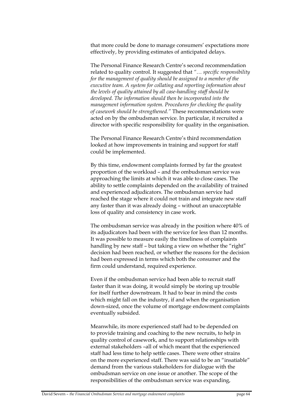that more could be done to manage consumers' expectations more effectively, by providing estimates of anticipated delays.

The Personal Finance Research Centre's second recommendation related to quality control. It suggested that *"… specific responsibility for the management of quality should be assigned to a member of the executive team. A system for collating and reporting information about the levels of quality attained by all case-handling staff should be developed. The information should then be incorporated into the management information system. Procedures for checking the quality of casework should be strengthened."* These recommendations were acted on by the ombudsman service. In particular, it recruited a director with specific responsibility for quality in the organisation.

The Personal Finance Research Centre's third recommendation looked at how improvements in training and support for staff could be implemented.

By this time, endowment complaints formed by far the greatest proportion of the workload – and the ombudsman service was approaching the limits at which it was able to close cases. The ability to settle complaints depended on the availability of trained and experienced adjudicators. The ombudsman service had reached the stage where it could not train and integrate new staff any faster than it was already doing – without an unacceptable loss of quality and consistency in case work.

The ombudsman service was already in the position where 40% of its adjudicators had been with the service for less than 12 months. It was possible to measure easily the timeliness of complaints handling by new staff - but taking a view on whether the "right" decision had been reached, or whether the reasons for the decision had been expressed in terms which both the consumer and the firm could understand, required experience.

Even if the ombudsman service had been able to recruit staff faster than it was doing, it would simply be storing up trouble for itself further downstream. It had to bear in mind the costs which might fall on the industry, if and when the organisation down-sized, once the volume of mortgage endowment complaints eventually subsided.

Meanwhile, its more experienced staff had to be depended on to provide training and coaching to the new recruits, to help in quality control of casework, and to support relationships with external stakeholders –all of which meant that the experienced staff had less time to help settle cases. There were other strains on the more experienced staff. There was said to be an "insatiable" demand from the various stakeholders for dialogue with the ombudsman service on one issue or another. The scope of the responsibilities of the ombudsman service was expanding,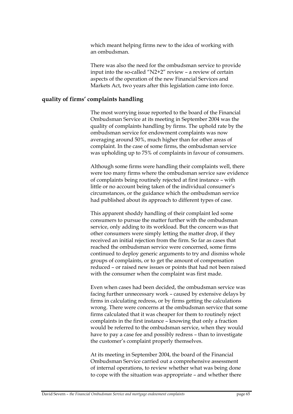which meant helping firms new to the idea of working with an ombudsman.

There was also the need for the ombudsman service to provide input into the so-called "N2+2" review – a review of certain aspects of the operation of the new Financial Services and Markets Act, two years after this legislation came into force.

#### **quality of firms' complaints handling**

The most worrying issue reported to the board of the Financial Ombudsman Service at its meeting in September 2004 was the quality of complaints handling by firms. The uphold rate by the ombudsman service for endowment complaints was now averaging around 50%, much higher than for other areas of complaint. In the case of some firms, the ombudsman service was upholding up to 75% of complaints in favour of consumers.

Although some firms were handling their complaints well, there were too many firms where the ombudsman service saw evidence of complaints being routinely rejected at first instance – with little or no account being taken of the individual consumer's circumstances, or the guidance which the ombudsman service had published about its approach to different types of case.

This apparent shoddy handling of their complaint led some consumers to pursue the matter further with the ombudsman service, only adding to its workload. But the concern was that other consumers were simply letting the matter drop, if they received an initial rejection from the firm. So far as cases that reached the ombudsman service were concerned, some firms continued to deploy generic arguments to try and dismiss whole groups of complaints, or to get the amount of compensation reduced – or raised new issues or points that had not been raised with the consumer when the complaint was first made.

Even when cases had been decided, the ombudsman service was facing further unnecessary work – caused by extensive delays by firms in calculating redress, or by firms getting the calculations wrong. There were concerns at the ombudsman service that some firms calculated that it was cheaper for them to routinely reject complaints in the first instance – knowing that only a fraction would be referred to the ombudsman service, when they would have to pay a case fee and possibly redress – than to investigate the customer's complaint properly themselves.

At its meeting in September 2004, the board of the Financial Ombudsman Service carried out a comprehensive assessment of internal operations, to review whether what was being done to cope with the situation was appropriate – and whether there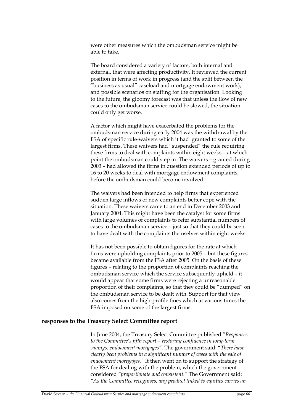were other measures which the ombudsman service might be able to take.

The board considered a variety of factors, both internal and external, that were affecting productivity. It reviewed the current position in terms of work in progress (and the split between the "business as usual" caseload and mortgage endowment work), and possible scenarios on staffing for the organisation. Looking to the future, the gloomy forecast was that unless the flow of new cases to the ombudsman service could be slowed, the situation could only get worse.

A factor which might have exacerbated the problems for the ombudsman service during early 2004 was the withdrawal by the FSA of specific rule-waivers which it had granted to some of the largest firms. These waivers had "suspended" the rule requiring these firms to deal with complaints within eight weeks – at which point the ombudsman could step in. The waivers – granted during 2003 – had allowed the firms in question extended periods of up to 16 to 20 weeks to deal with mortgage endowment complaints, before the ombudsman could become involved.

The waivers had been intended to help firms that experienced sudden large inflows of new complaints better cope with the situation. These waivers came to an end in December 2003 and January 2004. This might have been the catalyst for some firms with large volumes of complaints to refer substantial numbers of cases to the ombudsman service – just so that they could be seen to have dealt with the complaints themselves within eight weeks.

It has not been possible to obtain figures for the rate at which firms were upholding complaints prior to 2005 – but these figures became available from the FSA after 2005. On the basis of these figures – relating to the proportion of complaints reaching the ombudsman service which the service subsequently upheld – it would appear that some firms were rejecting a unreasonable proportion of their complaints, so that they could be "dumped" on the ombudsman service to be dealt with. Support for that view also comes from the high-profile fines which at various times the FSA imposed on some of the largest firms.

### **responses to the Treasury Select Committee report**

In June 2004, the Treasury Select Committee published "*Responses to the Committee's fifth report – restoring confidence in long-term savings: endowment mortgages"*. The government said: "*There have clearly been problems in a significant number of cases with the sale of endowment mortgages."* It then went on to support the strategy of the FSA for dealing with the problem, which the government considered *"proportionate and consistent."* The Government said: *"As the Committee recognises, any product linked to equities carries an*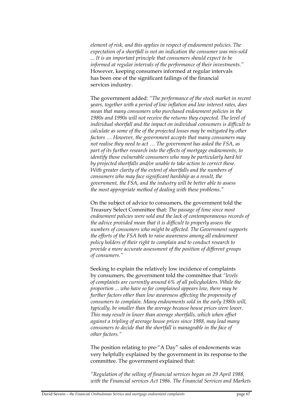*element of risk, and this applies in respect of endowment policies. The expectation of a shortfall is not an indication the consumer was mis-sold ... It is an important principle that consumers should expect to be informed at regular intervals of the performance of their investments."* However, keeping consumers informed at regular intervals has been one of the significant failings of the financial services industry.

The government added: *"The performance of the stock market in recent years, together with a period of low inflation and low interest rates, does mean that many consumers who purchased endowment policies in the 1980s and 1990s will not receive the returns they expected. The level of individual shortfall and the impact on individual consumers is difficult to calculate as some of the of the projected losses may be mitigated by other factors … However, the government accepts that many consumers may not realise they need to act … The government has asked the FSA, as part of its further research into the effects of mortgage endowments, to identify those vulnerable consumers who may be particularly hard hit by projected shortfalls and/or unable to take action to correct these. With greater clarity of the extent of shortfalls and the numbers of consumers who may face significant hardship as a result, the government, the FSA, and the industry will be better able to assess the most appropriate method of dealing with these problems."* 

On the subject of advice to consumers, the government told the Treasury Select Committee that: *The passage of time since most endowment policies were sold and the lack of contemporaneous records of the advice provided mean that it is difficult to properly assess the numbers of consumers who might be affected. The Government supports the efforts of the FSA both to raise awareness among all endowment policy holders of their right to complain and to conduct research to provide a more accurate assessment of the position of different groups of consumers."*

Seeking to explain the relatively low incidence of complaints by consumers, the government told the committee that *"levels of complaints are currently around 6% of all policyholders. While the proportion ... who have so far complained appears low, there may be further factors other than low awareness affecting the propensity of consumers to complain. Many endowments sold in the early 1980s will, typically, be smaller than the average because house prices were lower. This may result in lower than average shortfalls, which when offset against a tripling of average house prices since 1988, may lead many consumers to decide that the shortfall is manageable in the face of other factors."*

The position relating to pre-"A Day" sales of endowments was very helpfully explained by the government in its response to the committee. The government explained that:

*"Regulation of the selling of financial services began on 29 April 1988, with the Financial services Act 1986. The Financial Services and Markets*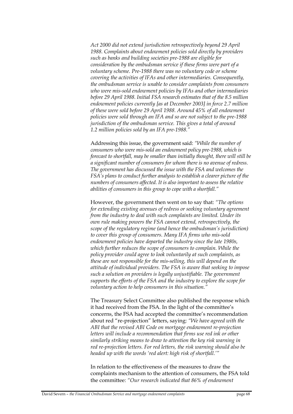*Act 2000 did not extend jurisdiction retrospectively beyond 29 April 1988. Complaints about endowment policies sold directly by providers such as banks and building societies pre-1988 are eligible for consideration by the ombudsman service if these firms were part of a voluntary scheme. Pre-1988 there was no voluntary code or scheme covering the activities of IFAs and other intermediaries. Consequently, the ombudsman service is unable to consider complaints from consumers who were mis-sold endowment policies by IFAs and other intermediaries before 29 April 1988. Initial FSA research estimates that of the 8.5 million endowment policies currently [as at December 2003] in force 2.7 million of these were sold before 29 April 1988. Around 45% of all endowment policies were sold through an IFA and so are not subject to the pre-1988 jurisdiction of the ombudsman service. This gives a total of around 1.2 million policies sold by an IFA pre-1988."*

Addressing this issue, the government said: *"While the number of consumers who were mis-sold an endowment policy pre-1988, which is forecast to shortfall, may be smaller than initially thought, there will still be a significant number of consumers for whom there is no avenue of redress. The government has discussed the issue with the FSA and welcomes the FSA's plans to conduct further analysis to establish a clearer picture of the numbers of consumers affected. It is also important to assess the relative abilities of consumers in this group to cope with a shortfall."* 

However, the government then went on to say that: *"The options for extending existing avenues of redress or seeking voluntary agreement from the industry to deal with such complaints are limited. Under its own rule making powers the FSA cannot extend, retrospectively, the scope of the regulatory regime (and hence the ombudsman's jurisdiction) to cover this group of consumers. Many IFA firms who mis-sold endowment policies have departed the industry since the late 1980s, which further reduces the scope of consumers to complain. While the policy provider could agree to look voluntarily at such complaints, as these are not responsible for the mis-selling, this will depend on the attitude of individual providers. The FSA is aware that seeking to impose such a solution on providers is legally unjustifiable. The government supports the efforts of the FSA and the industry to explore the scope for voluntary action to help consumers in this situation."*

The Treasury Select Committee also published the response which it had received from the FSA. In the light of the committee's concerns, the FSA had accepted the committee's recommendation about red "re-projection" letters, saying: *"We have agreed with the ABI that the revised ABI Code on mortgage endowment re-projection letters will include a recommendation that firms use red ink or other similarly striking means to draw to attention the key risk warning in red re-projection letters. For red letters, the risk warning should also be headed up with the words 'red alert: high risk of shortfall.'"*

In relation to the effectiveness of the measures to draw the complaints mechanism to the attention of consumers, the FSA told the committee: *"Our research indicated that 86% of endowment*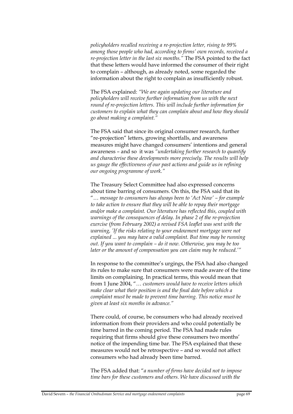*policyholders recalled receiving a re-projection letter, rising to 99% among those people who had, according to firms' own records, received a re-projection letter in the last six months."* The FSA pointed to the fact that these letters would have informed the consumer of their right to complain – although, as already noted, some regarded the information about the right to complain as insufficiently robust.

The FSA explained: *"We are again updating our literature and policyholders will receive further information from us with the next round of re-projection letters. This will include further information for customers to explain what they can complain about and how they should go about making a complaint."*

The FSA said that since its original consumer research, further "re-projection" letters, growing shortfalls, and awareness measures might have changed consumers' intentions and general awareness – and so it was *"undertaking further research to quantify and characterise these developments more precisely. The results will help us gauge the effectiveness of our past actions and guide us in refining our ongoing programme of work."* 

The Treasury Select Committee had also expressed concerns about time barring of consumers. On this, the FSA said that its "… *message to consumers has always been to 'Act Now' – for example to take action to ensure that they will be able to repay their mortgage and/or make a complaint. Our literature has reflected this, coupled with warnings of the consequences of delay. In phase 2 of the re-projection exercise (from February 2002) a revised FSA leaflet was sent with the warning, 'If the risks relating to your endowment mortgage were not explained ... you may have a valid complaint. But time may be running out. If you want to complain – do it now. Otherwise, you may be too later or the amount of compensation you can claim may be reduced.'"*

In response to the committee's urgings, the FSA had also changed its rules to make sure that consumers were made aware of the time limits on complaining. In practical terms, this would mean that from 1 June 2004, "… *customers would have to receive letters which make clear what their position is and the final date before which a complaint must be made to prevent time barring. This notice must be given at least six months in advance."*

There could, of course, be consumers who had already received information from their providers and who could potentially be time barred in the coming period. The FSA had made rules requiring that firms should give these consumers two months' notice of the impending time bar. The FSA explained that these measures would not be retrospective – and so would not affect consumers who had already been time barred.

The FSA added that: "*a number of firms have decided not to impose time bars for these customers and others. We have discussed with the*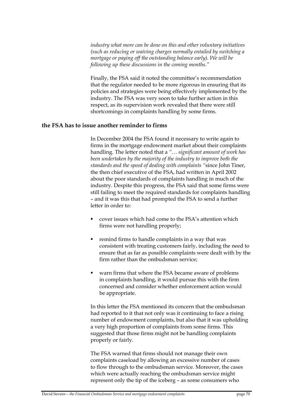*industry what more can be done on this and other voluntary initiatives (such as reducing or waiving charges normally entailed by switching a mortgage or paying off the outstanding balance early). We will be following up these discussions in the coming months."*

Finally, the FSA said it noted the committee's recommendation that the regulator needed to be more rigorous in ensuring that its policies and strategies were being effectively implemented by the industry. The FSA was very soon to take further action in this respect, as its supervision work revealed that there were still shortcomings in complaints handling by some firms.

### **the FSA has to issue another reminder to firms**

In December 2004 the FSA found it necessary to write again to firms in the mortgage endowment market about their complaints handling. The letter noted that a *"… significant amount of work has been undertaken by the majority of the industry to improve both the standards and the speed of dealing with complaints "*since John Tiner, the then chief executive of the FSA, had written in April 2002 about the poor standards of complaints handling in much of the industry. Despite this progress, the FSA said that some firms were still failing to meet the required standards for complaints handling – and it was this that had prompted the FSA to send a further letter in order to:

- cover issues which had come to the FSA's attention which firms were not handling properly;
- remind firms to handle complaints in a way that was consistent with treating customers fairly, including the need to ensure that as far as possible complaints were dealt with by the firm rather than the ombudsman service;
- warn firms that where the FSA became aware of problems in complaints handling, it would pursue this with the firm concerned and consider whether enforcement action would be appropriate.

In this letter the FSA mentioned its concern that the ombudsman had reported to it that not only was it continuing to face a rising number of endowment complaints, but also that it was upholding a very high proportion of complaints from some firms. This suggested that those firms might not be handling complaints properly or fairly.

The FSA warned that firms should not manage their own complaints caseload by allowing an excessive number of cases to flow through to the ombudsman service. Moreover, the cases which were actually reaching the ombudsman service might represent only the tip of the iceberg – as some consumers who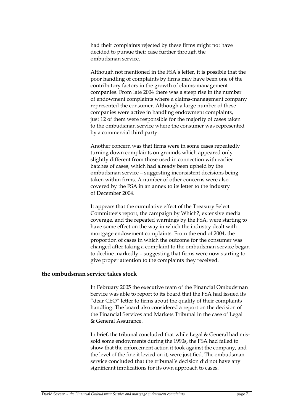had their complaints rejected by these firms might not have decided to pursue their case further through the ombudsman service.

Although not mentioned in the FSA's letter, it is possible that the poor handling of complaints by firms may have been one of the contributory factors in the growth of claims-management companies. From late 2004 there was a steep rise in the number of endowment complaints where a claims-management company represented the consumer. Although a large number of these companies were active in handling endowment complaints, just 12 of them were responsible for the majority of cases taken to the ombudsman service where the consumer was represented by a commercial third party.

Another concern was that firms were in some cases repeatedly turning down complaints on grounds which appeared only slightly different from those used in connection with earlier batches of cases, which had already been upheld by the ombudsman service – suggesting inconsistent decisions being taken within firms. A number of other concerns were also covered by the FSA in an annex to its letter to the industry of December 2004.

It appears that the cumulative effect of the Treasury Select Committee's report, the campaign by Which?, extensive media coverage, and the repeated warnings by the FSA, were starting to have some effect on the way in which the industry dealt with mortgage endowment complaints. From the end of 2004, the proportion of cases in which the outcome for the consumer was changed after taking a complaint to the ombudsman service began to decline markedly – suggesting that firms were now starting to give proper attention to the complaints they received.

# **the ombudsman service takes stock**

In February 2005 the executive team of the Financial Ombudsman Service was able to report to its board that the FSA had issued its "dear CEO" letter to firms about the quality of their complaints handling. The board also considered a report on the decision of the Financial Services and Markets Tribunal in the case of Legal & General Assurance.

In brief, the tribunal concluded that while Legal & General had missold some endowments during the 1990s, the FSA had failed to show that the enforcement action it took against the company, and the level of the fine it levied on it, were justified. The ombudsman service concluded that the tribunal's decision did not have any significant implications for its own approach to cases.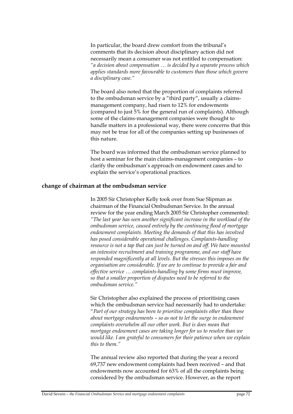In particular, the board drew comfort from the tribunal's comments that its decision about disciplinary action did not necessarily mean a consumer was not entitled to compensation: *"a decision about compensation … is decided by a separate process which applies standards more favourable to customers than those which govern a disciplinary case."* 

The board also noted that the proportion of complaints referred to the ombudsman service by a "third party", usually a claimsmanagement company, had risen to 12% for endowments (compared to just 5% for the general run of complaints). Although some of the claims-management companies were thought to handle matters in a professional way, there were concerns that this may not be true for all of the companies setting up businesses of this nature.

The board was informed that the ombudsman service planned to host a seminar for the main claims-management companies – to clarify the ombudsman's approach on endowment cases and to explain the service's operational practices.

# **change of chairman at the ombudsman service**

In 2005 Sir Christopher Kelly took over from Sue Slipman as chairman of the Financial Ombudsman Service. In the annual review for the year ending March 2005 Sir Christopher commented: *"The last year has seen another significant increase in the workload of the ombudsman service, caused entirely by the continuing flood of mortgage endowment complaints. Meeting the demands of that this has involved has posed considerable operational challenges. Complaints-handling resource is not a tap that can just be turned on and off. We have mounted an intensive recruitment and training programme, and our staff have responded magnificently at all levels. But the stresses this imposes on the organisation are considerable. If we are to continue to provide a fair and effective service … complaints-handling by some firms must improve, so that a smaller proportion of disputes need to be referred to the ombudsman service."* 

Sir Christopher also explained the process of prioritising cases which the ombudsman service had necessarily had to undertake: "*Part of our strategy has been to prioritise complaints other than those about mortgage endowments – so as not to let the surge in endowment complaints overwhelm all our other work. But is does mean that mortgage endowment cases are taking longer for us to resolve than we would like. I am grateful to consumers for their patience when we explain this to them."*

The annual review also reported that during the year a record 69,737 new endowment complaints had been received – and that endowments now accounted for 63% of all the complaints being considered by the ombudsman service. However, as the report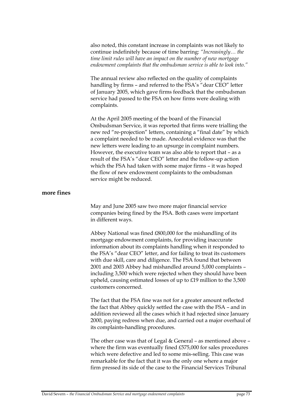also noted, this constant increase in complaints was not likely to continue indefinitely because of time barring: *"Increasingly… the time limit rules will have an impact on the number of new mortgage endowment complaints that the ombudsman service is able to look into."*

The annual review also reflected on the quality of complaints handling by firms – and referred to the FSA's "dear CEO" letter of January 2005, which gave firms feedback that the ombudsman service had passed to the FSA on how firms were dealing with complaints.

At the April 2005 meeting of the board of the Financial Ombudsman Service, it was reported that firms were trialling the new red "re-projection" letters, containing a "final date" by which a complaint needed to be made. Anecdotal evidence was that the new letters were leading to an upsurge in complaint numbers. However, the executive team was also able to report that – as a result of the FSA's "dear CEO" letter and the follow-up action which the FSA had taken with some major firms – it was hoped the flow of new endowment complaints to the ombudsman service might be reduced.

## **more fines**

May and June 2005 saw two more major financial service companies being fined by the FSA. Both cases were important in different ways.

Abbey National was fined £800,000 for the mishandling of its mortgage endowment complaints, for providing inaccurate information about its complaints handling when it responded to the FSA's "dear CEO" letter, and for failing to treat its customers with due skill, care and diligence. The FSA found that between 2001 and 2003 Abbey had mishandled around 5,000 complaints – including 3,500 which were rejected when they should have been upheld, causing estimated losses of up to £19 million to the 3,500 customers concerned.

The fact that the FSA fine was not for a greater amount reflected the fact that Abbey quickly settled the case with the FSA – and in addition reviewed all the cases which it had rejected since January 2000, paying redress when due, and carried out a major overhaul of its complaints-handling procedures.

The other case was that of Legal & General – as mentioned above – where the firm was eventually fined £575,000 for sales procedures which were defective and led to some mis-selling. This case was remarkable for the fact that it was the only one where a major firm pressed its side of the case to the Financial Services Tribunal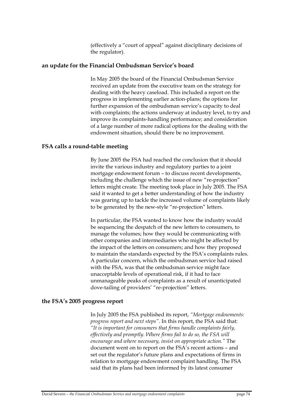(effectively a "court of appeal" against disciplinary decisions of the regulator).

### **an update for the Financial Ombudsman Service's board**

In May 2005 the board of the Financial Ombudsman Service received an update from the executive team on the strategy for dealing with the heavy caseload. This included a report on the progress in implementing earlier action-plans; the options for further expansion of the ombudsman service's capacity to deal with complaints; the actions underway at industry level, to try and improve its complaints-handling performance; and consideration of a large number of more radical options for the dealing with the endowment situation, should there be no improvement.

## **FSA calls a round-table meeting**

By June 2005 the FSA had reached the conclusion that it should invite the various industry and regulatory parties to a joint mortgage endowment forum – to discuss recent developments, including the challenge which the issue of new "re-projection" letters might create. The meeting took place in July 2005. The FSA said it wanted to get a better understanding of how the industry was gearing up to tackle the increased volume of complaints likely to be generated by the new-style "re-projection" letters.

In particular, the FSA wanted to know how the industry would be sequencing the despatch of the new letters to consumers, to manage the volumes; how they would be communicating with other companies and intermediaries who might be affected by the impact of the letters on consumers; and how they proposed to maintain the standards expected by the FSA's complaints rules. A particular concern, which the ombudsman service had raised with the FSA, was that the ombudsman service might face unacceptable levels of operational risk, if it had to face unmanageable peaks of complaints as a result of unanticipated dove-tailing of providers' "re-projection" letters.

## **the FSA's 2005 progress report**

In July 2005 the FSA published its report, *"Mortgage endowments: progress report and next steps"*. In this report, the FSA said that: *"It is important for consumers that firms handle complaints fairly, effectively and promptly. Where firms fail to do so, the FSA will encourage and where necessary, insist on appropriate action."* The document went on to report on the FSA's recent actions – and set out the regulator's future plans and expectations of firms in relation to mortgage endowment complaint handling. The FSA said that its plans had been informed by its latest consumer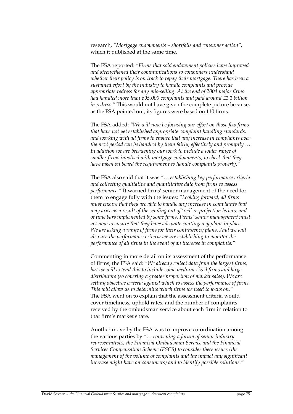research, *"Mortgage endowments – shortfalls and consumer action"*, which it published at the same time.

The FSA reported: *"Firms that sold endowment policies have improved and strengthened their communications so consumers understand whether their policy is on track to repay their mortgage. There has been a sustained effort by the industry to handle complaints and provide appropriate redress for any mis-selling. At the end of 2004 major firms had handled more than 695,000 complaints and paid around £1.1 billion in redress."* This would not have given the complete picture because, as the FSA pointed out, its figures were based on 110 firms.

The FSA added: *"We will now be focusing our effort on those few firms that have not yet established appropriate complaint handling standards, and working with all firms to ensure that any increase in complaints over the next period can be handled by them fairly, effectively and promptly … In addition we are broadening our work to include a wider range of smaller firms involved with mortgage endowments, to check that they have taken on board the requirement to handle complaints properly."*

The FSA also said that it was *"… establishing key performance criteria and collecting qualitative and quantitative date from firms to assess performance."* It warned firms' senior management of the need for them to engage fully with the issues: *"Looking forward, all firms must ensure that they are able to handle any increase in complaints that may arise as a result of the sending out of 'red' re-projection letters, and of time bars implemented by some firms. Firms' senior management must act now to ensure that they have adequate contingency plans in place. We are asking a range of firms for their contingency plans. And we will also use the performance criteria we are establishing to monitor the performance of all firms in the event of an increase in complaints."* 

Commenting in more detail on its assessment of the performance of firms, the FSA said: *"We already collect data from the largest firms, but we will extend this to include some medium-sized firms and large distributors (so covering a greater proportion of market sales). We are setting objective criteria against which to assess the performance of firms. This will allow us to determine which firms we need to focus on."* The FSA went on to explain that the assessment criteria would cover timeliness, uphold rates, and the number of complaints received by the ombudsman service about each firm in relation to that firm's market share.

Another move by the FSA was to improve co-ordination among the various parties by *"… convening a forum of senior industry representatives, the Financial Ombudsman Service and the Financial Services Compensation Scheme (FSCS) to consider these issues (the management of the volume of complaints and the impact any significant increase might have on consumers) and to identify possible solutions."*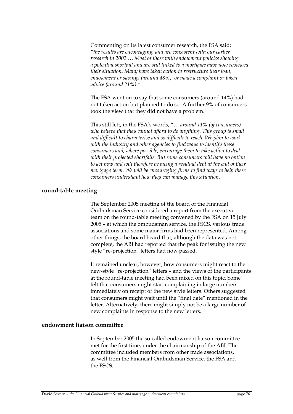Commenting on its latest consumer research, the FSA said: *"the results are encouraging, and are consistent with our earlier research in 2002 … Most of those with endowment policies showing a potential shortfall and are still linked to a mortgage have now reviewed their situation. Many have taken action to restructure their loan, endowment or savings (around 48%), or made a complaint or taken advice (around 21%)."*

The FSA went on to say that some consumers (around 14%) had not taken action but planned to do so. A further 9% of consumers took the view that they did not have a problem.

This still left, in the FSA's words, "… *around 11% (of consumers) who believe that they cannot afford to do anything. This group is small and difficult to characterise and so difficult to reach. We plan to work with the industry and other agencies to find ways to identify these consumers and, where possible, encourage them to take action to deal with their projected shortfalls. But some consumers will have no option to act now and will therefore be facing a residual debt at the end of their mortgage term. We will be encouraging firms to find ways to help these consumers understand how they can manage this situation."* 

### **round-table meeting**

The September 2005 meeting of the board of the Financial Ombudsman Service considered a report from the executive team on the round-table meeting convened by the FSA on 15 July 2005 – at which the ombudsman service, the FSCS, various trade associations and some major firms had been represented. Among other things, the board heard that, although the data was not complete, the ABI had reported that the peak for issuing the new style "re-projection" letters had now passed.

It remained unclear, however, how consumers might react to the new-style "re-projection" letters – and the views of the participants at the round-table meeting had been mixed on this topic. Some felt that consumers might start complaining in large numbers immediately on receipt of the new style letters. Others suggested that consumers might wait until the "final date" mentioned in the letter. Alternatively, there might simply not be a large number of new complaints in response to the new letters.

### **endowment liaison committee**

In September 2005 the so-called endowment liaison committee met for the first time, under the chairmanship of the ABI. The committee included members from other trade associations, as well from the Financial Ombudsman Service, the FSA and the FSCS.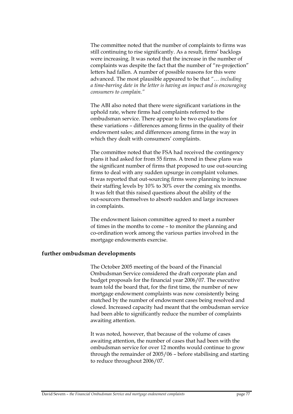The committee noted that the number of complaints to firms was still continuing to rise significantly. As a result, firms' backlogs were increasing. It was noted that the increase in the number of complaints was despite the fact that the number of "re-projection" letters had fallen. A number of possible reasons for this were advanced. The most plausible appeared to be that *"… including a time-barring date in the letter is having an impact and is encouraging consumers to complain."*

The ABI also noted that there were significant variations in the uphold rate, where firms had complaints referred to the ombudsman service. There appear to be two explanations for these variations – differences among firms in the quality of their endowment sales; and differences among firms in the way in which they dealt with consumers' complaints.

The committee noted that the FSA had received the contingency plans it had asked for from 55 firms. A trend in these plans was the significant number of firms that proposed to use out-sourcing firms to deal with any sudden upsurge in complaint volumes. It was reported that out-sourcing firms were planning to increase their staffing levels by 10% to 30% over the coming six months. It was felt that this raised questions about the ability of the out-sourcers themselves to absorb sudden and large increases in complaints.

The endowment liaison committee agreed to meet a number of times in the months to come – to monitor the planning and co-ordination work among the various parties involved in the mortgage endowments exercise.

### **further ombudsman developments**

The October 2005 meeting of the board of the Financial Ombudsman Service considered the draft corporate plan and budget proposals for the financial year 2006/07. The executive team told the board that, for the first time, the number of new mortgage endowment complaints was now consistently being matched by the number of endowment cases being resolved and closed. Increased capacity had meant that the ombudsman service had been able to significantly reduce the number of complaints awaiting attention.

It was noted, however, that because of the volume of cases awaiting attention, the number of cases that had been with the ombudsman service for over 12 months would continue to grow through the remainder of 2005/06 – before stabilising and starting to reduce throughout 2006/07.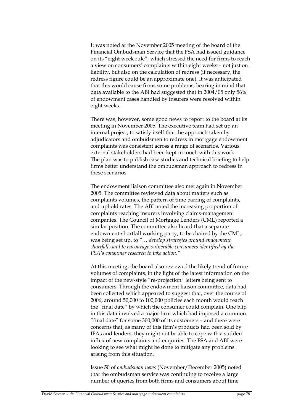It was noted at the November 2005 meeting of the board of the Financial Ombudsman Service that the FSA had issued guidance on its "eight week rule", which stressed the need for firms to reach a view on consumers' complaints within eight weeks – not just on liability, but also on the calculation of redress (if necessary, the redress figure could be an approximate one). It was anticipated that this would cause firms some problems, bearing in mind that data available to the ABI had suggested that in 2004/05 only 56% of endowment cases handled by insurers were resolved within eight weeks.

There was, however, some good news to report to the board at its meeting in November 2005. The executive team had set up an internal project, to satisfy itself that the approach taken by adjudicators and ombudsmen to redress in mortgage endowment complaints was consistent across a range of scenarios. Various external stakeholders had been kept in touch with this work. The plan was to publish case studies and technical briefing to help firms better understand the ombudsman approach to redress in these scenarios.

The endowment liaison committee also met again in November 2005. The committee reviewed data about matters such as complaints volumes, the pattern of time barring of complaints, and uphold rates. The ABI noted the increasing proportion of complaints reaching insurers involving claims-management companies. The Council of Mortgage Lenders (CML) reported a similar position. The committee also heard that a separate endowment-shortfall working party, to be chaired by the CML, was being set up, to *"… develop strategies around endowment shortfalls and to encourage vulnerable consumers identified by the FSA's consumer research to take action."* 

At this meeting, the board also reviewed the likely trend of future volumes of complaints, in the light of the latest information on the impact of the new-style "re-projection" letters being sent to consumers. Through the endowment liaison committee, data had been collected which appeared to suggest that, over the course of 2006, around 50,000 to 100,000 policies each month would reach the "final date" by which the consumer could complain. One blip in this data involved a major firm which had imposed a common "final date" for some 300,000 of its customers – and there were concerns that, as many of this firm's products had been sold by IFAs and lenders, they might not be able to cope with a sudden influx of new complaints and enquiries. The FSA and ABI were looking to see what might be done to mitigate any problems arising from this situation.

Issue 50 of *ombudsman news* (November/December 2005) noted that the ombudsman service was continuing to receive a large number of queries from both firms and consumers about time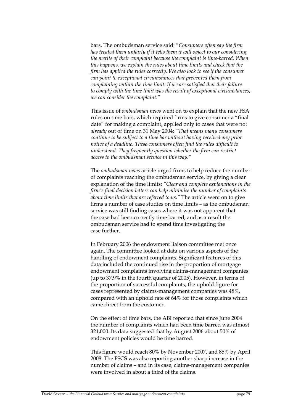bars. The ombudsman service said: "*Consumers often say the firm has treated them unfairly if it tells them it will object to our considering the merits of their complaint because the complaint is time-barred. When this happens, we explain the rules about time limits and check that the firm has applied the rules correctly. We also look to see if the consumer can point to exceptional circumstances that prevented them from complaining within the time limit. If we are satisfied that their failure to comply with the time limit was the result of exceptional circumstances, we can consider the complaint."*

This issue of *ombudsman news* went on to explain that the new FSA rules on time bars, which required firms to give consumer a "final date" for making a complaint, applied only to cases that were not *already* out of time on 31 May 2004: "*That means many consumers continue to be subject to a time bar without having received any prior notice of a deadline. These consumers often find the rules difficult to understand. They frequently question whether the firm can restrict access to the ombudsman service in this way."*

The *ombudsman news* article urged firms to help reduce the number of complaints reaching the ombudsman service, by giving a clear explanation of the time limits: *"Clear and complete explanations in the firm's final decision letters can help minimise the number of complaints about time limits that are referred to us."* The article went on to give firms a number of case studies on time limits – as the ombudsman service was still finding cases where it was not apparent that the case had been correctly time barred, and as a result the ombudsman service had to spend time investigating the case further.

In February 2006 the endowment liaison committee met once again. The committee looked at data on various aspects of the handling of endowment complaints. Significant features of this data included the continued rise in the proportion of mortgage endowment complaints involving claims-management companies (up to 37.9% in the fourth quarter of 2005). However, in terms of the proportion of successful complaints, the uphold figure for cases represented by claims-management companies was 48%, compared with an uphold rate of 64% for those complaints which came direct from the customer.

On the effect of time bars, the ABI reported that since June 2004 the number of complaints which had been time barred was almost 321,000. Its data suggested that by August 2006 about 50% of endowment policies would be time barred.

This figure would reach 80% by November 2007, and 85% by April 2008. The FSCS was also reporting another sharp increase in the number of claims – and in its case, claims-management companies were involved in about a third of the claims.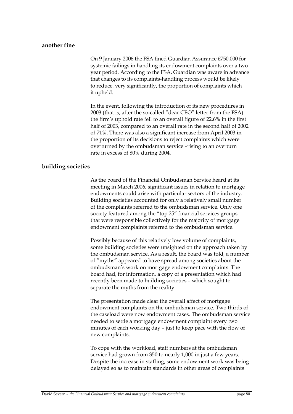### **another fine**

On 9 January 2006 the FSA fined Guardian Assurance £750,000 for systemic failings in handling its endowment complaints over a two year period. According to the FSA, Guardian was aware in advance that changes to its complaints-handling process would be likely to reduce, very significantly, the proportion of complaints which it upheld.

In the event, following the introduction of its new procedures in 2003 (that is, after the so-called "dear CEO" letter from the FSA) the firm's uphold rate fell to an overall figure of 22.6% in the first half of 2003, compared to an overall rate in the second half of 2002 of 71%. There was also a significant increase from April 2003 in the proportion of its decisions to reject complaints which were overturned by the ombudsman service –rising to an overturn rate in excess of 80% during 2004.

## **building societies**

As the board of the Financial Ombudsman Service heard at its meeting in March 2006, significant issues in relation to mortgage endowments could arise with particular sectors of the industry. Building societies accounted for only a relatively small number of the complaints referred to the ombudsman service. Only one society featured among the "top 25" financial services groups that were responsible collectively for the majority of mortgage endowment complaints referred to the ombudsman service.

Possibly because of this relatively low volume of complaints, some building societies were unsighted on the approach taken by the ombudsman service. As a result, the board was told, a number of "myths" appeared to have spread among societies about the ombudsman's work on mortgage endowment complaints. The board had, for information, a copy of a presentation which had recently been made to building societies – which sought to separate the myths from the reality.

The presentation made clear the overall affect of mortgage endowment complaints on the ombudsman service. Two thirds of the caseload were now endowment cases. The ombudsman service needed to settle a mortgage endowment complaint every two minutes of each working day – just to keep pace with the flow of new complaints.

To cope with the workload, staff numbers at the ombudsman service had grown from 350 to nearly 1,000 in just a few years. Despite the increase in staffing, some endowment work was being delayed so as to maintain standards in other areas of complaints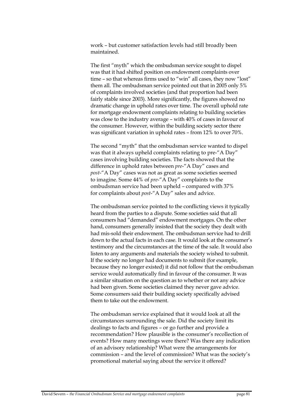work – but customer satisfaction levels had still broadly been maintained.

The first "myth" which the ombudsman service sought to dispel was that it had shifted position on endowment complaints over time – so that whereas firms used to "win" all cases, they now "lost" them all. The ombudsman service pointed out that in 2005 only 5% of complaints involved societies (and that proportion had been fairly stable since 2003). More significantly, the figures showed no dramatic change in uphold rates over time. The overall uphold rate for mortgage endowment complaints relating to building societies was close to the industry average – with 40% of cases in favour of the consumer. However, within the building society sector there was significant variation in uphold rates – from 12% to over 70%.

The second "myth" that the ombudsman service wanted to dispel was that it always upheld complaints relating to pre-"A Day" cases involving building societies. The facts showed that the difference in uphold rates between *pre*-"A Day" cases and *post*-"A Day" cases was not as great as some societies seemed to imagine. Some 44% of *pre*-"A Day" complaints to the ombudsman service had been upheld – compared with 37% for complaints about *post*-"A Day" sales and advice.

The ombudsman service pointed to the conflicting views it typically heard from the parties to a dispute. Some societies said that all consumers had "demanded" endowment mortgages. On the other hand, consumers generally insisted that the society they dealt with had mis-sold their endowment. The ombudsman service had to drill down to the actual facts in each case. It would look at the consumer's testimony and the circumstances at the time of the sale. It would also listen to any arguments and materials the society wished to submit. If the society no longer had documents to submit (for example, because they no longer existed) it did not follow that the ombudsman service would automatically find in favour of the consumer. It was a similar situation on the question as to whether or not any advice had been given. Some societies claimed they never gave advice. Some consumers said their building society specifically advised them to take out the endowment.

The ombudsman service explained that it would look at all the circumstances surrounding the sale. Did the society limit its dealings to facts and figures – or go further and provide a recommendation? How plausible is the consumer's recollection of events? How many meetings were there? Was there any indication of an advisory relationship? What were the arrangements for commission – and the level of commission? What was the society's promotional material saying about the service it offered?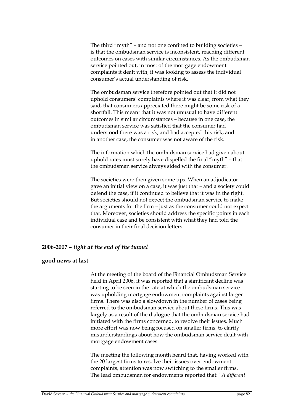The third "myth" – and not one confined to building societies – is that the ombudsman service is inconsistent, reaching different outcomes on cases with similar circumstances. As the ombudsman service pointed out, in most of the mortgage endowment complaints it dealt with, it was looking to assess the individual consumer's actual understanding of risk.

The ombudsman service therefore pointed out that it did not uphold consumers' complaints where it was clear, from what they said, that consumers appreciated there might be some risk of a shortfall. This meant that it was not unusual to have different outcomes in similar circumstances – because in one case, the ombudsman service was satisfied that the consumer had understood there was a risk, and had accepted this risk, and in another case, the consumer was not aware of the risk.

The information which the ombudsman service had given about uphold rates must surely have dispelled the final "myth" – that the ombudsman service always sided with the consumer.

The societies were then given some tips. When an adjudicator gave an initial view on a case, it was just that – and a society could defend the case, if it continued to believe that it was in the right. But societies should not expect the ombudsman service to make the arguments for the firm – just as the consumer could not expect that. Moreover, societies should address the specific points in each individual case and be consistent with what they had told the consumer in their final decision letters.

## **2006-2007 –** *light at the end of the tunnel*

## **good news at last**

At the meeting of the board of the Financial Ombudsman Service held in April 2006, it was reported that a significant decline was starting to be seen in the rate at which the ombudsman service was upholding mortgage endowment complaints against larger firms. There was also a slowdown in the number of cases being referred to the ombudsman service about these firms. This was largely as a result of the dialogue that the ombudsman service had initiated with the firms concerned, to resolve their issues. Much more effort was now being focused on smaller firms, to clarify misunderstandings about how the ombudsman service dealt with mortgage endowment cases.

The meeting the following month heard that, having worked with the 20 largest firms to resolve their issues over endowment complaints, attention was now switching to the smaller firms. The lead ombudsman for endowments reported that: *"A different*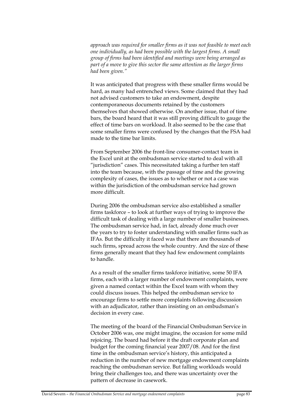*approach was required for smaller firms as it was not feasible to meet each one individually, as had been possible with the largest firms. A small group of firms had been identified and meetings were being arranged as part of a move to give this sector the same attention as the larger firms had been given."* 

It was anticipated that progress with these smaller firms would be hard, as many had entrenched views. Some claimed that they had not advised customers to take an endowment, despite contemporaneous documents retained by the customers themselves that showed otherwise. On another issue, that of time bars, the board heard that it was still proving difficult to gauge the effect of time bars on workload. It also seemed to be the case that some smaller firms were confused by the changes that the FSA had made to the time bar limits.

From September 2006 the front-line consumer-contact team in the Excel unit at the ombudsman service started to deal with all "jurisdiction" cases. This necessitated taking a further ten staff into the team because, with the passage of time and the growing complexity of cases, the issues as to whether or not a case was within the jurisdiction of the ombudsman service had grown more difficult.

During 2006 the ombudsman service also established a smaller firms taskforce – to look at further ways of trying to improve the difficult task of dealing with a large number of smaller businesses. The ombudsman service had, in fact, already done much over the years to try to foster understanding with smaller firms such as IFAs. But the difficulty it faced was that there are thousands of such firms, spread across the whole country. And the size of these firms generally meant that they had few endowment complaints to handle.

As a result of the smaller firms taskforce initiative, some 50 IFA firms, each with a larger number of endowment complaints, were given a named contact within the Excel team with whom they could discuss issues. This helped the ombudsman service to encourage firms to settle more complaints following discussion with an adjudicator, rather than insisting on an ombudsman's decision in every case.

The meeting of the board of the Financial Ombudsman Service in October 2006 was, one might imagine, the occasion for some mild rejoicing. The board had before it the draft corporate plan and budget for the coming financial year 2007/08. And for the first time in the ombudsman service's history, this anticipated a reduction in the number of new mortgage endowment complaints reaching the ombudsman service. But falling workloads would bring their challenges too, and there was uncertainty over the pattern of decrease in casework.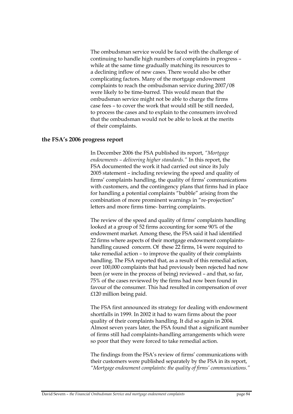The ombudsman service would be faced with the challenge of continuing to handle high numbers of complaints in progress – while at the same time gradually matching its resources to a declining inflow of new cases. There would also be other complicating factors. Many of the mortgage endowment complaints to reach the ombudsman service during 2007/08 were likely to be time-barred. This would mean that the ombudsman service might not be able to charge the firms case fees – to cover the work that would still be still needed, to process the cases and to explain to the consumers involved that the ombudsman would not be able to look at the merits of their complaints.

### **the FSA's 2006 progress report**

In December 2006 the FSA published its report, *"Mortgage endowments – delivering higher standards."* In this report, the FSA documented the work it had carried out since its July 2005 statement – including reviewing the speed and quality of firms' complaints handling, the quality of firms' communications with customers, and the contingency plans that firms had in place for handling a potential complaints "bubble" arising from the combination of more prominent warnings in "re-projection" letters and more firms time- barring complaints.

The review of the speed and quality of firms' complaints handling looked at a group of 52 firms accounting for some 90% of the endowment market. Among these, the FSA said it had identified 22 firms where aspects of their mortgage endowment complaintshandling caused concern. Of these 22 firms, 14 were required to take remedial action – to improve the quality of their complaints handling. The FSA reported that, as a result of this remedial action, over 100,000 complaints that had previously been rejected had now been (or were in the process of being) reviewed – and that, so far, 75% of the cases reviewed by the firms had now been found in favour of the consumer. This had resulted in compensation of over £120 million being paid.

The FSA first announced its strategy for dealing with endowment shortfalls in 1999. In 2002 it had to warn firms about the poor quality of their complaints handling. It did so again in 2004. Almost seven years later, the FSA found that a significant number of firms still had complaints-handling arrangements which were so poor that they were forced to take remedial action.

The findings from the FSA's review of firms' communications with their customers were published separately by the FSA in its report, *"Mortgage endowment complaints: the quality of firms' communications."*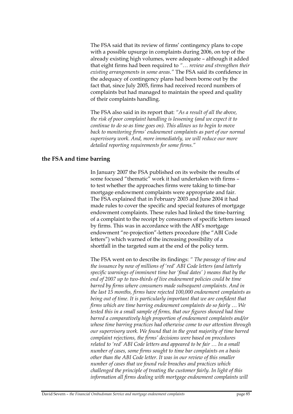The FSA said that its review of firms' contingency plans to cope with a possible upsurge in complaints during 2006, on top of the already existing high volumes, were adequate – although it added that eight firms had been required to *"… review and strengthen their existing arrangements in some areas."* The FSA said its confidence in the adequacy of contingency plans had been borne out by the fact that, since July 2005, firms had received record numbers of complaints but had managed to maintain the speed and quality of their complaints handling.

The FSA also said in its report that: *"As a result of all the above, the risk of poor complaint handling is lessening (and we expect it to continue to do so as time goes on). This allows us to begin to move back to monitoring firms' endowment complaints as part of our normal supervisory work. And, more immediately, we will reduce our more detailed reporting requirements for some firms."*

### **the FSA and time barring**

In January 2007 the FSA published on its website the results of some focused "thematic" work it had undertaken with firms – to test whether the approaches firms were taking to time-bar mortgage endowment complaints were appropriate and fair. The FSA explained that in February 2003 and June 2004 it had made rules to cover the specific and special features of mortgage endowment complaints. These rules had linked the time-barring of a complaint to the receipt by consumers of specific letters issued by firms. This was in accordance with the ABI's mortgage endowment "re-projection"-letters procedure (the "ABI Code letters") which warned of the increasing possibility of a shortfall in the targeted sum at the end of the policy term.

The FSA went on to describe its findings: *" The passage of time and the issuance by now of millions of 'red' ABI Code letters (and latterly specific warnings of imminent time bar 'final dates' ) means that by the end of 2007 up to two-thirds of live endowment policies could be time barred by firms where consumers made subsequent complaints. And in the last 15 months, firms have rejected 100,000 endowment complaints as being out of time. It is particularly important that we are confident that firms which are time barring endowment complaints do so fairly … We tested this in a small sample of firms, that our figures showed had time barred a comparatively high proportion of endowment complaints and/or whose time barring practices had otherwise come to our attention through our supervisory work. We found that in the great majority of time barred complaint rejections, the firms' decisions were based on procedures related to 'red' ABI Code letters and appeared to be fair … In a small number of cases, some firms sought to time bar complaints on a basis other than the ABI Code letter. It was in our review of this smaller number of cases that we found rule breaches and practices which challenged the principle of treating the customer fairly. In light of this information all firms dealing with mortgage endowment complaints will*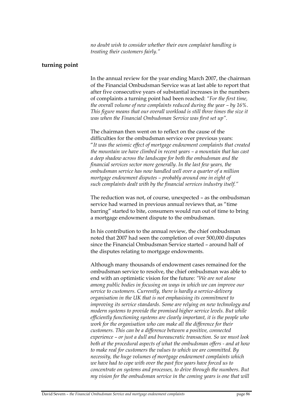*no doubt wish to consider whether their own complaint handling is treating their customers fairly."* 

## **turning point**

In the annual review for the year ending March 2007, the chairman of the Financial Ombudsman Service was at last able to report that after five consecutive years of substantial increases in the numbers of complaints a turning point had been reached: *"For the first time, the overall volume of new complaints reduced during the year – by 16%. This figure means that our overall workload is still three times the size it was when the Financial Ombudsman Service was first set up".* 

The chairman then went on to reflect on the cause of the difficulties for the ombudsman service over previous years: "*It was the seismic effect of mortgage endowment complaints that created the mountain we have climbed in recent years – a mountain that has cast a deep shadow across the landscape for both the ombudsman and the financial services sector more generally. In the last few years, the ombudsman service has now handled well over a quarter of a million mortgage endowment disputes – probably around one in eight of such complaints dealt with by the financial services industry itself."*

The reduction was not, of course, unexpected – as the ombudsman service had warned in previous annual reviews that, as "time barring" started to bite, consumers would run out of time to bring a mortgage endowment dispute to the ombudsman.

In his contribution to the annual review, the chief ombudsman noted that 2007 had seen the completion of over 500,000 disputes since the Financial Ombudsman Service started – around half of the disputes relating to mortgage endowments.

Although many thousands of endowment cases remained for the ombudsman service to resolve, the chief ombudsman was able to end with an optimistic vision for the future: *"We are not alone among public bodies in focusing on ways in which we can improve our service to customers. Currently, there is hardly a service-delivery organisation in the UK that is not emphasising its commitment to improving its service standards. Some are relying on new technology and modern systems to provide the promised higher service levels. But while efficiently functioning systems are clearly important, it is the people who work for the organisation who can make all the difference for their customers. This can be a difference between a positive, connected experience – or just a dull and bureaucratic transaction. So we must look both at the procedural aspects of what the ombudsman offers - and at how to make real for customers the values to which we are committed. By necessity, the huge volumes of mortgage endowment complaints which we have had to cope with over the past five years have forced us to concentrate on systems and processes, to drive through the numbers. But my vision for the ombudsman service in the coming years is one that will*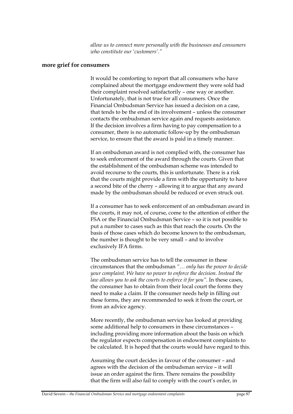*allow us to connect more personally with the businesses and consumers who constitute our 'customers'."*

### **more grief for consumers**

It would be comforting to report that all consumers who have complained about the mortgage endowment they were sold had their complaint resolved satisfactorily – one way or another. Unfortunately, that is not true for all consumers. Once the Financial Ombudsman Service has issued a decision on a case, that tends to be the end of its involvement – unless the consumer contacts the ombudsman service again and requests assistance. If the decision involves a firm having to pay compensation to a consumer, there is no automatic follow-up by the ombudsman service, to ensure that the award is paid in a timely manner.

If an ombudsman award is not complied with, the consumer has to seek enforcement of the award through the courts. Given that the establishment of the ombudsman scheme was intended to avoid recourse to the courts, this is unfortunate. There is a risk that the courts might provide a firm with the opportunity to have a second bite of the cherry – allowing it to argue that any award made by the ombudsman should be reduced or even struck out.

If a consumer has to seek enforcement of an ombudsman award in the courts, it may not, of course, come to the attention of either the FSA or the Financial Ombudsman Service – so it is not possible to put a number to cases such as this that reach the courts. On the basis of those cases which do become known to the ombudsman, the number is thought to be very small – and to involve exclusively IFA firms.

The ombudsman service has to tell the consumer in these circumstances that the ombudsman *"… only has the power to decide your complaint. We have no power to enforce the decision. Instead the law allows you to ask the courts to enforce it for you".* In these cases, the consumer has to obtain from their local court the forms they need to make a claim. If the consumer needs help in filling out these forms, they are recommended to seek it from the court, or from an advice agency.

More recently, the ombudsman service has looked at providing some additional help to consumers in these circumstances – including providing more information about the basis on which the regulator expects compensation in endowment complaints to be calculated. It is hoped that the courts would have regard to this.

Assuming the court decides in favour of the consumer – and agrees with the decision of the ombudsman service – it will issue an order against the firm. There remains the possibility that the firm will also fail to comply with the court's order, in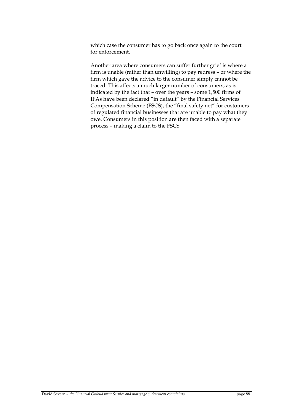which case the consumer has to go back once again to the court for enforcement.

Another area where consumers can suffer further grief is where a firm is unable (rather than unwilling) to pay redress – or where the firm which gave the advice to the consumer simply cannot be traced. This affects a much larger number of consumers, as is indicated by the fact that – over the years – some 1,500 firms of IFAs have been declared "in default" by the Financial Services Compensation Scheme (FSCS), the "final safety net" for customers of regulated financial businesses that are unable to pay what they owe. Consumers in this position are then faced with a separate process – making a claim to the FSCS.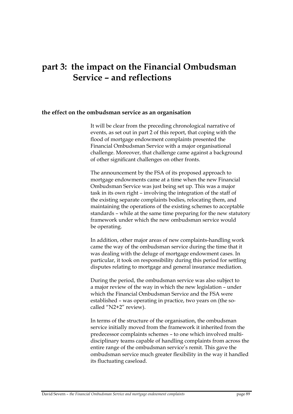## **part 3: the impact on the Financial Ombudsman Service – and reflections**

### **the effect on the ombudsman service as an organisation**

It will be clear from the preceding chronological narrative of events, as set out in part 2 of this report, that coping with the flood of mortgage endowment complaints presented the Financial Ombudsman Service with a major organisational challenge. Moreover, that challenge came against a background of other significant challenges on other fronts.

The announcement by the FSA of its proposed approach to mortgage endowments came at a time when the new Financial Ombudsman Service was just being set up. This was a major task in its own right – involving the integration of the staff of the existing separate complaints bodies, relocating them, and maintaining the operations of the existing schemes to acceptable standards – while at the same time preparing for the new statutory framework under which the new ombudsman service would be operating.

In addition, other major areas of new complaints-handling work came the way of the ombudsman service during the time that it was dealing with the deluge of mortgage endowment cases. In particular, it took on responsibility during this period for settling disputes relating to mortgage and general insurance mediation.

During the period, the ombudsman service was also subject to a major review of the way in which the new legislation – under which the Financial Ombudsman Service and the FSA were established – was operating in practice, two years on (the socalled "N2+2" review).

In terms of the structure of the organisation, the ombudsman service initially moved from the framework it inherited from the predecessor complaints schemes – to one which involved multidisciplinary teams capable of handling complaints from across the entire range of the ombudsman service's remit. This gave the ombudsman service much greater flexibility in the way it handled its fluctuating caseload.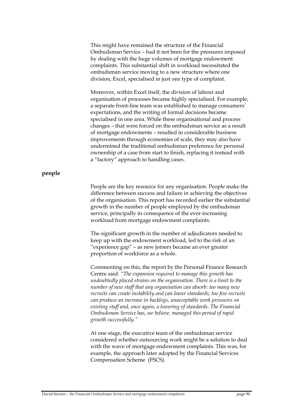This might have remained the structure of the Financial Ombudsman Service – had it not been for the pressures imposed by dealing with the huge volumes of mortgage endowment complaints. This substantial shift in workload necessitated the ombudsman service moving to a new structure where one division, Excel, specialised in just one type of complaint.

Moreover, within Excel itself, the division of labour and organisation of processes became highly specialised. For example, a separate front-line team was established to manage consumers' expectations, and the writing of formal decisions became specialised in one area. While these organisational and process changes – that were forced on the ombudsman service as a result of mortgage endowments – resulted in considerable business improvements through economies of scale, they may also have undermined the traditional ombudsman preference for personal ownership of a case from start to finish, replacing it instead with a "factory" approach to handling cases.

## **people**

People are the key resource for any organisation. People make the difference between success and failure in achieving the objectives of the organisation. This report has recorded earlier the substantial growth in the number of people employed by the ombudsman service, principally in consequence of the ever-increasing workload from mortgage endowment complaints.

The significant growth in the number of adjudicators needed to keep up with the endowment workload, led to the risk of an "experience gap" – as new joiners became an ever greater proportion of workforce as a whole.

Commenting on this, the report by the Personal Finance Research Centre said: *"The expansion required to manage this growth has undoubtedly placed strains on the organisation. There is a limit to the number of new staff that any organisation can absorb: too many new recruits can create instability and can lower standards; too few recruits can produce an increase in backlogs, unacceptable work pressures on existing staff and, once again, a lowering of standards. The Financial Ombudsman Service has, we believe, managed this period of rapid growth successfully."*

At one stage, the executive team of the ombudsman service considered whether outsourcing work might be a solution to deal with the wave of mortgage endowment complaints. This was, for example, the approach later adopted by the Financial Services Compensation Scheme (FSCS).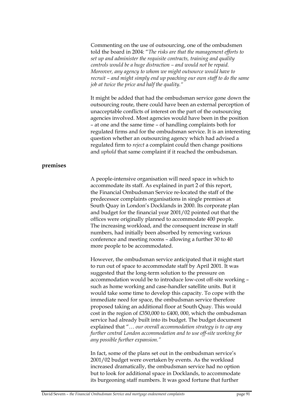Commenting on the use of outsourcing, one of the ombudsmen told the board in 2004: "*The risks are that the management efforts to set up and administer the requisite contracts, training and quality controls would be a huge distraction – and would not be repaid. Moreover, any agency to whom we might outsource would have to recruit – and might simply end up poaching our own staff to do the same job at twice the price and half the quality."* 

It might be added that had the ombudsman service gone down the outsourcing route, there could have been an external perception of unacceptable conflicts of interest on the part of the outsourcing agencies involved. Most agencies would have been in the position – at one and the same time – of handling complaints both for regulated firms and for the ombudsman service. It is an interesting question whether an outsourcing agency which had advised a regulated firm to *reject* a complaint could then change positions and *uphold* that same complaint if it reached the ombudsman.

## **premises**

A people-intensive organisation will need space in which to accommodate its staff. As explained in part 2 of this report, the Financial Ombudsman Service re-located the staff of the predecessor complaints organisations in single premises at South Quay in London's Docklands in 2000. Its corporate plan and budget for the financial year 2001/02 pointed out that the offices were originally planned to accommodate 400 people. The increasing workload, and the consequent increase in staff numbers, had initially been absorbed by removing various conference and meeting rooms – allowing a further 30 to 40 more people to be accommodated.

However, the ombudsman service anticipated that it might start to run out of space to accommodate staff by April 2001. It was suggested that the long-term solution to the pressure on accommodation would be to introduce low-cost off-site working – such as home working and case-handler satellite units. But it would take some time to develop this capacity. To cope with the immediate need for space, the ombudsman service therefore proposed taking an additional floor at South Quay. This would cost in the region of £350,000 to £400, 000, which the ombudsman service had already built into its budget. The budget document explained that "*… our overall accommodation strategy is to cap any further central London accommodation and to use off-site working for any possible further expansion."* 

In fact, some of the plans set out in the ombudsman service's 2001/02 budget were overtaken by events. As the workload increased dramatically, the ombudsman service had no option but to look for additional space in Docklands, to accommodate its burgeoning staff numbers. It was good fortune that further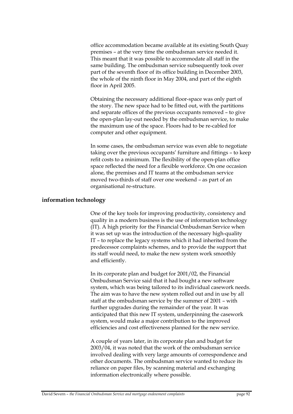office accommodation became available at its existing South Quay premises – at the very time the ombudsman service needed it. This meant that it was possible to accommodate all staff in the same building. The ombudsman service subsequently took over part of the seventh floor of its office building in December 2003, the whole of the ninth floor in May 2004, and part of the eighth floor in April 2005.

Obtaining the necessary additional floor-space was only part of the story. The new space had to be fitted out, with the partitions and separate offices of the previous occupants removed – to give the open-plan lay-out needed by the ombudsman service, to make the maximum use of the space. Floors had to be re-cabled for computer and other equipment.

In some cases, the ombudsman service was even able to negotiate taking over the previous occupants' furniture and fittings – to keep refit costs to a minimum. The flexibility of the open-plan office space reflected the need for a flexible workforce. On one occasion alone, the premises and IT teams at the ombudsman service moved two-thirds of staff over one weekend – as part of an organisational re-structure.

## **information technology**

One of the key tools for improving productivity, consistency and quality in a modern business is the use of information technology (IT). A high priority for the Financial Ombudsman Service when it was set up was the introduction of the necessary high-quality IT – to replace the legacy systems which it had inherited from the predecessor complaints schemes, and to provide the support that its staff would need, to make the new system work smoothly and efficiently.

In its corporate plan and budget for 2001/02, the Financial Ombudsman Service said that it had bought a new software system, which was being tailored to its individual casework needs. The aim was to have the new system rolled out and in use by all staff at the ombudsman service by the summer of 2001 – with further upgrades during the remainder of the year. It was anticipated that this new IT system, underpinning the casework system, would make a major contribution to the improved efficiencies and cost effectiveness planned for the new service.

A couple of years later, in its corporate plan and budget for 2003/04, it was noted that the work of the ombudsman service involved dealing with very large amounts of correspondence and other documents. The ombudsman service wanted to reduce its reliance on paper files, by scanning material and exchanging information electronically where possible.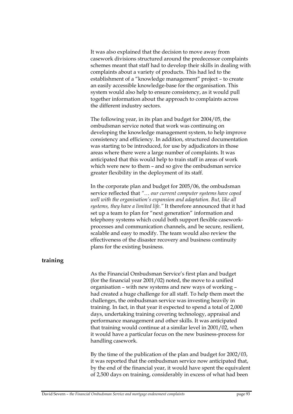It was also explained that the decision to move away from casework divisions structured around the predecessor complaints schemes meant that staff had to develop their skills in dealing with complaints about a variety of products. This had led to the establishment of a "knowledge management" project – to create an easily accessible knowledge-base for the organisation. This system would also help to ensure consistency, as it would pull together information about the approach to complaints across the different industry sectors.

The following year, in its plan and budget for 2004/05, the ombudsman service noted that work was continuing on developing the knowledge management system, to help improve consistency and efficiency. In addition, structured documentation was starting to be introduced, for use by adjudicators in those areas where there were a large number of complaints. It was anticipated that this would help to train staff in areas of work which were new to them – and so give the ombudsman service greater flexibility in the deployment of its staff.

In the corporate plan and budget for 2005/06, the ombudsman service reflected that *"… our current computer systems have coped well with the organisation's expansion and adaptation. But, like all systems, they have a limited life."* It therefore announced that it had set up a team to plan for "next generation" information and telephony systems which could both support flexible caseworkprocesses and communication channels, and be secure, resilient, scalable and easy to modify. The team would also review the effectiveness of the disaster recovery and business continuity plans for the existing business.

## **training**

As the Financial Ombudsman Service's first plan and budget (for the financial year 2001/02) noted, the move to a unified organisation – with new systems and new ways of working – had created a huge challenge for all staff. To help them meet the challenges, the ombudsman service was investing heavily in training. In fact, in that year it expected to spend a total of 2,000 days, undertaking training covering technology, appraisal and performance management and other skills. It was anticipated that training would continue at a similar level in 2001/02, when it would have a particular focus on the new business-process for handling casework.

By the time of the publication of the plan and budget for 2002/03, it was reported that the ombudsman service now anticipated that, by the end of the financial year, it would have spent the equivalent of 2,500 days on training, considerably in excess of what had been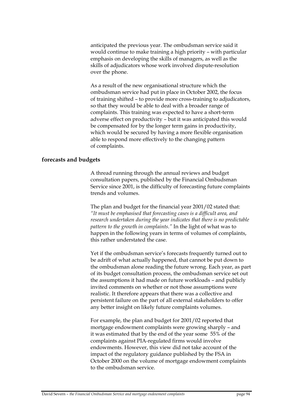anticipated the previous year. The ombudsman service said it would continue to make training a high priority – with particular emphasis on developing the skills of managers, as well as the skills of adjudicators whose work involved dispute-resolution over the phone.

As a result of the new organisational structure which the ombudsman service had put in place in October 2002, the focus of training shifted – to provide more cross-training to adjudicators, so that they would be able to deal with a broader range of complaints. This training was expected to have a short-term adverse effect on productivity – but it was anticipated this would be compensated for by the longer term gains in productivity, which would be secured by having a more flexible organisation able to respond more effectively to the changing pattern of complaints.

### **forecasts and budgets**

A thread running through the annual reviews and budget consultation papers, published by the Financial Ombudsman Service since 2001, is the difficulty of forecasting future complaints trends and volumes.

The plan and budget for the financial year 2001/02 stated that: *"It must be emphasised that forecasting cases is a difficult area, and research undertaken during the year indicates that there is no predictable pattern to the growth in complaints."* In the light of what was to happen in the following years in terms of volumes of complaints, this rather understated the case.

Yet if the ombudsman service's forecasts frequently turned out to be adrift of what actually happened, that cannot be put down to the ombudsman alone reading the future wrong. Each year, as part of its budget consultation process, the ombudsman service set out the assumptions it had made on future workloads – and publicly invited comments on whether or not those assumptions were realistic. It therefore appears that there was a collective and persistent failure on the part of all external stakeholders to offer any better insight on likely future complaints volumes.

For example, the plan and budget for 2001/02 reported that mortgage endowment complaints were growing sharply – and it was estimated that by the end of the year some 55% of the complaints against PIA-regulated firms would involve endowments. However, this view did not take account of the impact of the regulatory guidance published by the FSA in October 2000 on the volume of mortgage endowment complaints to the ombudsman service.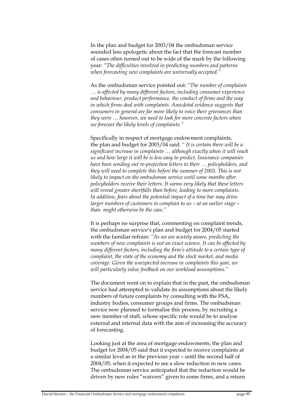In the plan and budget for 2003/04 the ombudsman service sounded less apologetic about the fact that the forecast number of cases often turned out to be wide of the mark by the following year: *"The difficulties involved in predicting numbers and patterns when forecasting new complaints are universally accepted."*

As the ombudsman service pointed out: *"The number of complaints … is affected by many different factors, including consumer experience and behaviour, product performance, the conduct of firms and the way in which firms deal with complaints. Anecdotal evidence suggests that consumers in general are far more likely to voice their grievances than they were … however, we need to look for more concrete factors when we forecast the likely levels of complaints."*

Specifically in respect of mortgage endowment complaints, the plan and budget for 2003/04 said: *" It is certain there will be a significant increase in complaints … although exactly when it will reach us and how large it will be is less easy to predict. Insurance companies have been sending out re-projection letters to their … policyholders, and they will need to complete this before the summer of 2003. This is not likely to impact on the ombudsman service until some months after policyholders receive their letters. It seems very likely that these letters will reveal greater shortfalls than before, leading to more complaints. In addition, fears about the potential impact of a time bar may drive larger numbers of customers to complain to us – at an earlier stage – than might otherwise be the case."*

It is perhaps no surprise that, commenting on complaint trends, the ombudsman service's plan and budget for 2004/05 started with the familiar refrain: *"As we are acutely aware, predicting the numbers of new complaints is not an exact science. It can be affected by many different factors, including the firm's attitude to a certain type of complaint, the state of the economy and the stock market, and media coverage. Given the unexpected increase in complaints this year, we will particularly value feedback on our workload assumptions."*

The document went on to explain that in the past, the ombudsman service had attempted to validate its assumptions about the likely numbers of future complaints by consulting with the FSA, industry bodies, consumer groups and firms. The ombudsman service now planned to formalise this process, by recruiting a new member of staff, whose specific role would be to analyse external and internal data with the aim of increasing the accuracy of forecasting.

Looking just at the area of mortgage endowments, the plan and budget for 2004/05 said that it expected to receive complaints at a similar level as in the previous year – until the second half of 2004/05, when it expected to see a slow reduction in new cases. The ombudsman service anticipated that the reduction would be driven by new rules "waivers" given to some firms, and a return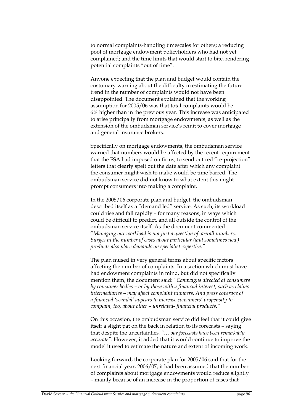to normal complaints-handling timescales for others; a reducing pool of mortgage endowment policyholders who had not yet complained; and the time limits that would start to bite, rendering potential complaints "out of time".

Anyone expecting that the plan and budget would contain the customary warning about the difficulty in estimating the future trend in the number of complaints would not have been disappointed. The document explained that the working assumption for 2005/06 was that total complaints would be 6% higher than in the previous year. This increase was anticipated to arise principally from mortgage endowments, as well as the extension of the ombudsman service's remit to cover mortgage and general insurance brokers.

Specifically on mortgage endowments, the ombudsman service warned that numbers would be affected by the recent requirement that the FSA had imposed on firms, to send out red "re-projection" letters that clearly spelt out the date after which any complaint the consumer might wish to make would be time barred. The ombudsman service did not know to what extent this might prompt consumers into making a complaint.

In the 2005/06 corporate plan and budget, the ombudsman described itself as a "demand led" service. As such, its workload could rise and fall rapidly – for many reasons, in ways which could be difficult to predict, and all outside the control of the ombudsman service itself. As the document commented: "*Managing our workload is not just a question of overall numbers. Surges in the number of cases about particular (and sometimes new) products also place demands on specialist expertise."*

The plan mused in very general terms about specific factors affecting the number of complaints. In a section which must have had endowment complaints in mind, but did not specifically mention them, the document said: *"Campaigns directed at consumers by consumer bodies – or by those with a financial interest, such as claims intermediaries – may affect complaint numbers. And press coverage of a financial 'scandal' appears to increase consumers' propensity to complain, too, about other – unrelated- financial products."* 

On this occasion, the ombudsman service did feel that it could give itself a slight pat on the back in relation to its forecasts – saying that despite the uncertainties, *"… our forecasts have been remarkably accurate"*. However, it added that it would continue to improve the model it used to estimate the nature and extent of incoming work.

Looking forward, the corporate plan for 2005/06 said that for the next financial year, 2006/07, it had been assumed that the number of complaints about mortgage endowments would reduce slightly – mainly because of an increase in the proportion of cases that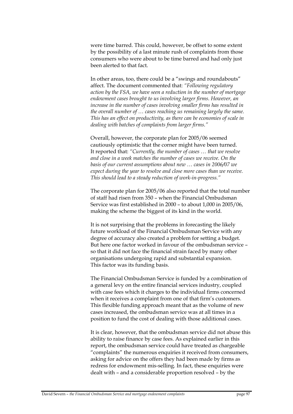were time barred. This could, however, be offset to some extent by the possibility of a last minute rush of complaints from those consumers who were about to be time barred and had only just been alerted to that fact.

In other areas, too, there could be a "swings and roundabouts" affect. The document commented that: *"Following regulatory action by the FSA, we have seen a reduction in the number of mortgage endowment cases brought to us involving larger firms. However, an increase in the number of cases involving smaller firms has resulted in the overall number of … cases reaching us remaining largely the same. This has an effect on productivity, as there can be economies of scale in dealing with batches of complaints from larger firms."*

Overall, however, the corporate plan for 2005/06 seemed cautiously optimistic that the corner might have been turned. It reported that: *"Currently, the number of cases … that we resolve and close in a week matches the number of cases we receive. On the basis of our current assumptions about new … cases in 2006/07 we expect during the year to resolve and close more cases than we receive. This should lead to a steady reduction of work-in-progress."*

The corporate plan for 2005/06 also reported that the total number of staff had risen from 350 – when the Financial Ombudsman Service was first established in 2000 – to about 1,000 in 2005/06, making the scheme the biggest of its kind in the world.

It is not surprising that the problems in forecasting the likely future workload of the Financial Ombudsman Service with any degree of accuracy also created a problem for setting a budget. But here one factor worked in favour of the ombudsman service – so that it did not face the financial strain faced by many other organisations undergoing rapid and substantial expansion. This factor was its funding basis.

The Financial Ombudsman Service is funded by a combination of a general levy on the entire financial services industry, coupled with case fees which it charges to the individual firms concerned when it receives a complaint from one of that firm's customers. This flexible funding approach meant that as the volume of new cases increased, the ombudsman service was at all times in a position to fund the cost of dealing with those additional cases.

It is clear, however, that the ombudsman service did not abuse this ability to raise finance by case fees. As explained earlier in this report, the ombudsman service could have treated as chargeable "complaints" the numerous enquiries it received from consumers, asking for advice on the offers they had been made by firms as redress for endowment mis-selling. In fact, these enquiries were dealt with – and a considerable proportion resolved – by the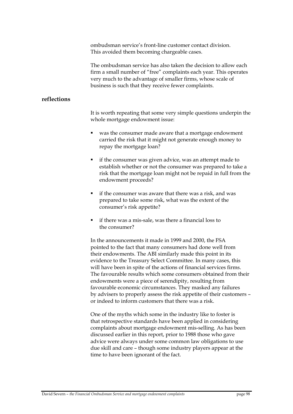ombudsman service's front-line customer contact division. This avoided them becoming chargeable cases.

The ombudsman service has also taken the decision to allow each firm a small number of "free" complaints each year. This operates very much to the advantage of smaller firms, whose scale of business is such that they receive fewer complaints.

## **reflections**

It is worth repeating that some very simple questions underpin the whole mortgage endowment issue:

- was the consumer made aware that a mortgage endowment carried the risk that it might not generate enough money to repay the mortgage loan?
- if the consumer was given advice, was an attempt made to establish whether or not the consumer was prepared to take a risk that the mortgage loan might not be repaid in full from the endowment proceeds?
- if the consumer was aware that there was a risk, and was prepared to take some risk, what was the extent of the consumer's risk appetite?
- if there was a mis-sale, was there a financial loss to the consumer?

In the announcements it made in 1999 and 2000, the FSA pointed to the fact that many consumers had done well from their endowments. The ABI similarly made this point in its evidence to the Treasury Select Committee. In many cases, this will have been in spite of the actions of financial services firms. The favourable results which some consumers obtained from their endowments were a piece of serendipity, resulting from favourable economic circumstances. They masked any failures by advisers to properly assess the risk appetite of their customers – or indeed to inform customers that there was a risk.

One of the myths which some in the industry like to foster is that retrospective standards have been applied in considering complaints about mortgage endowment mis-selling. As has been discussed earlier in this report, prior to 1988 those who gave advice were always under some common law obligations to use due skill and care – though some industry players appear at the time to have been ignorant of the fact.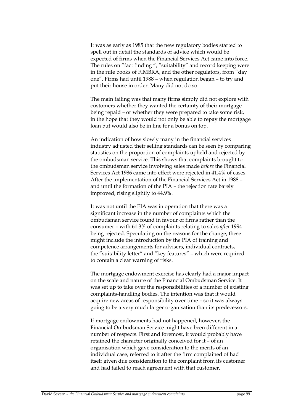It was as early as 1985 that the new regulatory bodies started to spell out in detail the standards of advice which would be expected of firms when the Financial Services Act came into force. The rules on "fact finding ", "suitability" and record keeping were in the rule books of FIMBRA, and the other regulators, from "day one". Firms had until 1988 – when regulation began – to try and put their house in order. Many did not do so.

The main failing was that many firms simply did not explore with customers whether they wanted the certainty of their mortgage being repaid – or whether they were prepared to take some risk, in the hope that they would not only be able to repay the mortgage loan but would also be in line for a bonus on top.

An indication of how slowly many in the financial services industry adjusted their selling standards can be seen by comparing statistics on the proportion of complaints upheld and rejected by the ombudsman service. This shows that complaints brought to the ombudsman service involving sales made *before* the Financial Services Act 1986 came into effect were rejected in 41.4% of cases. After the implementation of the Financial Services Act in 1988 – and until the formation of the PIA – the rejection rate barely improved, rising slightly to 44.9%.

It was not until the PIA was in operation that there was a significant increase in the number of complaints which the ombudsman service found in favour of firms rather than the consumer – with 61.3% of complaints relating to sales *after* 1994 being rejected. Speculating on the reasons for the change, these might include the introduction by the PIA of training and competence arrangements for advisers, individual contracts, the "suitability letter" and "key features" – which were required to contain a clear warning of risks.

The mortgage endowment exercise has clearly had a major impact on the scale and nature of the Financial Ombudsman Service. It was set up to take over the responsibilities of a number of existing complaints-handling bodies. The intention was that it would acquire new areas of responsibility over time – so it was always going to be a very much larger organisation than its predecessors.

If mortgage endowments had not happened, however, the Financial Ombudsman Service might have been different in a number of respects. First and foremost, it would probably have retained the character originally conceived for it – of an organisation which gave consideration to the merits of an individual case, referred to it after the firm complained of had itself given due consideration to the complaint from its customer and had failed to reach agreement with that customer.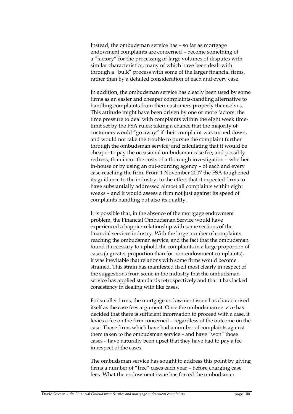Instead, the ombudsman service has – so far as mortgage endowment complaints are concerned – become something of a "factory" for the processing of large volumes of disputes with similar characteristics, many of which have been dealt with through a "bulk" process with some of the larger financial firms, rather than by a detailed consideration of each and every case.

In addition, the ombudsman service has clearly been used by some firms as an easier and cheaper complaints-handling alternative to handling complaints from their customers properly themselves. This attitude might have been driven by one or more factors: the time pressure to deal with complaints within the eight week timelimit set by the FSA rules; taking a chance that the majority of customers would "go away" if their complaint was turned down, and would not take the trouble to pursue the complaint further through the ombudsman service; and calculating that it would be cheaper to pay the occasional ombudsman case fee, and possibly redress, than incur the costs of a thorough investigation – whether in-house or by using an out-sourcing agency – of each and every case reaching the firm. From 1 November 2007 the FSA toughened its guidance to the industry, to the effect that it expected firms to have substantially addressed almost all complaints within eight weeks – and it would assess a firm not just against its speed of complaints handling but also its quality.

It is possible that, in the absence of the mortgage endowment problem, the Financial Ombudsman Service would have experienced a happier relationship with some sections of the financial services industry. With the large number of complaints reaching the ombudsman service, and the fact that the ombudsman found it necessary to uphold the complaints in a large proportion of cases (a greater proportion than for non-endowment complaints), it was inevitable that relations with some firms would become strained. This strain has manifested itself most clearly in respect of the suggestions from some in the industry that the ombudsman service has applied standards retrospectively and that it has lacked consistency in dealing with like cases.

For smaller firms, the mortgage endowment issue has characterised itself as the case fees argument. Once the ombudsman service has decided that there is sufficient information to proceed with a case, it levies a fee on the firm concerned – regardless of the outcome on the case. Those firms which have had a number of complaints against them taken to the ombudsman service – and have "won" those cases – have naturally been upset that they have had to pay a fee in respect of the cases.

The ombudsman service has sought to address this point by giving firms a number of "free" cases each year – before charging case fees. What the endowment issue has forced the ombudsman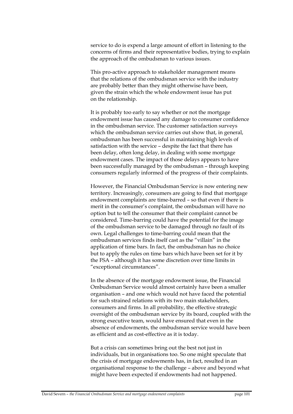service to do is expend a large amount of effort in listening to the concerns of firms and their representative bodies, trying to explain the approach of the ombudsman to various issues.

This pro-active approach to stakeholder management means that the relations of the ombudsman service with the industry are probably better than they might otherwise have been, given the strain which the whole endowment issue has put on the relationship.

It is probably too early to say whether or not the mortgage endowment issue has caused any damage to consumer confidence in the ombudsman service. The customer satisfaction surveys which the ombudsman service carries out show that, in general, ombudsman has been successful in maintaining high levels of satisfaction with the service – despite the fact that there has been delay, often long delay, in dealing with some mortgage endowment cases. The impact of those delays appears to have been successfully managed by the ombudsman – through keeping consumers regularly informed of the progress of their complaints.

However, the Financial Ombudsman Service is now entering new territory. Increasingly, consumers are going to find that mortgage endowment complaints are time-barred – so that even if there is merit in the consumer's complaint, the ombudsman will have no option but to tell the consumer that their complaint cannot be considered. Time-barring could have the potential for the image of the ombudsman service to be damaged through no fault of its own. Legal challenges to time-barring could mean that the ombudsman services finds itself cast as the "villain" in the application of time bars. In fact, the ombudsman has no choice but to apply the rules on time bars which have been set for it by the FSA – although it has some discretion over time limits in "exceptional circumstances".

In the absence of the mortgage endowment issue, the Financial Ombudsman Service would almost certainly have been a smaller organisation – and one which would not have faced the potential for such strained relations with its two main stakeholders, consumers and firms. In all probability, the effective strategic oversight of the ombudsman service by its board, coupled with the strong executive team, would have ensured that even in the absence of endowments, the ombudsman service would have been as efficient and as cost-effective as it is today.

But a crisis can sometimes bring out the best not just in individuals, but in organisations too. So one might speculate that the crisis of mortgage endowments has, in fact, resulted in an organisational response to the challenge – above and beyond what might have been expected if endowments had not happened.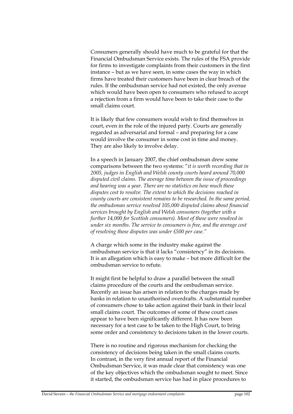Consumers generally should have much to be grateful for that the Financial Ombudsman Service exists. The rules of the FSA provide for firms to investigate complaints from their customers in the first instance – but as we have seen, in some cases the way in which firms have treated their customers have been in clear breach of the rules. If the ombudsman service had not existed, the only avenue which would have been open to consumers who refused to accept a rejection from a firm would have been to take their case to the small claims court.

It is likely that few consumers would wish to find themselves in court, even in the role of the injured party. Courts are generally regarded as adversarial and formal – and preparing for a case would involve the consumer in some cost in time and money. They are also likely to involve delay.

In a speech in January 2007, the chief ombudsman drew some comparisons between the two systems: "*it is worth recording that in 2005, judges in English and Welsh county courts heard around 70,000 disputed civil claims. The average time between the issue of proceedings and hearing was a year. There are no statistics on how much these disputes cost to resolve. The extent to which the decisions reached in county courts are consistent remains to be researched. In the same period, the ombudsman service resolved 105,000 disputed claims about financial services brought by English and Welsh consumers (together with a further 14,000 for Scottish consumers). Most of these were resolved in under six months. The service to consumers is free, and the average cost of resolving those disputes was under £500 per case."*

A charge which some in the industry make against the ombudsman service is that it lacks "consistency" in its decisions. It is an allegation which is easy to make – but more difficult for the ombudsman service to refute.

It might first be helpful to draw a parallel between the small claims procedure of the courts and the ombudsman service. Recently an issue has arisen in relation to the charges made by banks in relation to unauthorised overdrafts. A substantial number of consumers chose to take action against their bank in their local small claims court. The outcomes of some of these court cases appear to have been significantly different. It has now been necessary for a test case to be taken to the High Court, to bring some order and consistency to decisions taken in the lower courts.

There is no routine and rigorous mechanism for checking the consistency of decisions being taken in the small claims courts. In contrast, in the very first annual report of the Financial Ombudsman Service, it was made clear that consistency was one of the key objectives which the ombudsman sought to meet. Since it started, the ombudsman service has had in place procedures to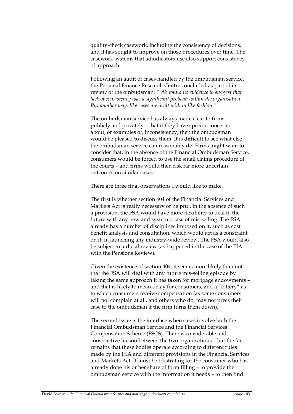quality-check casework, including the consistency of decisions, and it has sought to improve on those procedures over time. The casework systems that adjudicators use also support consistency of approach.

Following an audit of cases handled by the ombudsman service, the Personal Finance Research Centre concluded as part of its review of the ombudsman: *" We found no evidence to suggest that lack of consistency was a significant problem within the organisation. Put another way, like cases are dealt with in like fashion."*

The ombudsman service has always made clear to firms – publicly and privately – that if they have specific concerns about, or examples of, inconsistency, then the ombudsman would be pleased to discuss them. It is difficult to see what else the ombudsman service can reasonably do. Firms might want to consider that, in the absence of the Financial Ombudsman Service, consumers would be forced to use the small claims procedure of the courts – and firms would then risk far more uncertain outcomes on similar cases.

There are three final observations I would like to make.

The first is whether section 404 of the Financial Services and Markets Act is really necessary or helpful. In the absence of such a provision, the FSA would have more flexibility to deal in the future with any new and systemic case of mis-selling. The FSA already has a number of disciplines imposed on it, such as cost benefit analysis and consultation, which would act as a constraint on it, in launching any industry-wide review. The FSA would also be subject to judicial review (as happened in the case of the PIA with the Pensions Review).

Given the existence of section 404, it seems more likely than not that the FSA will deal with any future mis-selling episode by taking the same approach it has taken for mortgage endowments – and that is likely to mean delay for consumers, and a "lottery" as to which consumers receive compensation (as some consumers will not complain at all, and others who do, may not press their case to the ombudsman if the firm turns them down).

The second issue is the interface when cases involve both the Financial Ombudsman Service and the Financial Services Compensation Scheme (FSCS). There is considerable and constructive liaison between the two organisations – but the fact remains that these bodies operate according to different rules made by the FSA and different provisions in the Financial Services and Markets Act. It must be frustrating for the consumer who has already done his or her share of form filling – to provide the ombudsman service with the information it needs – to then find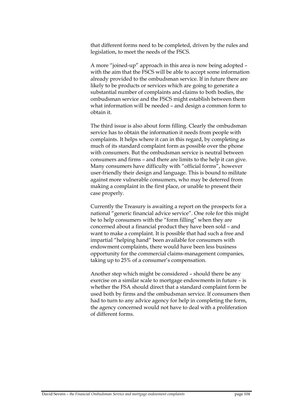that different forms need to be completed, driven by the rules and legislation, to meet the needs of the FSCS.

A more "joined-up" approach in this area is now being adopted – with the aim that the FSCS will be able to accept some information already provided to the ombudsman service. If in future there are likely to be products or services which are going to generate a substantial number of complaints and claims to both bodies, the ombudsman service and the FSCS might establish between them what information will be needed – and design a common form to obtain it.

The third issue is also about form filling. Clearly the ombudsman service has to obtain the information it needs from people with complaints. It helps where it can in this regard, by completing as much of its standard complaint form as possible over the phone with consumers. But the ombudsman service is neutral between consumers and firms – and there are limits to the help it can give. Many consumers have difficulty with "official forms", however user-friendly their design and language. This is bound to militate against more vulnerable consumers, who may be deterred from making a complaint in the first place, or unable to present their case properly.

Currently the Treasury is awaiting a report on the prospects for a national "generic financial advice service". One role for this might be to help consumers with the "form filling" when they are concerned about a financial product they have been sold – and want to make a complaint. It is possible that had such a free and impartial "helping hand" been available for consumers with endowment complaints, there would have been less business opportunity for the commercial claims-management companies, taking up to 25% of a consumer's compensation.

Another step which might be considered – should there be any exercise on a similar scale to mortgage endowments in future – is whether the FSA should direct that a standard complaint form be used both by firms and the ombudsman service. If consumers then had to turn to any advice agency for help in completing the form, the agency concerned would not have to deal with a proliferation of different forms.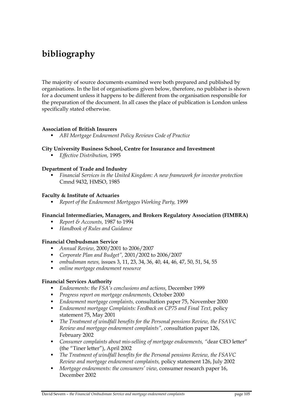# **bibliography**

The majority of source documents examined were both prepared and published by organisations. In the list of organisations given below, therefore, no publisher is shown for a document unless it happens to be different from the organisation responsible for the preparation of the document. In all cases the place of publication is London unless specifically stated otherwise.

## **Association of British Insurers**

*ABI Mortgage Endowment Policy Reviews Code of Practice* 

### **City University Business School, Centre for Insurance and Investment**

*Effective Distribution,* 1995

### **Department of Trade and Industry**

 *Financial Services in the United Kingdom: A new framework for investor protection*  Cmnd 9432, HMSO, 1985

### **Faculty & Institute of Actuaries**

*Report of the Endowment Mortgages Working Party,* 1999

## **Financial Intermediaries, Managers, and Brokers Regulatory Association (FIMBRA)**

- *Report & Accounts,* 1987 to 1994
- *Handbook of Rules and Guidance*

### **Financial Ombudsman Service**

- *Annual Review,* 2000/2001 to 2006/2007
- *Corporate Plan and Budget",* 2001/2002 to 2006/2007
- *ombudsman news,* issues 3, 11, 23, 34, 36, 40, 44, 46, 47, 50, 51, 54, 55
- *online mortgage endowment resource*

## **Financial Services Authority**

- *Endowments: the FSA's conclusions and actions,* December 1999
- *Progress report on mortgage endowments,* October 2000
- *Endowment mortgage complaints,* consultation paper 75, November 2000
- *Endowment mortgage Complaints: Feedback on CP75 and Final Text,* policy statement 75, May 2001
- *The Treatment of windfall benefits for the Personal pensions Review, the FSAVC Review and mortgage endowment complaints", c*onsultation paper 126, February 2002
- *Consumer complaints about mis-selling of mortgage endowments, "*dear CEO letter" (the "Tiner letter"), April 2002
- *The Treatment of windfall benefits for the Personal pensions Review, the FSAVC Review and mortgage endowment complaints,* policy statement 126, July 2002
- *Mortgage endowments: the consumers' view,* consumer research paper 16, December 2002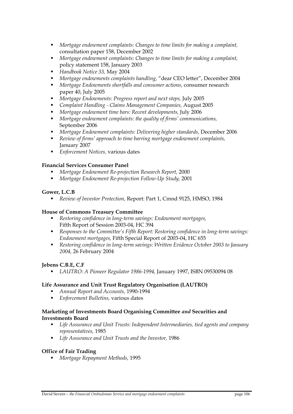- *Mortgage endowment complaints: Changes to time limits for making a complaint,*  consultation paper 158, December 2002
- *Mortgage endowment complaints: Changes to time limits for making a complaint,* policy statement 158, January 2003
- *Handbook Notice 33,* May 2004
- *Mortgage endowments complaints handling,* "dear CEO letter", December 2004
- *Mortgage Endowments shortfalls and consumer actions,* consumer research paper 40, July 2005
- *Mortgage Endowments: Progress report and next steps,* July 2005
- *Complaint Handling Claims Management Companies,* August 2005
- **Mortgage endowment time bars: Recent developments, July 2006**
- *Mortgage endowment complaints: the quality of firms' communications,*  September 2006
- *Mortgage Endowment complaints: Delivering higher standards,* December 2006
- *Review of firms' approach to time barring mortgage endowment complaints,*  January 2007
- *Enforcement Notices,* various dates

## **Financial Services Consumer Panel**

- *Mortgage Endowment Re-projection Research Report,* 2000
- *Mortgage Endowment Re-projection Follow-Up Study,* 2001

## **Gower, L.C.B**

*Review of Investor Protection,* Report: Part 1, Cmnd 9125, HMSO, 1984

## **House of Commons Treasury Committee**

- *Restoring confidence in long-term savings: Endowment mortgages,*  Fifth Report of Session 2003-04, HC 394
- *Responses to the Committee's Fifth Report: Restoring confidence in long-term savings: Endowment mortgages,* Fifth Special Report of 2003-04, HC 655
- *Restoring confidence in long-term savings: Written Evidence October 2003 to January 2004,* 26 February 2004

## **Jebens C.B.E, C.F**

*LAUTRO: A Pioneer Regulator 1986-1994,* January 1997, ISBN 09530094 08

## **Life Assurance and Unit Trust Regulatory Organisation (LAUTRO)**

- *Annual Report and Accounts,* 1990-1994
- *Enforcement Bulletins,* various dates

## **Marketing of Investments Board Organising Committee** *and* **Securities and Investments Board**

- *Life Assurance and Unit Trusts: Independent Intermediaries, tied agents and company representatives,* 1985
- *Life Assurance and Unit Trusts and the Investor,* 1986

## **Office of Fair Trading**

*Mortgage Repayment Methods,* 1995